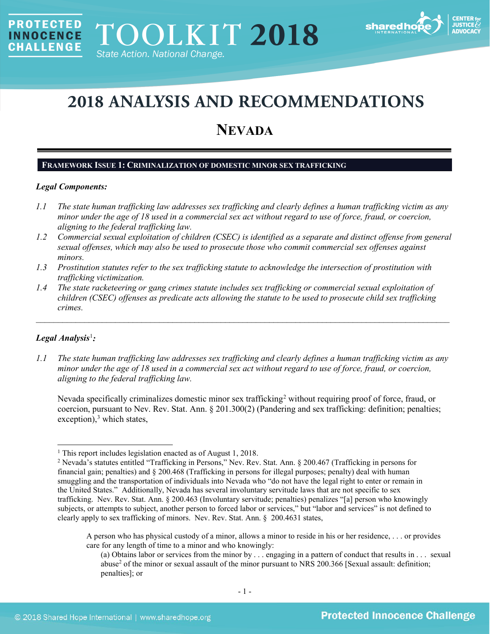

# **2018 ANALYSIS AND RECOMMENDATIONS**

## **NEVADA**

## **FRAMEWORK ISSUE 1: CRIMINALIZATION OF DOMESTIC MINOR SEX TRAFFICKING**

#### *Legal Components:*

**PROTECTED** 

**INNOCENCE CHALLENGE** 

- *1.1 The state human trafficking law addresses sex trafficking and clearly defines a human trafficking victim as any minor under the age of 18 used in a commercial sex act without regard to use of force, fraud, or coercion, aligning to the federal trafficking law.*
- *1.2 Commercial sexual exploitation of children (CSEC) is identified as a separate and distinct offense from general sexual offenses, which may also be used to prosecute those who commit commercial sex offenses against minors.*
- *1.3 Prostitution statutes refer to the sex trafficking statute to acknowledge the intersection of prostitution with trafficking victimization.*
- *1.4 The state racketeering or gang crimes statute includes sex trafficking or commercial sexual exploitation of children (CSEC) offenses as predicate acts allowing the statute to be used to prosecute child sex trafficking crimes.*

 $\mathcal{L}_\mathcal{L} = \mathcal{L}_\mathcal{L} = \mathcal{L}_\mathcal{L} = \mathcal{L}_\mathcal{L} = \mathcal{L}_\mathcal{L} = \mathcal{L}_\mathcal{L} = \mathcal{L}_\mathcal{L} = \mathcal{L}_\mathcal{L} = \mathcal{L}_\mathcal{L} = \mathcal{L}_\mathcal{L} = \mathcal{L}_\mathcal{L} = \mathcal{L}_\mathcal{L} = \mathcal{L}_\mathcal{L} = \mathcal{L}_\mathcal{L} = \mathcal{L}_\mathcal{L} = \mathcal{L}_\mathcal{L} = \mathcal{L}_\mathcal{L}$ 

## *Legal Analysis*[1](#page-0-0) *:*

*1.1 The state human trafficking law addresses sex trafficking and clearly defines a human trafficking victim as any minor under the age of 18 used in a commercial sex act without regard to use of force, fraud, or coercion, aligning to the federal trafficking law.*

<span id="page-0-3"></span>Nevada specifically criminalizes domestic minor sex trafficking<sup>[2](#page-0-1)</sup> without requiring proof of force, fraud, or coercion, pursuant to Nev. Rev. Stat. Ann. § 201.300(2) (Pandering and sex trafficking: definition; penalties; exception), [3](#page-0-2) which states,

<span id="page-0-2"></span><span id="page-0-0"></span><sup>&</sup>lt;sup>1</sup> This report includes legislation enacted as of August 1, 2018.

<span id="page-0-1"></span><sup>2</sup> Nevada's statutes entitled "Trafficking in Persons," Nev. Rev. Stat. Ann. § 200.467 (Trafficking in persons for financial gain; penalties) and § 200.468 (Trafficking in persons for illegal purposes; penalty) deal with human smuggling and the transportation of individuals into Nevada who "do not have the legal right to enter or remain in the United States." Additionally, Nevada has several involuntary servitude laws that are not specific to sex trafficking. Nev. Rev. Stat. Ann. § 200.463 (Involuntary servitude; penalties) penalizes "[a] person who knowingly subjects, or attempts to subject, another person to forced labor or services," but "labor and services" is not defined to clearly apply to sex trafficking of minors. Nev. Rev. Stat. Ann. § 200.4631 states,

A person who has physical custody of a minor, allows a minor to reside in his or her residence, . . . or provides care for any length of time to a minor and who knowingly:

<sup>(</sup>a) Obtains labor or services from the minor by . . . engaging in a pattern of conduct that results in . . . sexual abuse<sup>2</sup> of the minor or sexual assault of the minor pursuant to NRS 200.366 [Sexual assault: definition; penalties]; or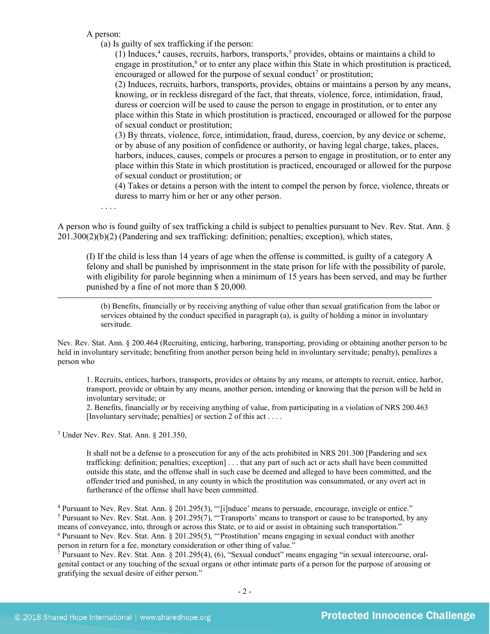A person:

(a) Is guilty of sex trafficking if the person:

<span id="page-1-6"></span><span id="page-1-5"></span><span id="page-1-4"></span>(1) Induces,<sup>[4](#page-1-0)</sup> causes, recruits, harbors, transports,<sup>[5](#page-1-1)</sup> provides, obtains or maintains a child to engage in prostitution, $6$  or to enter any place within this State in which prostitution is practiced, encouraged or allowed for the purpose of sexual conduct<sup>[7](#page-1-3)</sup> or prostitution;

<span id="page-1-7"></span>(2) Induces, recruits, harbors, transports, provides, obtains or maintains a person by any means, knowing, or in reckless disregard of the fact, that threats, violence, force, intimidation, fraud, duress or coercion will be used to cause the person to engage in prostitution, or to enter any place within this State in which prostitution is practiced, encouraged or allowed for the purpose of sexual conduct or prostitution;

(3) By threats, violence, force, intimidation, fraud, duress, coercion, by any device or scheme, or by abuse of any position of confidence or authority, or having legal charge, takes, places, harbors, induces, causes, compels or procures a person to engage in prostitution, or to enter any place within this State in which prostitution is practiced, encouraged or allowed for the purpose of sexual conduct or prostitution; or

(4) Takes or detains a person with the intent to compel the person by force, violence, threats or duress to marry him or her or any other person.

. . . .

 $\overline{a}$ 

A person who is found guilty of sex trafficking a child is subject to penalties pursuant to Nev. Rev. Stat. Ann. § 201.300(2)(b)(2) (Pandering and sex trafficking: definition; penalties; exception), which states,

(I) If the child is less than 14 years of age when the offense is committed, is guilty of a category A felony and shall be punished by imprisonment in the state prison for life with the possibility of parole, with eligibility for parole beginning when a minimum of 15 years has been served, and may be further punished by a fine of not more than \$ 20,000.

(b) Benefits, financially or by receiving anything of value other than sexual gratification from the labor or services obtained by the conduct specified in paragraph (a), is guilty of holding a minor in involuntary servitude.

Nev. Rev. Stat. Ann. § 200.464 (Recruiting, enticing, harboring, transporting, providing or obtaining another person to be held in involuntary servitude; benefiting from another person being held in involuntary servitude; penalty), penalizes a person who

1. Recruits, entices, harbors, transports, provides or obtains by any means, or attempts to recruit, entice, harbor, transport, provide or obtain by any means, another person, intending or knowing that the person will be held in involuntary servitude; or

2. Benefits, financially or by receiving anything of value, from participating in a violation of NRS 200.463 [Involuntary servitude; penalties] or section 2 of this act . . . .

<sup>3</sup> Under Nev. Rev. Stat. Ann. § 201.350,

It shall not be a defense to a prosecution for any of the acts prohibited in NRS 201.300 [Pandering and sex trafficking: definition; penalties; exception] . . . that any part of such act or acts shall have been committed outside this state, and the offense shall in such case be deemed and alleged to have been committed, and the offender tried and punished, in any county in which the prostitution was consummated, or any overt act in furtherance of the offense shall have been committed.

<span id="page-1-1"></span><span id="page-1-0"></span><sup>4</sup> Pursuant to Nev. Rev. Stat. Ann. § 201.295(3), "'[i]nduce' means to persuade, encourage, inveigle or entice."<br><sup>5</sup> Pursuant to Nev. Rev. Stat. Ann. § 201.295(7), "'Transports' means to transport or cause to be transpor means of conveyance, into, through or across this State, or to aid or assist in obtaining such transportation." <sup>6</sup> Pursuant to Nev. Rev. Stat. Ann. § 201.295(5), "'Prostitution' means engaging in sexual conduct with another

<span id="page-1-3"></span><span id="page-1-2"></span>person in return for a fee, monetary consideration or other thing of value."

<sup>7</sup> Pursuant to Nev. Rev. Stat. Ann. § 201.295(4), (6), "Sexual conduct" means engaging "in sexual intercourse, oralgenital contact or any touching of the sexual organs or other intimate parts of a person for the purpose of arousing or gratifying the sexual desire of either person."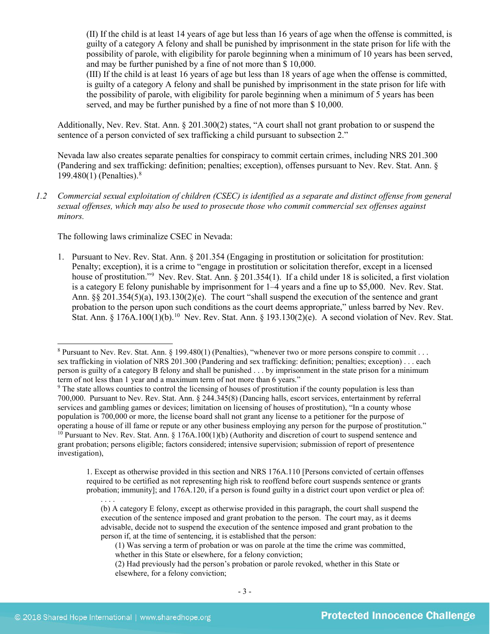(II) If the child is at least 14 years of age but less than 16 years of age when the offense is committed, is guilty of a category A felony and shall be punished by imprisonment in the state prison for life with the possibility of parole, with eligibility for parole beginning when a minimum of 10 years has been served, and may be further punished by a fine of not more than \$ 10,000.

(III) If the child is at least 16 years of age but less than 18 years of age when the offense is committed, is guilty of a category A felony and shall be punished by imprisonment in the state prison for life with the possibility of parole, with eligibility for parole beginning when a minimum of 5 years has been served, and may be further punished by a fine of not more than \$ 10,000.

Additionally, Nev. Rev. Stat. Ann. § 201.300(2) states, "A court shall not grant probation to or suspend the sentence of a person convicted of sex trafficking a child pursuant to subsection 2."

<span id="page-2-4"></span>Nevada law also creates separate penalties for conspiracy to commit certain crimes, including NRS 201.300 (Pandering and sex trafficking: definition; penalties; exception), offenses pursuant to Nev. Rev. Stat. Ann. § 199.480(1) (Penalties). [8](#page-2-0)

*1.2 Commercial sexual exploitation of children (CSEC) is identified as a separate and distinct offense from general sexual offenses, which may also be used to prosecute those who commit commercial sex offenses against minors.*

The following laws criminalize CSEC in Nevada:

1. Pursuant to Nev. Rev. Stat. Ann. § 201.354 (Engaging in prostitution or solicitation for prostitution: Penalty; exception), it is a crime to "engage in prostitution or solicitation therefor, except in a licensed house of prostitution."<sup>[9](#page-2-1)</sup> Nev. Rev. Stat. Ann. § 201.354(1). If a child under 18 is solicited, a first violation is a category E felony punishable by imprisonment for 1–4 years and a fine up to \$5,000. Nev. Rev. Stat. Ann. §§ 201.354(5)(a), 193.130(2)(e). The court "shall suspend the execution of the sentence and grant probation to the person upon such conditions as the court deems appropriate," unless barred by Nev. Rev. Stat. Ann. § 176A.[10](#page-2-2)0(1)(b).<sup>10</sup> Nev. Rev. Stat. Ann. § 193.130(2)(e). A second violation of Nev. Rev. Stat.

1. Except as otherwise provided in this section and NRS 176A.110 [Persons convicted of certain offenses required to be certified as not representing high risk to reoffend before court suspends sentence or grants probation; immunity]; and 176A.120, if a person is found guilty in a district court upon verdict or plea of:

<span id="page-2-3"></span><span id="page-2-0"></span><sup>&</sup>lt;sup>8</sup> Pursuant to Nev. Rev. Stat. Ann. § 199.480(1) (Penalties), "whenever two or more persons conspire to commit . . . sex trafficking in violation of NRS 201.300 (Pandering and sex trafficking: definition; penalties; exception) . . . each person is guilty of a category B felony and shall be punished . . . by imprisonment in the state prison for a minimum term of not less than 1 year and a maximum term of not more than 6 years."

<span id="page-2-2"></span><span id="page-2-1"></span><sup>9</sup> The state allows counties to control the licensing of houses of prostitution if the county population is less than 700,000. Pursuant to Nev. Rev. Stat. Ann. § 244.345(8) (Dancing halls, escort services, entertainment by referral services and gambling games or devices; limitation on licensing of houses of prostitution), "In a county whose population is 700,000 or more, the license board shall not grant any license to a petitioner for the purpose of operating a house of ill fame or repute or any other business employing any person for the purpose of prostitution."  $10$  Pursuant to Nev. Rev. Stat. Ann. § 176A.100(1)(b) (Authority and discretion of court to suspend sentence and grant probation; persons eligible; factors considered; intensive supervision; submission of report of presentence investigation),

<sup>. . . .</sup> (b) A category E felony, except as otherwise provided in this paragraph, the court shall suspend the execution of the sentence imposed and grant probation to the person. The court may, as it deems advisable, decide not to suspend the execution of the sentence imposed and grant probation to the person if, at the time of sentencing, it is established that the person:

<sup>(1)</sup> Was serving a term of probation or was on parole at the time the crime was committed, whether in this State or elsewhere, for a felony conviction;

<sup>(2)</sup> Had previously had the person's probation or parole revoked, whether in this State or elsewhere, for a felony conviction;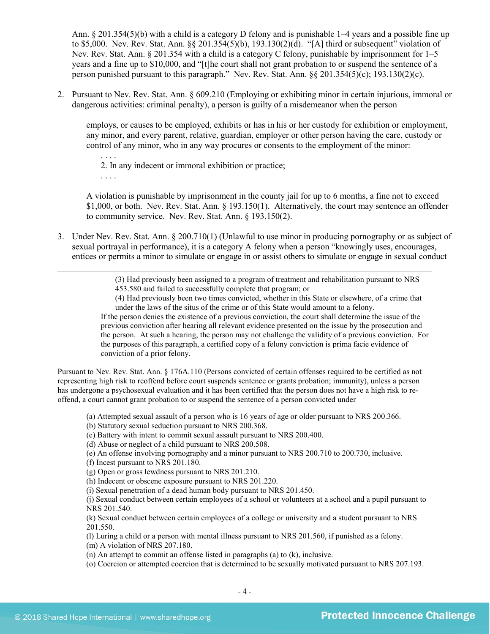Ann. § 201.354(5)(b) with a child is a category D felony and is punishable 1–4 years and a possible fine up to \$5,000. Nev. Rev. Stat. Ann. §§ 201.354(5)(b), 193.130(2)(d). "[A] third or subsequent" violation of Nev. Rev. Stat. Ann. § 201.354 with a child is a category C felony, punishable by imprisonment for 1–5 years and a fine up to \$10,000, and "[t]he court shall not grant probation to or suspend the sentence of a person punished pursuant to this paragraph." Nev. Rev. Stat. Ann. §§ 201.354(5)(c); 193.130(2)(c).

2. Pursuant to Nev. Rev. Stat. Ann. § 609.210 (Employing or exhibiting minor in certain injurious, immoral or dangerous activities: criminal penalty), a person is guilty of a misdemeanor when the person

employs, or causes to be employed, exhibits or has in his or her custody for exhibition or employment, any minor, and every parent, relative, guardian, employer or other person having the care, custody or control of any minor, who in any way procures or consents to the employment of the minor:

. . . . 2. In any indecent or immoral exhibition or practice; . . . .

A violation is punishable by imprisonment in the county jail for up to 6 months, a fine not to exceed \$1,000, or both. Nev. Rev. Stat. Ann. § 193.150(1). Alternatively, the court may sentence an offender to community service. Nev. Rev. Stat. Ann. § 193.150(2).

3. Under Nev. Rev. Stat. Ann. § 200.710(1) (Unlawful to use minor in producing pornography or as subject of sexual portrayal in performance), it is a category A felony when a person "knowingly uses, encourages, entices or permits a minor to simulate or engage in or assist others to simulate or engage in sexual conduct

> (3) Had previously been assigned to a program of treatment and rehabilitation pursuant to NRS 453.580 and failed to successfully complete that program; or

(4) Had previously been two times convicted, whether in this State or elsewhere, of a crime that under the laws of the situs of the crime or of this State would amount to a felony.

If the person denies the existence of a previous conviction, the court shall determine the issue of the previous conviction after hearing all relevant evidence presented on the issue by the prosecution and the person. At such a hearing, the person may not challenge the validity of a previous conviction. For the purposes of this paragraph, a certified copy of a felony conviction is prima facie evidence of conviction of a prior felony.

Pursuant to Nev. Rev. Stat. Ann. § 176A.110 (Persons convicted of certain offenses required to be certified as not representing high risk to reoffend before court suspends sentence or grants probation; immunity), unless a person has undergone a psychosexual evaluation and it has been certified that the person does not have a high risk to reoffend, a court cannot grant probation to or suspend the sentence of a person convicted under

(a) Attempted sexual assault of a person who is 16 years of age or older pursuant to NRS 200.366.

(b) Statutory sexual seduction pursuant to NRS 200.368.

(c) Battery with intent to commit sexual assault pursuant to NRS 200.400.

(d) Abuse or neglect of a child pursuant to NRS 200.508.

(e) An offense involving pornography and a minor pursuant to NRS 200.710 to 200.730, inclusive.

(f) Incest pursuant to NRS 201.180.

(g) Open or gross lewdness pursuant to NRS 201.210.

(h) Indecent or obscene exposure pursuant to NRS 201.220.

(i) Sexual penetration of a dead human body pursuant to NRS 201.450.

(j) Sexual conduct between certain employees of a school or volunteers at a school and a pupil pursuant to NRS 201.540.

(k) Sexual conduct between certain employees of a college or university and a student pursuant to NRS 201.550.

(l) Luring a child or a person with mental illness pursuant to NRS 201.560, if punished as a felony.

(m) A violation of NRS 207.180.

(n) An attempt to commit an offense listed in paragraphs (a) to (k), inclusive.

(o) Coercion or attempted coercion that is determined to be sexually motivated pursuant to NRS 207.193.

 $\overline{a}$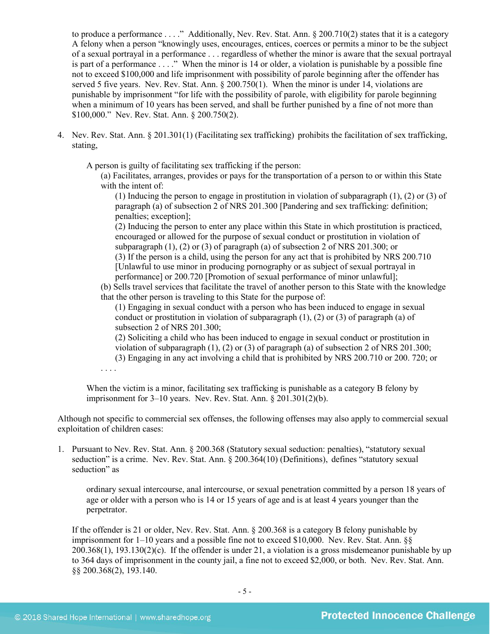to produce a performance . . . ." Additionally, Nev. Rev. Stat. Ann. § 200.710(2) states that it is a category A felony when a person "knowingly uses, encourages, entices, coerces or permits a minor to be the subject of a sexual portrayal in a performance . . . regardless of whether the minor is aware that the sexual portrayal is part of a performance  $\dots$ ." When the minor is 14 or older, a violation is punishable by a possible fine not to exceed \$100,000 and life imprisonment with possibility of parole beginning after the offender has served 5 five years. Nev. Rev. Stat. Ann. § 200.750(1). When the minor is under 14, violations are punishable by imprisonment "for life with the possibility of parole, with eligibility for parole beginning when a minimum of 10 years has been served, and shall be further punished by a fine of not more than \$100,000." Nev. Rev. Stat. Ann. § 200.750(2).

4. Nev. Rev. Stat. Ann. § 201.301(1) (Facilitating sex trafficking) prohibits the facilitation of sex trafficking, stating,

A person is guilty of facilitating sex trafficking if the person:

(a) Facilitates, arranges, provides or pays for the transportation of a person to or within this State with the intent of:

(1) Inducing the person to engage in prostitution in violation of subparagraph (1), (2) or (3) of paragraph (a) of subsection 2 of NRS 201.300 [Pandering and sex trafficking: definition; penalties; exception];

(2) Inducing the person to enter any place within this State in which prostitution is practiced, encouraged or allowed for the purpose of sexual conduct or prostitution in violation of subparagraph (1), (2) or (3) of paragraph (a) of subsection 2 of NRS 201.300; or

(3) If the person is a child, using the person for any act that is prohibited by NRS 200.710 [Unlawful to use minor in producing pornography or as subject of sexual portrayal in performance] or 200.720 [Promotion of sexual performance of minor unlawful];

(b) Sells travel services that facilitate the travel of another person to this State with the knowledge that the other person is traveling to this State for the purpose of:

(1) Engaging in sexual conduct with a person who has been induced to engage in sexual conduct or prostitution in violation of subparagraph (1), (2) or (3) of paragraph (a) of subsection 2 of NRS 201.300;

(2) Soliciting a child who has been induced to engage in sexual conduct or prostitution in violation of subparagraph (1), (2) or (3) of paragraph (a) of subsection 2 of NRS 201.300;

(3) Engaging in any act involving a child that is prohibited by NRS 200.710 or 200. 720; or

. . . .

When the victim is a minor, facilitating sex trafficking is punishable as a category B felony by imprisonment for 3–10 years. Nev. Rev. Stat. Ann. § 201.301(2)(b).

Although not specific to commercial sex offenses, the following offenses may also apply to commercial sexual exploitation of children cases:

1. Pursuant to Nev. Rev. Stat. Ann. § 200.368 (Statutory sexual seduction: penalties), "statutory sexual seduction" is a crime. Nev. Rev. Stat. Ann. § 200.364(10) (Definitions), defines "statutory sexual seduction" as

ordinary sexual intercourse, anal intercourse, or sexual penetration committed by a person 18 years of age or older with a person who is 14 or 15 years of age and is at least 4 years younger than the perpetrator.

If the offender is 21 or older, Nev. Rev. Stat. Ann. § 200.368 is a category B felony punishable by imprisonment for 1–10 years and a possible fine not to exceed \$10,000. Nev. Rev. Stat. Ann. §§ 200.368(1), 193.130(2)(c). If the offender is under 21, a violation is a gross misdemeanor punishable by up to 364 days of imprisonment in the county jail, a fine not to exceed \$2,000, or both. Nev. Rev. Stat. Ann. §§ 200.368(2), 193.140.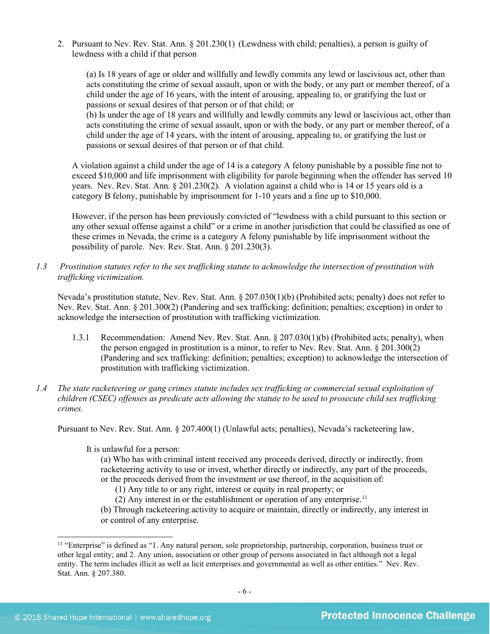2. Pursuant to Nev. Rev. Stat. Ann. § 201.230(1) (Lewdness with child; penalties), a person is guilty of lewdness with a child if that person

(a) Is 18 years of age or older and willfully and lewdly commits any lewd or lascivious act, other than acts constituting the crime of sexual assault, upon or with the body, or any part or member thereof, of a child under the age of 16 years, with the intent of arousing, appealing to, or gratifying the lust or passions or sexual desires of that person or of that child; or

(b) Is under the age of 18 years and willfully and lewdly commits any lewd or lascivious act, other than acts constituting the crime of sexual assault, upon or with the body, or any part or member thereof, of a child under the age of 14 years, with the intent of arousing, appealing to, or gratifying the lust or passions or sexual desires of that person or of that child.

A violation against a child under the age of 14 is a category A felony punishable by a possible fine not to exceed \$10,000 and life imprisonment with eligibility for parole beginning when the offender has served 10 years. Nev. Rev. Stat. Ann. § 201.230(2). A violation against a child who is 14 or 15 years old is a category B felony, punishable by imprisonment for 1-10 years and a fine up to \$10,000.

However, if the person has been previously convicted of "lewdness with a child pursuant to this section or any other sexual offense against a child" or a crime in another jurisdiction that could be classified as one of these crimes in Nevada, the crime is a category A felony punishable by life imprisonment without the possibility of parole. Nev. Rev. Stat. Ann. § 201.230(3).

*1.3 Prostitution statutes refer to the sex trafficking statute to acknowledge the intersection of prostitution with trafficking victimization.* 

Nevada's prostitution statute, Nev. Rev. Stat. Ann. § 207.030(1)(b) (Prohibited acts; penalty) does not refer to Nev. Rev. Stat. Ann. § 201.300(2) (Pandering and sex trafficking: definition; penalties; exception) in order to acknowledge the intersection of prostitution with trafficking victimization.

- 1.3.1 Recommendation: Amend Nev. Rev. Stat. Ann. § 207.030(1)(b) (Prohibited acts; penalty), when the person engaged in prostitution is a minor, to refer to Nev. Rev. Stat. Ann. § 201.300(2) (Pandering and sex trafficking: definition; penalties; exception) to acknowledge the intersection of prostitution with trafficking victimization.
- *1.4 The state racketeering or gang crimes statute includes sex trafficking or commercial sexual exploitation of children (CSEC) offenses as predicate acts allowing the statute to be used to prosecute child sex trafficking crimes.*

Pursuant to Nev. Rev. Stat. Ann. § 207.400(1) (Unlawful acts; penalties), Nevada's racketeering law,

It is unlawful for a person:

(a) Who has with criminal intent received any proceeds derived, directly or indirectly, from racketeering activity to use or invest, whether directly or indirectly, any part of the proceeds, or the proceeds derived from the investment or use thereof, in the acquisition of:

(1) Any title to or any right, interest or equity in real property; or

(2) Any interest in or the establishment or operation of any enterprise.<sup>11</sup>

(b) Through racketeering activity to acquire or maintain, directly or indirectly, any interest in or control of any enterprise.

<span id="page-5-0"></span> $11$  "Enterprise" is defined as "1. Any natural person, sole proprietorship, partnership, corporation, business trust or other legal entity; and 2. Any union, association or other group of persons associated in fact although not a legal entity. The term includes illicit as well as licit enterprises and governmental as well as other entities." Nev. Rev. Stat. Ann. § 207.380.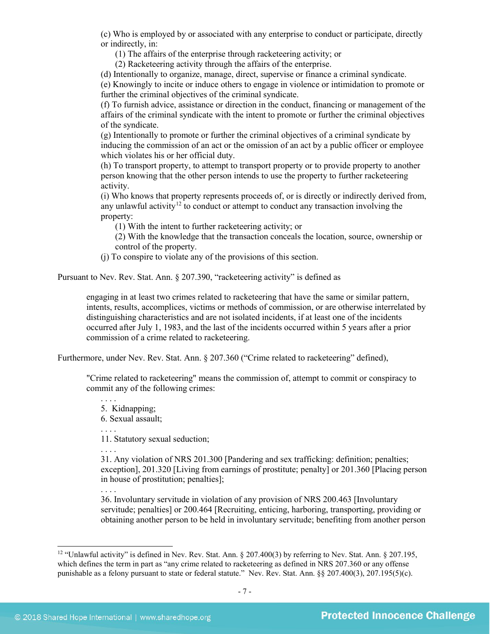(c) Who is employed by or associated with any enterprise to conduct or participate, directly or indirectly, in:

(1) The affairs of the enterprise through racketeering activity; or

(2) Racketeering activity through the affairs of the enterprise.

(d) Intentionally to organize, manage, direct, supervise or finance a criminal syndicate.

(e) Knowingly to incite or induce others to engage in violence or intimidation to promote or further the criminal objectives of the criminal syndicate.

(f) To furnish advice, assistance or direction in the conduct, financing or management of the affairs of the criminal syndicate with the intent to promote or further the criminal objectives of the syndicate.

(g) Intentionally to promote or further the criminal objectives of a criminal syndicate by inducing the commission of an act or the omission of an act by a public officer or employee which violates his or her official duty.

(h) To transport property, to attempt to transport property or to provide property to another person knowing that the other person intends to use the property to further racketeering activity.

(i) Who knows that property represents proceeds of, or is directly or indirectly derived from, any unlawful activity<sup>[12](#page-6-0)</sup> to conduct or attempt to conduct any transaction involving the property:

(1) With the intent to further racketeering activity; or

(2) With the knowledge that the transaction conceals the location, source, ownership or control of the property.

(j) To conspire to violate any of the provisions of this section.

Pursuant to Nev. Rev. Stat. Ann. § 207.390, "racketeering activity" is defined as

engaging in at least two crimes related to racketeering that have the same or similar pattern, intents, results, accomplices, victims or methods of commission, or are otherwise interrelated by distinguishing characteristics and are not isolated incidents, if at least one of the incidents occurred after July 1, 1983, and the last of the incidents occurred within 5 years after a prior commission of a crime related to racketeering.

Furthermore, under Nev. Rev. Stat. Ann. § 207.360 ("Crime related to racketeering" defined),

"Crime related to racketeering" means the commission of, attempt to commit or conspiracy to commit any of the following crimes:

. . . . 5. Kidnapping;

6. Sexual assault;

. . . .

11. Statutory sexual seduction;

. . . .

31. Any violation of NRS 201.300 [Pandering and sex trafficking: definition; penalties; exception], 201.320 [Living from earnings of prostitute; penalty] or 201.360 [Placing person in house of prostitution; penalties];

. . . . 36. Involuntary servitude in violation of any provision of NRS 200.463 [Involuntary servitude; penalties] or 200.464 [Recruiting, enticing, harboring, transporting, providing or obtaining another person to be held in involuntary servitude; benefiting from another person

<span id="page-6-0"></span><sup>&</sup>lt;sup>12</sup> "Unlawful activity" is defined in Nev. Rev. Stat. Ann. § 207.400(3) by referring to Nev. Stat. Ann. § 207.195, which defines the term in part as "any crime related to racketeering as defined in NRS 207.360 or any offense punishable as a felony pursuant to state or federal statute." Nev. Rev. Stat. Ann. §§ 207.400(3), 207.195(5)(c).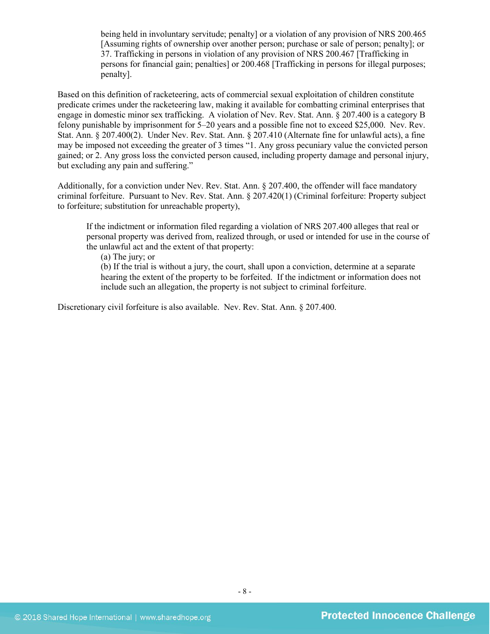being held in involuntary servitude; penalty] or a violation of any provision of NRS 200.465 [Assuming rights of ownership over another person; purchase or sale of person; penalty]; or 37. Trafficking in persons in violation of any provision of NRS 200.467 [Trafficking in persons for financial gain; penalties] or 200.468 [Trafficking in persons for illegal purposes; penalty].

Based on this definition of racketeering, acts of commercial sexual exploitation of children constitute predicate crimes under the racketeering law, making it available for combatting criminal enterprises that engage in domestic minor sex trafficking. A violation of Nev. Rev. Stat. Ann. § 207.400 is a category B felony punishable by imprisonment for 5–20 years and a possible fine not to exceed \$25,000. Nev. Rev. Stat. Ann. § 207.400(2). Under Nev. Rev. Stat. Ann. § 207.410 (Alternate fine for unlawful acts), a fine may be imposed not exceeding the greater of 3 times "1. Any gross pecuniary value the convicted person gained; or 2. Any gross loss the convicted person caused, including property damage and personal injury, but excluding any pain and suffering."

Additionally, for a conviction under Nev. Rev. Stat. Ann. § 207.400, the offender will face mandatory criminal forfeiture. Pursuant to Nev. Rev. Stat. Ann. § 207.420(1) (Criminal forfeiture: Property subject to forfeiture; substitution for unreachable property),

If the indictment or information filed regarding a violation of NRS 207.400 alleges that real or personal property was derived from, realized through, or used or intended for use in the course of the unlawful act and the extent of that property:

(a) The jury; or

(b) If the trial is without a jury, the court, shall upon a conviction, determine at a separate hearing the extent of the property to be forfeited. If the indictment or information does not include such an allegation, the property is not subject to criminal forfeiture.

Discretionary civil forfeiture is also available. Nev. Rev. Stat. Ann. § 207.400.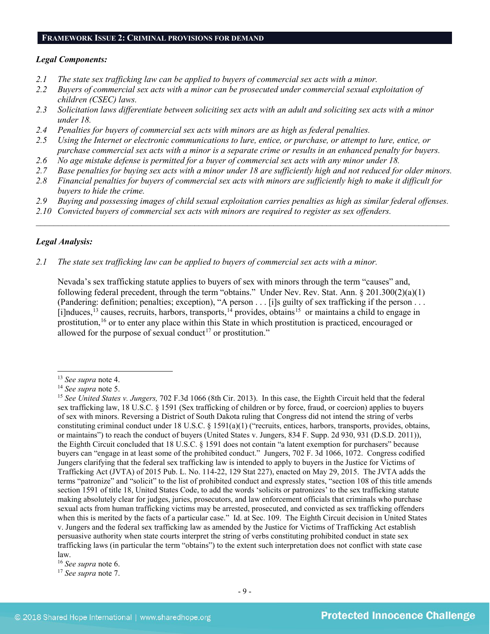#### **FRAMEWORK ISSUE 2: CRIMINAL PROVISIONS FOR DEMAND**

#### *Legal Components:*

- *2.1 The state sex trafficking law can be applied to buyers of commercial sex acts with a minor.*
- *2.2 Buyers of commercial sex acts with a minor can be prosecuted under commercial sexual exploitation of children (CSEC) laws.*
- *2.3 Solicitation laws differentiate between soliciting sex acts with an adult and soliciting sex acts with a minor under 18.*
- *2.4 Penalties for buyers of commercial sex acts with minors are as high as federal penalties.*
- *2.5 Using the Internet or electronic communications to lure, entice, or purchase, or attempt to lure, entice, or purchase commercial sex acts with a minor is a separate crime or results in an enhanced penalty for buyers.*
- *2.6 No age mistake defense is permitted for a buyer of commercial sex acts with any minor under 18.*
- *2.7 Base penalties for buying sex acts with a minor under 18 are sufficiently high and not reduced for older minors.*
- *2.8 Financial penalties for buyers of commercial sex acts with minors are sufficiently high to make it difficult for buyers to hide the crime.*
- *2.9 Buying and possessing images of child sexual exploitation carries penalties as high as similar federal offenses.*

 $\mathcal{L}_\mathcal{L} = \mathcal{L}_\mathcal{L} = \mathcal{L}_\mathcal{L} = \mathcal{L}_\mathcal{L} = \mathcal{L}_\mathcal{L} = \mathcal{L}_\mathcal{L} = \mathcal{L}_\mathcal{L} = \mathcal{L}_\mathcal{L} = \mathcal{L}_\mathcal{L} = \mathcal{L}_\mathcal{L} = \mathcal{L}_\mathcal{L} = \mathcal{L}_\mathcal{L} = \mathcal{L}_\mathcal{L} = \mathcal{L}_\mathcal{L} = \mathcal{L}_\mathcal{L} = \mathcal{L}_\mathcal{L} = \mathcal{L}_\mathcal{L}$ 

*2.10 Convicted buyers of commercial sex acts with minors are required to register as sex offenders.*

#### *Legal Analysis:*

*2.1 The state sex trafficking law can be applied to buyers of commercial sex acts with a minor.*

Nevada's sex trafficking statute applies to buyers of sex with minors through the term "causes" and, following federal precedent, through the term "obtains." Under Nev. Rev. Stat. Ann. § 201.300(2)(a)(1) (Pandering: definition; penalties; exception), "A person . . . [i]s guilty of sex trafficking if the person . . . [i]nduces,<sup>[13](#page-8-0)</sup> causes, recruits, harbors, transports,<sup>[14](#page-8-1)</sup> provides, obtains<sup>[15](#page-8-2)</sup> or maintains a child to engage in prostitution,<sup>[16](#page-8-3)</sup> or to enter any place within this State in which prostitution is practiced, encouraged or allowed for the purpose of sexual conduct<sup>[17](#page-8-4)</sup> or prostitution."

<span id="page-8-0"></span> <sup>13</sup> *See supra* note [4.](#page-1-4)

<span id="page-8-1"></span><sup>14</sup> *See supra* note [5.](#page-1-5)

<span id="page-8-2"></span><sup>15</sup> *See United States v. Jungers,* 702 F.3d 1066 (8th Cir. 2013). In this case, the Eighth Circuit held that the federal sex trafficking law, 18 U.S.C. § 1591 (Sex trafficking of children or by force, fraud, or coercion) applies to buyers of sex with minors. Reversing a District of South Dakota ruling that Congress did not intend the string of verbs constituting criminal conduct under 18 U.S.C. § 1591(a)(1) ("recruits, entices, harbors, transports, provides, obtains, or maintains") to reach the conduct of buyers (United States v. Jungers, 834 F. Supp. 2d 930, 931 (D.S.D. 2011)), the Eighth Circuit concluded that 18 U.S.C. § 1591 does not contain "a latent exemption for purchasers" because buyers can "engage in at least some of the prohibited conduct." Jungers, 702 F. 3d 1066, 1072. Congress codified Jungers clarifying that the federal sex trafficking law is intended to apply to buyers in the Justice for Victims of Trafficking Act (JVTA) of 2015 Pub. L. No. 114-22, 129 Stat 227), enacted on May 29, 2015. The JVTA adds the terms "patronize" and "solicit" to the list of prohibited conduct and expressly states, "section 108 of this title amends section 1591 of title 18, United States Code, to add the words 'solicits or patronizes' to the sex trafficking statute making absolutely clear for judges, juries, prosecutors, and law enforcement officials that criminals who purchase sexual acts from human trafficking victims may be arrested, prosecuted, and convicted as sex trafficking offenders when this is merited by the facts of a particular case." Id. at Sec. 109. The Eighth Circuit decision in United States v. Jungers and the federal sex trafficking law as amended by the Justice for Victims of Trafficking Act establish persuasive authority when state courts interpret the string of verbs constituting prohibited conduct in state sex trafficking laws (in particular the term "obtains") to the extent such interpretation does not conflict with state case law.

<span id="page-8-3"></span><sup>16</sup> *See supra* note [6.](#page-1-6)

<span id="page-8-4"></span><sup>17</sup> *See supra* note [7.](#page-1-7)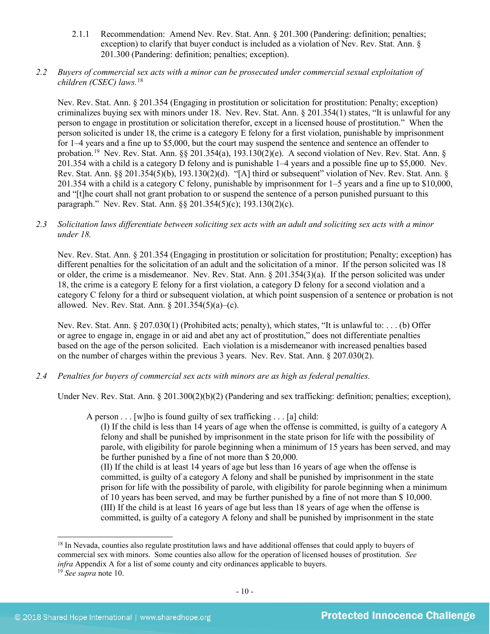- 2.1.1 Recommendation: Amend Nev. Rev. Stat. Ann. § 201.300 (Pandering: definition; penalties; exception) to clarify that buyer conduct is included as a violation of Nev. Rev. Stat. Ann. § 201.300 (Pandering: definition; penalties; exception).
- *2.2 Buyers of commercial sex acts with a minor can be prosecuted under commercial sexual exploitation of children (CSEC) laws.*[18](#page-9-0)

Nev. Rev. Stat. Ann. § 201.354 (Engaging in prostitution or solicitation for prostitution: Penalty; exception) criminalizes buying sex with minors under 18. Nev. Rev. Stat. Ann. § 201.354(1) states, "It is unlawful for any person to engage in prostitution or solicitation therefor, except in a licensed house of prostitution." When the person solicited is under 18, the crime is a category E felony for a first violation, punishable by imprisonment for 1–4 years and a fine up to \$5,000, but the court may suspend the sentence and sentence an offender to probation.<sup>19</sup> Nev. Rev. Stat. Ann. §§ 201.354(a), 193.130(2)(e). A second violation of Nev. Rev. Stat. Ann. § 201.354 with a child is a category D felony and is punishable 1–4 years and a possible fine up to \$5,000. Nev. Rev. Stat. Ann. §§ 201.354(5)(b), 193.130(2)(d). "[A] third or subsequent" violation of Nev. Rev. Stat. Ann. § 201.354 with a child is a category C felony, punishable by imprisonment for 1–5 years and a fine up to \$10,000, and "[t]he court shall not grant probation to or suspend the sentence of a person punished pursuant to this paragraph." Nev. Rev. Stat. Ann. §§ 201.354(5)(c); 193.130(2)(c).

*2.3 Solicitation laws differentiate between soliciting sex acts with an adult and soliciting sex acts with a minor under 18.*

Nev. Rev. Stat. Ann. § 201.354 (Engaging in prostitution or solicitation for prostitution; Penalty; exception) has different penalties for the solicitation of an adult and the solicitation of a minor. If the person solicited was 18 or older, the crime is a misdemeanor. Nev. Rev. Stat. Ann. § 201.354(3)(a). If the person solicited was under 18, the crime is a category E felony for a first violation, a category D felony for a second violation and a category C felony for a third or subsequent violation, at which point suspension of a sentence or probation is not allowed. Nev. Rev. Stat. Ann. § 201.354(5)(a)–(c).

Nev. Rev. Stat. Ann. § 207.030(1) (Prohibited acts; penalty), which states, "It is unlawful to: . . . (b) Offer or agree to engage in, engage in or aid and abet any act of prostitution," does not differentiate penalties based on the age of the person solicited. Each violation is a misdemeanor with increased penalties based on the number of charges within the previous 3 years. Nev. Rev. Stat. Ann. § 207.030(2).

*2.4 Penalties for buyers of commercial sex acts with minors are as high as federal penalties.*

Under Nev. Rev. Stat. Ann. § 201.300(2)(b)(2) (Pandering and sex trafficking: definition; penalties; exception),

A person . . . [w]ho is found guilty of sex trafficking . . . [a] child:

(I) If the child is less than 14 years of age when the offense is committed, is guilty of a category A felony and shall be punished by imprisonment in the state prison for life with the possibility of parole, with eligibility for parole beginning when a minimum of 15 years has been served, and may be further punished by a fine of not more than \$ 20,000.

(II) If the child is at least 14 years of age but less than 16 years of age when the offense is committed, is guilty of a category A felony and shall be punished by imprisonment in the state prison for life with the possibility of parole, with eligibility for parole beginning when a minimum of 10 years has been served, and may be further punished by a fine of not more than \$ 10,000. (III) If the child is at least 16 years of age but less than 18 years of age when the offense is committed, is guilty of a category A felony and shall be punished by imprisonment in the state

<span id="page-9-0"></span><sup>&</sup>lt;sup>18</sup> In Nevada, counties also regulate prostitution laws and have additional offenses that could apply to buyers of commercial sex with minors. Some counties also allow for the operation of licensed houses of prostitution. *See infra* Appendix A for a list of some county and city ordinances applicable to buyers.

<span id="page-9-1"></span><sup>19</sup> *See supra* note [10.](#page-2-3)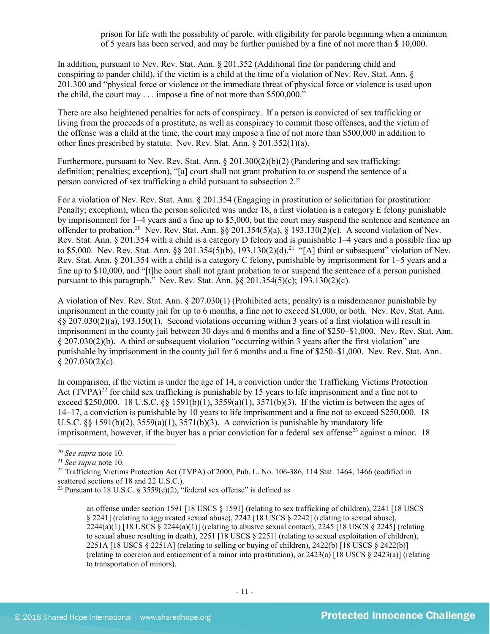prison for life with the possibility of parole, with eligibility for parole beginning when a minimum of 5 years has been served, and may be further punished by a fine of not more than \$ 10,000.

In addition, pursuant to Nev. Rev. Stat. Ann. § 201.352 (Additional fine for pandering child and conspiring to pander child), if the victim is a child at the time of a violation of Nev. Rev. Stat. Ann. § 201.300 and "physical force or violence or the immediate threat of physical force or violence is used upon the child, the court may . . . impose a fine of not more than \$500,000."

There are also heightened penalties for acts of conspiracy. If a person is convicted of sex trafficking or living from the proceeds of a prostitute, as well as conspiracy to commit those offenses, and the victim of the offense was a child at the time, the court may impose a fine of not more than \$500,000 in addition to other fines prescribed by statute. Nev. Rev. Stat. Ann. § 201.352(1)(a).

Furthermore, pursuant to Nev. Rev. Stat. Ann. § 201.300(2)(b)(2) (Pandering and sex trafficking: definition; penalties; exception), "[a] court shall not grant probation to or suspend the sentence of a person convicted of sex trafficking a child pursuant to subsection 2."

For a violation of Nev. Rev. Stat. Ann. § 201.354 (Engaging in prostitution or solicitation for prostitution: Penalty; exception), when the person solicited was under 18, a first violation is a category E felony punishable by imprisonment for 1–4 years and a fine up to \$5,000, but the court may suspend the sentence and sentence an offender to probation.<sup>20</sup> Nev. Rev. Stat. Ann. §§ 201.354(5)(a), § 193.130(2)(e). A second violation of Nev. Rev. Stat. Ann. § 201.354 with a child is a category D felony and is punishable 1–4 years and a possible fine up to \$5,000. Nev. Rev. Stat. Ann. §§ 201.354(5)(b), 193.130(2)(d).<sup>[21](#page-10-1)</sup> "[A] third or subsequent" violation of Nev. Rev. Stat. Ann. § 201.354 with a child is a category C felony, punishable by imprisonment for 1–5 years and a fine up to \$10,000, and "[t]he court shall not grant probation to or suspend the sentence of a person punished pursuant to this paragraph." Nev. Rev. Stat. Ann. §§ 201.354(5)(c); 193.130(2)(c).

A violation of Nev. Rev. Stat. Ann. § 207.030(1) (Prohibited acts; penalty) is a misdemeanor punishable by imprisonment in the county jail for up to 6 months, a fine not to exceed \$1,000, or both. Nev. Rev. Stat. Ann. §§ 207.030(2)(a), 193.150(1). Second violations occurring within 3 years of a first violation will result in imprisonment in the county jail between 30 days and 6 months and a fine of \$250–\$1,000. Nev. Rev. Stat. Ann. § 207.030(2)(b). A third or subsequent violation "occurring within 3 years after the first violation" are punishable by imprisonment in the county jail for 6 months and a fine of \$250–\$1,000. Nev. Rev. Stat. Ann.  $$207.030(2)(c).$ 

<span id="page-10-4"></span>In comparison, if the victim is under the age of 14, a conviction under the Trafficking Victims Protection Act  $(TVPA)^{22}$  $(TVPA)^{22}$  $(TVPA)^{22}$  for child sex trafficking is punishable by 15 years to life imprisonment and a fine not to exceed \$250,000. 18 U.S.C. §§ 1591(b)(1),  $3559(a)(1)$ ,  $3571(b)(3)$ . If the victim is between the ages of 14–17, a conviction is punishable by 10 years to life imprisonment and a fine not to exceed \$250,000. 18 U.S.C. §§ 1591(b)(2),  $3559(a)(1)$ ,  $3571(b)(3)$ . A conviction is punishable by mandatory life imprisonment, however, if the buyer has a prior conviction for a federal sex offense<sup>[23](#page-10-3)</sup> against a minor. 18

<span id="page-10-2"></span><sup>22</sup> Trafficking Victims Protection Act (TVPA) of 2000, Pub. L. No. 106-386, 114 Stat. 1464, 1466 (codified in scattered sections of 18 and 22 U.S.C.).

<span id="page-10-3"></span><sup>23</sup> Pursuant to 18 U.S.C. § 3559(e)(2), "federal sex offense" is defined as

<span id="page-10-5"></span>an offense under section 1591 [18 USCS § 1591] (relating to sex trafficking of children), 2241 [18 USCS § 2241] (relating to aggravated sexual abuse), 2242 [18 USCS § 2242] (relating to sexual abuse),  $2244(a)(1)$  [18 USCS  $\S 2244(a)(1)$ ] (relating to abusive sexual contact), 2245 [18 USCS  $\S 2245$ ] (relating to sexual abuse resulting in death), 2251 [18 USCS § 2251] (relating to sexual exploitation of children), 2251A [18 USCS § 2251A] (relating to selling or buying of children), 2422(b) [18 USCS § 2422(b)] (relating to coercion and enticement of a minor into prostitution), or 2423(a) [18 USCS § 2423(a)] (relating to transportation of minors).

<span id="page-10-0"></span> <sup>20</sup> *See supra* note [10.](#page-2-3)

<span id="page-10-1"></span><sup>21</sup> *See supra* note [10.](#page-2-3)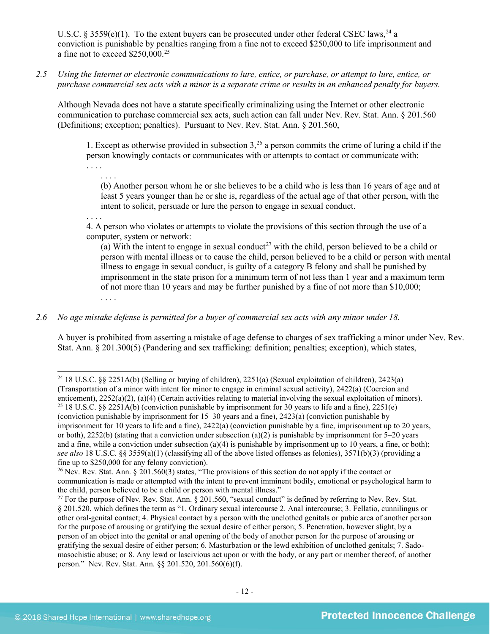U.S.C. § 3559(e)(1). To the extent buyers can be prosecuted under other federal CSEC laws,<sup>24</sup> a conviction is punishable by penalties ranging from a fine not to exceed \$250,000 to life imprisonment and a fine not to exceed \$250,000.[25](#page-11-1)

*2.5 Using the Internet or electronic communications to lure, entice, or purchase, or attempt to lure, entice, or purchase commercial sex acts with a minor is a separate crime or results in an enhanced penalty for buyers.*

Although Nevada does not have a statute specifically criminalizing using the Internet or other electronic communication to purchase commercial sex acts, such action can fall under Nev. Rev. Stat. Ann. § 201.560 (Definitions; exception; penalties). Pursuant to Nev. Rev. Stat. Ann. § 201.560,

1. Except as otherwise provided in subsection  $3<sub>1</sub><sup>26</sup>$  $3<sub>1</sub><sup>26</sup>$  $3<sub>1</sub><sup>26</sup>$  a person commits the crime of luring a child if the person knowingly contacts or communicates with or attempts to contact or communicate with: . . . .

<span id="page-11-4"></span>. . . . (b) Another person whom he or she believes to be a child who is less than 16 years of age and at least 5 years younger than he or she is, regardless of the actual age of that other person, with the intent to solicit, persuade or lure the person to engage in sexual conduct.

. . . . 4. A person who violates or attempts to violate the provisions of this section through the use of a computer, system or network:

(a) With the intent to engage in sexual conduct<sup>[27](#page-11-3)</sup> with the child, person believed to be a child or person with mental illness or to cause the child, person believed to be a child or person with mental illness to engage in sexual conduct, is guilty of a category B felony and shall be punished by imprisonment in the state prison for a minimum term of not less than 1 year and a maximum term of not more than 10 years and may be further punished by a fine of not more than \$10,000; . . . .

*2.6 No age mistake defense is permitted for a buyer of commercial sex acts with any minor under 18.*

A buyer is prohibited from asserting a mistake of age defense to charges of sex trafficking a minor under Nev. Rev. Stat. Ann. § 201.300(5) (Pandering and sex trafficking: definition; penalties; exception), which states,

<span id="page-11-0"></span>24 18 U.S.C. §§ 2251A(b) (Selling or buying of children), 2251(a) (Sexual exploitation of children), 2423(a)

<span id="page-11-1"></span><sup>(</sup>Transportation of a minor with intent for minor to engage in criminal sexual activity), 2422(a) (Coercion and enticement), 2252(a)(2), (a)(4) (Certain activities relating to material involving the sexual exploitation of minors). <sup>25</sup> 18 U.S.C. §§ 2251A(b) (conviction punishable by imprisonment for 30 years to life and a fine), 22 (conviction punishable by imprisonment for 15–30 years and a fine), 2423(a) (conviction punishable by imprisonment for 10 years to life and a fine), 2422(a) (conviction punishable by a fine, imprisonment up to 20 years, or both),  $2252(b)$  (stating that a conviction under subsection (a)(2) is punishable by imprisonment for  $5-20$  years and a fine, while a conviction under subsection (a)(4) is punishable by imprisonment up to 10 years, a fine, or both); *see also* 18 U.S.C. §§ 3559(a)(1) (classifying all of the above listed offenses as felonies), 3571(b)(3) (providing a fine up to \$250,000 for any felony conviction).<br><sup>26</sup> Nev. Rev. Stat. Ann. § 201.560(3) states, "The provisions of this section do not apply if the contact or

<span id="page-11-2"></span>communication is made or attempted with the intent to prevent imminent bodily, emotional or psychological harm to the child, person believed to be a child or person with mental illness."

<span id="page-11-3"></span> $27$  For the purpose of Nev. Rev. Stat. Ann. § 201.560, "sexual conduct" is defined by referring to Nev. Rev. Stat. § 201.520, which defines the term as "1. Ordinary sexual intercourse 2. Anal intercourse; 3. Fellatio, cunnilingus or other oral-genital contact; 4. Physical contact by a person with the unclothed genitals or pubic area of another person for the purpose of arousing or gratifying the sexual desire of either person; 5. Penetration, however slight, by a person of an object into the genital or anal opening of the body of another person for the purpose of arousing or gratifying the sexual desire of either person; 6. Masturbation or the lewd exhibition of unclothed genitals; 7. Sadomasochistic abuse; or 8. Any lewd or lascivious act upon or with the body, or any part or member thereof, of another person." Nev. Rev. Stat. Ann. §§ 201.520, 201.560(6)(f).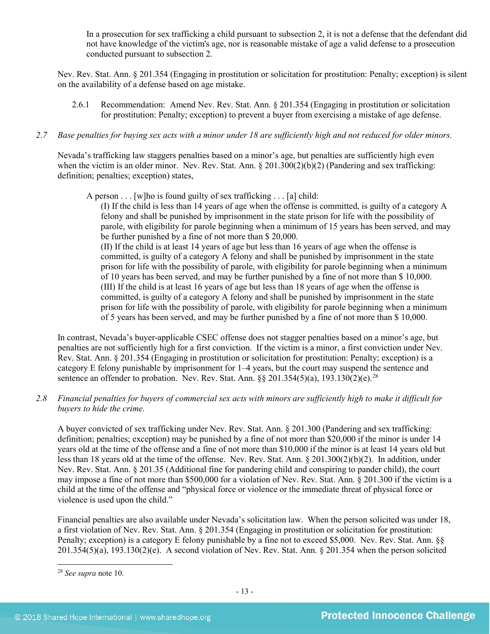In a prosecution for sex trafficking a child pursuant to subsection 2, it is not a defense that the defendant did not have knowledge of the victim's age, nor is reasonable mistake of age a valid defense to a prosecution conducted pursuant to subsection 2.

Nev. Rev. Stat. Ann. § 201.354 (Engaging in prostitution or solicitation for prostitution: Penalty; exception) is silent on the availability of a defense based on age mistake.

2.6.1 Recommendation: Amend Nev. Rev. Stat. Ann. § 201.354 (Engaging in prostitution or solicitation for prostitution: Penalty; exception) to prevent a buyer from exercising a mistake of age defense.

#### *2.7 Base penalties for buying sex acts with a minor under 18 are sufficiently high and not reduced for older minors.*

Nevada's trafficking law staggers penalties based on a minor's age, but penalties are sufficiently high even when the victim is an older minor. Nev. Rev. Stat. Ann. § 201.300(2)(b)(2) (Pandering and sex trafficking: definition; penalties; exception) states,

A person  $\ldots$  [w]ho is found guilty of sex trafficking  $\ldots$  [a] child:

(I) If the child is less than 14 years of age when the offense is committed, is guilty of a category A felony and shall be punished by imprisonment in the state prison for life with the possibility of parole, with eligibility for parole beginning when a minimum of 15 years has been served, and may be further punished by a fine of not more than \$ 20,000.

(II) If the child is at least 14 years of age but less than 16 years of age when the offense is committed, is guilty of a category A felony and shall be punished by imprisonment in the state prison for life with the possibility of parole, with eligibility for parole beginning when a minimum of 10 years has been served, and may be further punished by a fine of not more than \$ 10,000. (III) If the child is at least 16 years of age but less than 18 years of age when the offense is committed, is guilty of a category A felony and shall be punished by imprisonment in the state prison for life with the possibility of parole, with eligibility for parole beginning when a minimum of 5 years has been served, and may be further punished by a fine of not more than \$ 10,000.

In contrast, Nevada's buyer-applicable CSEC offense does not stagger penalties based on a minor's age, but penalties are not sufficiently high for a first conviction. If the victim is a minor, a first conviction under Nev. Rev. Stat. Ann. § 201.354 (Engaging in prostitution or solicitation for prostitution: Penalty; exception) is a category E felony punishable by imprisonment for 1–4 years, but the court may suspend the sentence and sentence an offender to probation. Nev. Rev. Stat. Ann.  $\S$ § 201.354(5)(a), 193.130(2)(e).<sup>[28](#page-12-0)</sup>

## *2.8 Financial penalties for buyers of commercial sex acts with minors are sufficiently high to make it difficult for buyers to hide the crime.*

A buyer convicted of sex trafficking under Nev. Rev. Stat. Ann. § 201.300 (Pandering and sex trafficking: definition; penalties; exception) may be punished by a fine of not more than \$20,000 if the minor is under 14 years old at the time of the offense and a fine of not more than \$10,000 if the minor is at least 14 years old but less than 18 years old at the time of the offense. Nev. Rev. Stat. Ann. § 201.300(2)(b)(2). In addition, under Nev. Rev. Stat. Ann. § 201.35 (Additional fine for pandering child and conspiring to pander child), the court may impose a fine of not more than \$500,000 for a violation of Nev. Rev. Stat. Ann. § 201.300 if the victim is a child at the time of the offense and "physical force or violence or the immediate threat of physical force or violence is used upon the child."

Financial penalties are also available under Nevada's solicitation law. When the person solicited was under 18, a first violation of Nev. Rev. Stat. Ann. § 201.354 (Engaging in prostitution or solicitation for prostitution: Penalty; exception) is a category E felony punishable by a fine not to exceed \$5,000. Nev. Rev. Stat. Ann. §§ 201.354(5)(a), 193.130(2)(e). A second violation of Nev. Rev. Stat. Ann. § 201.354 when the person solicited

<span id="page-12-0"></span> <sup>28</sup> *See supra* note [10.](#page-2-3)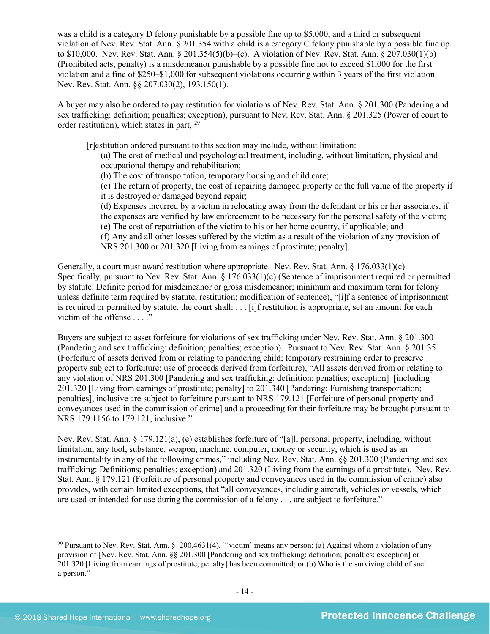was a child is a category D felony punishable by a possible fine up to \$5,000, and a third or subsequent violation of Nev. Rev. Stat. Ann. § 201.354 with a child is a category C felony punishable by a possible fine up to \$10,000. Nev. Rev. Stat. Ann. § 201.354(5)(b)–(c). A violation of Nev. Rev. Stat. Ann. § 207.030(1)(b) (Prohibited acts; penalty) is a misdemeanor punishable by a possible fine not to exceed \$1,000 for the first violation and a fine of \$250–\$1,000 for subsequent violations occurring within 3 years of the first violation. Nev. Rev. Stat. Ann. §§ 207.030(2), 193.150(1).

A buyer may also be ordered to pay restitution for violations of Nev. Rev. Stat. Ann. § 201.300 (Pandering and sex trafficking: definition; penalties; exception), pursuant to Nev. Rev. Stat. Ann. § 201.325 (Power of court to order restitution), which states in part, [29](#page-13-0) 

[r]estitution ordered pursuant to this section may include, without limitation:

<span id="page-13-1"></span>(a) The cost of medical and psychological treatment, including, without limitation, physical and occupational therapy and rehabilitation;

(b) The cost of transportation, temporary housing and child care;

(c) The return of property, the cost of repairing damaged property or the full value of the property if it is destroyed or damaged beyond repair;

- (d) Expenses incurred by a victim in relocating away from the defendant or his or her associates, if the expenses are verified by law enforcement to be necessary for the personal safety of the victim;
- (e) The cost of repatriation of the victim to his or her home country, if applicable; and

(f) Any and all other losses suffered by the victim as a result of the violation of any provision of NRS 201.300 or 201.320 [Living from earnings of prostitute; penalty].

Generally, a court must award restitution where appropriate. Nev. Rev. Stat. Ann. § 176.033(1)(c). Specifically, pursuant to Nev. Rev. Stat. Ann. § 176.033(1)(c) (Sentence of imprisonment required or permitted by statute: Definite period for misdemeanor or gross misdemeanor; minimum and maximum term for felony unless definite term required by statute; restitution; modification of sentence), "[i]f a sentence of imprisonment is required or permitted by statute, the court shall: . . . [i]f restitution is appropriate, set an amount for each victim of the offense . . . ."

Buyers are subject to asset forfeiture for violations of sex trafficking under Nev. Rev. Stat. Ann. § 201.300 (Pandering and sex trafficking: definition; penalties; exception). Pursuant to Nev. Rev. Stat. Ann. § 201.351 (Forfeiture of assets derived from or relating to pandering child; temporary restraining order to preserve property subject to forfeiture; use of proceeds derived from forfeiture), "All assets derived from or relating to any violation of NRS 201.300 [Pandering and sex trafficking: definition; penalties; exception] [including 201.320 [Living from earnings of prostitute; penalty] to 201.340 [Pandering: Furnishing transportation; penalties], inclusive are subject to forfeiture pursuant to NRS 179.121 [Forfeiture of personal property and conveyances used in the commission of crime] and a proceeding for their forfeiture may be brought pursuant to NRS 179.1156 to 179.121, inclusive."

Nev. Rev. Stat. Ann. § 179.121(a), (e) establishes forfeiture of "[a]ll personal property, including, without limitation, any tool, substance, weapon, machine, computer, money or security, which is used as an instrumentality in any of the following crimes," including Nev. Rev. Stat. Ann. §§ 201.300 (Pandering and sex trafficking: Definitions; penalties; exception) and 201.320 (Living from the earnings of a prostitute). Nev. Rev. Stat. Ann. § 179.121 (Forfeiture of personal property and conveyances used in the commission of crime) also provides, with certain limited exceptions, that "all conveyances, including aircraft, vehicles or vessels, which are used or intended for use during the commission of a felony . . . are subject to forfeiture."

<span id="page-13-0"></span><sup>&</sup>lt;sup>29</sup> Pursuant to Nev. Rev. Stat. Ann. § 200.4631(4), "victim' means any person: (a) Against whom a violation of any provision of [Nev. Rev. Stat. Ann. §§ 201.300 [Pandering and sex trafficking: definition; penalties; exception] or 201.320 [Living from earnings of prostitute; penalty] has been committed; or (b) Who is the surviving child of such a person."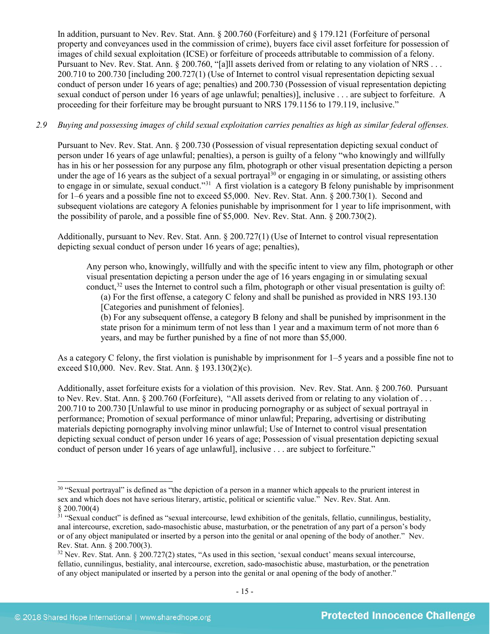In addition, pursuant to Nev. Rev. Stat. Ann. § 200.760 (Forfeiture) and § 179.121 (Forfeiture of personal property and conveyances used in the commission of crime), buyers face civil asset forfeiture for possession of images of child sexual exploitation (ICSE) or forfeiture of proceeds attributable to commission of a felony. Pursuant to Nev. Rev. Stat. Ann. § 200.760, "[a]ll assets derived from or relating to any violation of NRS . . . 200.710 to 200.730 [including 200.727(1) (Use of Internet to control visual representation depicting sexual conduct of person under 16 years of age; penalties) and 200.730 (Possession of visual representation depicting sexual conduct of person under 16 years of age unlawful; penalties)], inclusive . . . are subject to forfeiture. A proceeding for their forfeiture may be brought pursuant to NRS 179.1156 to 179.119, inclusive."

#### *2.9 Buying and possessing images of child sexual exploitation carries penalties as high as similar federal offenses.*

Pursuant to Nev. Rev. Stat. Ann. § 200.730 (Possession of visual representation depicting sexual conduct of person under 16 years of age unlawful; penalties), a person is guilty of a felony "who knowingly and willfully has in his or her possession for any purpose any film, photograph or other visual presentation depicting a person under the age of 16 years as the subject of a sexual portrayal<sup>[30](#page-14-0)</sup> or engaging in or simulating, or assisting others to engage in or simulate, sexual conduct."<sup>[31](#page-14-1)</sup> A first violation is a category B felony punishable by imprisonment for 1–6 years and a possible fine not to exceed \$5,000. Nev. Rev. Stat. Ann. § 200.730(1). Second and subsequent violations are category A felonies punishable by imprisonment for 1 year to life imprisonment, with the possibility of parole, and a possible fine of \$5,000. Nev. Rev. Stat. Ann. § 200.730(2).

Additionally, pursuant to Nev. Rev. Stat. Ann. § 200.727(1) (Use of Internet to control visual representation depicting sexual conduct of person under 16 years of age; penalties),

<span id="page-14-4"></span><span id="page-14-3"></span>Any person who, knowingly, willfully and with the specific intent to view any film, photograph or other visual presentation depicting a person under the age of 16 years engaging in or simulating sexual conduct,<sup>[32](#page-14-2)</sup> uses the Internet to control such a film, photograph or other visual presentation is guilty of:

(a) For the first offense, a category C felony and shall be punished as provided in NRS 193.130 [Categories and punishment of felonies].

(b) For any subsequent offense, a category B felony and shall be punished by imprisonment in the state prison for a minimum term of not less than 1 year and a maximum term of not more than 6 years, and may be further punished by a fine of not more than \$5,000.

As a category C felony, the first violation is punishable by imprisonment for 1–5 years and a possible fine not to exceed \$10,000. Nev. Rev. Stat. Ann. § 193.130(2)(c).

Additionally, asset forfeiture exists for a violation of this provision. Nev. Rev. Stat. Ann. § 200.760. Pursuant to Nev. Rev. Stat. Ann. § 200.760 (Forfeiture), "All assets derived from or relating to any violation of . . . 200.710 to 200.730 [Unlawful to use minor in producing pornography or as subject of sexual portrayal in performance; Promotion of sexual performance of minor unlawful; Preparing, advertising or distributing materials depicting pornography involving minor unlawful; Use of Internet to control visual presentation depicting sexual conduct of person under 16 years of age; Possession of visual presentation depicting sexual conduct of person under 16 years of age unlawful], inclusive . . . are subject to forfeiture."

<span id="page-14-0"></span> $30$  "Sexual portrayal" is defined as "the depiction of a person in a manner which appeals to the prurient interest in sex and which does not have serious literary, artistic, political or scientific value." Nev. Rev. Stat. Ann. § 200.700(4)

<span id="page-14-1"></span> $31$  "Sexual conduct" is defined as "sexual intercourse, lewd exhibition of the genitals, fellatio, cunnilingus, bestiality, anal intercourse, excretion, sado-masochistic abuse, masturbation, or the penetration of any part of a person's body or of any object manipulated or inserted by a person into the genital or anal opening of the body of another." Nev. Rev. Stat. Ann. § 200.700(3).

<span id="page-14-2"></span><sup>&</sup>lt;sup>32</sup> Nev. Rev. Stat. Ann. § 200.727(2) states, "As used in this section, 'sexual conduct' means sexual intercourse, fellatio, cunnilingus, bestiality, anal intercourse, excretion, sado-masochistic abuse, masturbation, or the penetration of any object manipulated or inserted by a person into the genital or anal opening of the body of another."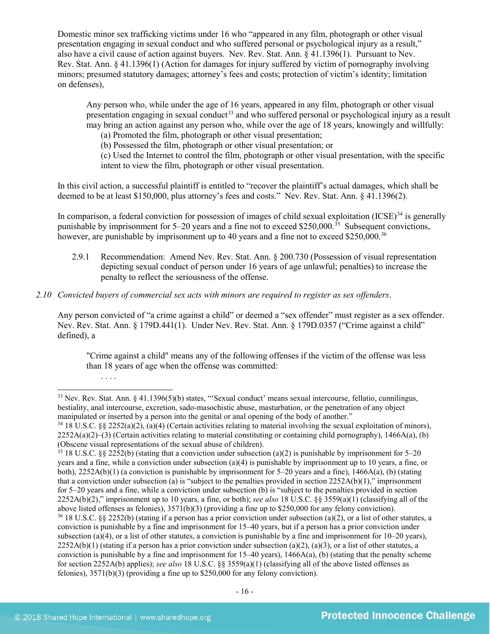Domestic minor sex trafficking victims under 16 who "appeared in any film, photograph or other visual presentation engaging in sexual conduct and who suffered personal or psychological injury as a result," also have a civil cause of action against buyers. Nev. Rev. Stat. Ann. § 41.1396(1). Pursuant to Nev. Rev. Stat. Ann. § 41.1396(1) (Action for damages for injury suffered by victim of pornography involving minors; presumed statutory damages; attorney's fees and costs; protection of victim's identity; limitation on defenses),

Any person who, while under the age of 16 years, appeared in any film, photograph or other visual presentation engaging in sexual conduct<sup>[33](#page-15-0)</sup> and who suffered personal or psychological injury as a result may bring an action against any person who, while over the age of 18 years, knowingly and willfully:

<span id="page-15-4"></span>(a) Promoted the film, photograph or other visual presentation;

(b) Possessed the film, photograph or other visual presentation; or

(c) Used the Internet to control the film, photograph or other visual presentation, with the specific intent to view the film, photograph or other visual presentation.

In this civil action, a successful plaintiff is entitled to "recover the plaintiff's actual damages, which shall be deemed to be at least \$150,000, plus attorney's fees and costs." Nev. Rev. Stat. Ann. § 41.1396(2).

In comparison, a federal conviction for possession of images of child sexual exploitation  $(ICSE)^{34}$  $(ICSE)^{34}$  $(ICSE)^{34}$  is generally punishable by imprisonment for  $5-20$  years and a fine not to exceed \$250,000.<sup>[35](#page-15-2)</sup> Subsequent convictions, however, are punishable by imprisonment up to 40 years and a fine not to exceed \$250,000.<sup>36</sup>

- 2.9.1 Recommendation: Amend Nev. Rev. Stat. Ann. § 200.730 (Possession of visual representation depicting sexual conduct of person under 16 years of age unlawful; penalties) to increase the penalty to reflect the seriousness of the offense.
- *2.10 Convicted buyers of commercial sex acts with minors are required to register as sex offenders*.

Any person convicted of "a crime against a child" or deemed a "sex offender" must register as a sex offender. Nev. Rev. Stat. Ann. § 179D.441(1). Under Nev. Rev. Stat. Ann. § 179D.0357 ("Crime against a child" defined), a

"Crime against a child" means any of the following offenses if the victim of the offense was less than 18 years of age when the offense was committed:

. . . .

<span id="page-15-0"></span> <sup>33</sup> Nev. Rev. Stat. Ann. § 41.1396(5)(b) states, "'Sexual conduct' means sexual intercourse, fellatio, cunnilingus, bestiality, anal intercourse, excretion, sado-masochistic abuse, masturbation, or the penetration of any object manipulated or inserted by a person into the genital or anal opening of the body of another."

<span id="page-15-1"></span><sup>34</sup> 18 U.S.C. §§ 2252(a)(2), (a)(4) (Certain activities relating to material involving the sexual exploitation of minors),  $2252A(a)(2)$ –(3) (Certain activities relating to material constituting or containing child pornography), 1466A(a), (b) (Obscene visual representations of the sexual abuse of children).

<span id="page-15-3"></span><span id="page-15-2"></span><sup>35</sup> 18 U.S.C. §§ 2252(b) (stating that a conviction under subsection (a)(2) is punishable by imprisonment for 5–20 years and a fine, while a conviction under subsection (a)(4) is punishable by imprisonment up to 10 years, a fine, or both), 2252A(b)(1) (a conviction is punishable by imprisonment for 5–20 years and a fine), 1466A(a), (b) (stating that a conviction under subsection (a) is "subject to the penalties provided in section  $2252A(b)(1)$ ," imprisonment for 5–20 years and a fine, while a conviction under subsection (b) is "subject to the penalties provided in section 2252A(b)(2)," imprisonment up to 10 years, a fine, or both); *see also* 18 U.S.C. §§ 3559(a)(1) (classifying all of the above listed offenses as felonies),  $3571(b)(3)$  (providing a fine up to \$250,000 for any felony conviction).<br><sup>36</sup> 18 U.S.C. §§ 2252(b) (stating if a person has a prior conviction under subsection (a)(2), or a list of other conviction is punishable by a fine and imprisonment for 15–40 years, but if a person has a prior conviction under subsection (a)(4), or a list of other statutes, a conviction is punishable by a fine and imprisonment for  $10-20$  years),  $2252A(b)(1)$  (stating if a person has a prior conviction under subsection (a)(2), (a)(3), or a list of other statutes, a conviction is punishable by a fine and imprisonment for 15–40 years), 1466A(a), (b) (stating that the penalty scheme for section 2252A(b) applies); *see also* 18 U.S.C. §§ 3559(a)(1) (classifying all of the above listed offenses as felonies), 3571(b)(3) (providing a fine up to \$250,000 for any felony conviction).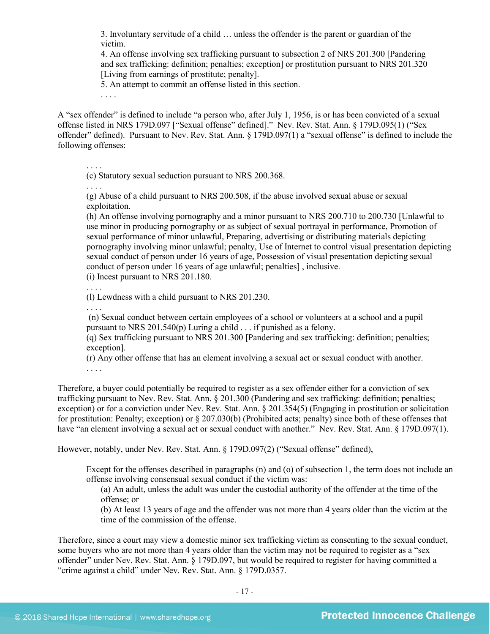3. Involuntary servitude of a child … unless the offender is the parent or guardian of the victim.

4. An offense involving sex trafficking pursuant to subsection 2 of NRS 201.300 [Pandering and sex trafficking: definition; penalties; exception] or prostitution pursuant to NRS 201.320 [Living from earnings of prostitute; penalty].

5. An attempt to commit an offense listed in this section.

. . . .

A "sex offender" is defined to include "a person who, after July 1, 1956, is or has been convicted of a sexual offense listed in NRS 179D.097 ["Sexual offense" defined]." Nev. Rev. Stat. Ann. § 179D.095(1) ("Sex offender" defined). Pursuant to Nev. Rev. Stat. Ann. § 179D.097(1) a "sexual offense" is defined to include the following offenses:

. . . .

(c) Statutory sexual seduction pursuant to NRS 200.368.

. . . .

(g) Abuse of a child pursuant to NRS 200.508, if the abuse involved sexual abuse or sexual exploitation.

(h) An offense involving pornography and a minor pursuant to NRS 200.710 to 200.730 [Unlawful to use minor in producing pornography or as subject of sexual portrayal in performance, Promotion of sexual performance of minor unlawful, Preparing, advertising or distributing materials depicting pornography involving minor unlawful; penalty, Use of Internet to control visual presentation depicting sexual conduct of person under 16 years of age, Possession of visual presentation depicting sexual conduct of person under 16 years of age unlawful; penalties] , inclusive. (i) Incest pursuant to NRS 201.180.

. . . . (l) Lewdness with a child pursuant to NRS 201.230.

. . . .

(n) Sexual conduct between certain employees of a school or volunteers at a school and a pupil pursuant to NRS 201.540(p) Luring a child . . . if punished as a felony.

(q) Sex trafficking pursuant to NRS 201.300 [Pandering and sex trafficking: definition; penalties; exception].

(r) Any other offense that has an element involving a sexual act or sexual conduct with another.

. . . .

Therefore, a buyer could potentially be required to register as a sex offender either for a conviction of sex trafficking pursuant to Nev. Rev. Stat. Ann. § 201.300 (Pandering and sex trafficking: definition; penalties; exception) or for a conviction under Nev. Rev. Stat. Ann. § 201.354(5) (Engaging in prostitution or solicitation for prostitution: Penalty; exception) or § 207.030(b) (Prohibited acts; penalty) since both of these offenses that have "an element involving a sexual act or sexual conduct with another." Nev. Rev. Stat. Ann. § 179D.097(1).

However, notably, under Nev. Rev. Stat. Ann. § 179D.097(2) ("Sexual offense" defined),

Except for the offenses described in paragraphs (n) and (o) of subsection 1, the term does not include an offense involving consensual sexual conduct if the victim was:

(a) An adult, unless the adult was under the custodial authority of the offender at the time of the offense; or

(b) At least 13 years of age and the offender was not more than 4 years older than the victim at the time of the commission of the offense.

Therefore, since a court may view a domestic minor sex trafficking victim as consenting to the sexual conduct, some buyers who are not more than 4 years older than the victim may not be required to register as a "sex" offender" under Nev. Rev. Stat. Ann. § 179D.097, but would be required to register for having committed a "crime against a child" under Nev. Rev. Stat. Ann. § 179D.0357.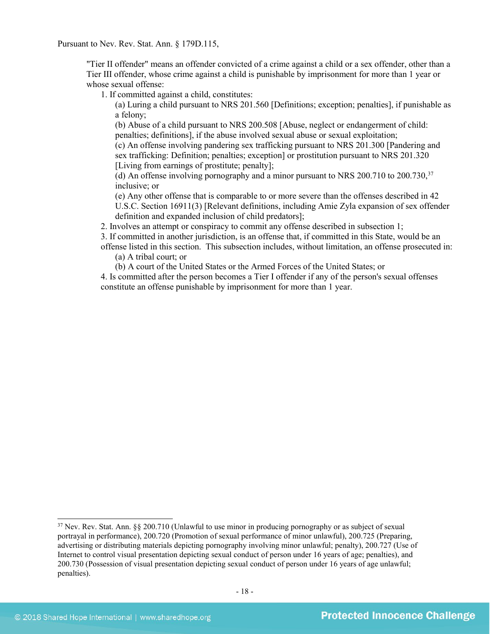Pursuant to Nev. Rev. Stat. Ann. § 179D.115,

"Tier II offender" means an offender convicted of a crime against a child or a sex offender, other than a Tier III offender, whose crime against a child is punishable by imprisonment for more than 1 year or whose sexual offense:

1. If committed against a child, constitutes:

(a) Luring a child pursuant to NRS 201.560 [Definitions; exception; penalties], if punishable as a felony;

(b) Abuse of a child pursuant to NRS 200.508 [Abuse, neglect or endangerment of child: penalties; definitions], if the abuse involved sexual abuse or sexual exploitation;

(c) An offense involving pandering sex trafficking pursuant to NRS 201.300 [Pandering and sex trafficking: Definition; penalties; exception] or prostitution pursuant to NRS 201.320 [Living from earnings of prostitute; penalty];

(d) An offense involving pornography and a minor pursuant to NRS 200.710 to 200.730. $37$ inclusive; or

(e) Any other offense that is comparable to or more severe than the offenses described in 42 U.S.C. Section 16911(3) [Relevant definitions, including Amie Zyla expansion of sex offender definition and expanded inclusion of child predators];

2. Involves an attempt or conspiracy to commit any offense described in subsection 1;

3. If committed in another jurisdiction, is an offense that, if committed in this State, would be an offense listed in this section. This subsection includes, without limitation, an offense prosecuted in:

(a) A tribal court; or

(b) A court of the United States or the Armed Forces of the United States; or

4. Is committed after the person becomes a Tier I offender if any of the person's sexual offenses constitute an offense punishable by imprisonment for more than 1 year.

<span id="page-17-0"></span><sup>&</sup>lt;sup>37</sup> Nev. Rev. Stat. Ann. §§ 200.710 (Unlawful to use minor in producing pornography or as subject of sexual portrayal in performance), 200.720 (Promotion of sexual performance of minor unlawful), 200.725 (Preparing, advertising or distributing materials depicting pornography involving minor unlawful; penalty), 200.727 (Use of Internet to control visual presentation depicting sexual conduct of person under 16 years of age; penalties), and 200.730 (Possession of visual presentation depicting sexual conduct of person under 16 years of age unlawful; penalties).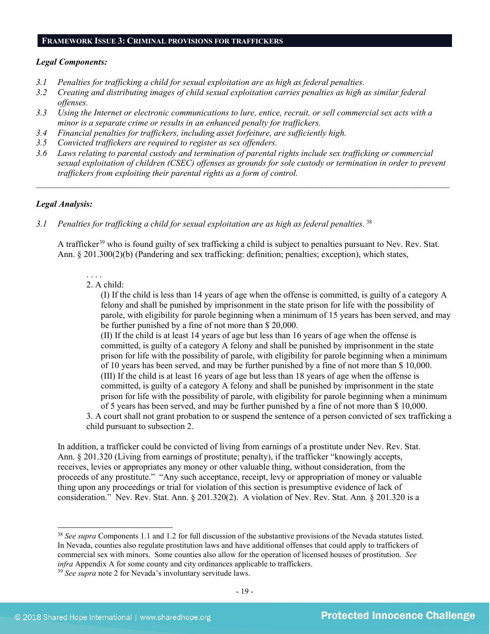#### **FRAMEWORK ISSUE 3: CRIMINAL PROVISIONS FOR TRAFFICKERS**

#### *Legal Components:*

- *3.1 Penalties for trafficking a child for sexual exploitation are as high as federal penalties.*
- *3.2 Creating and distributing images of child sexual exploitation carries penalties as high as similar federal offenses.*
- *3.3 Using the Internet or electronic communications to lure, entice, recruit, or sell commercial sex acts with a minor is a separate crime or results in an enhanced penalty for traffickers.*
- *3.4 Financial penalties for traffickers, including asset forfeiture, are sufficiently high.*
- *3.5 Convicted traffickers are required to register as sex offenders.*
- *3.6 Laws relating to parental custody and termination of parental rights include sex trafficking or commercial sexual exploitation of children (CSEC) offenses as grounds for sole custody or termination in order to prevent traffickers from exploiting their parental rights as a form of control.*

*\_\_\_\_\_\_\_\_\_\_\_\_\_\_\_\_\_\_\_\_\_\_\_\_\_\_\_\_\_\_\_\_\_\_\_\_\_\_\_\_\_\_\_\_\_\_\_\_\_\_\_\_\_\_\_\_\_\_\_\_\_\_\_\_\_\_\_\_\_\_\_\_\_\_\_\_\_\_\_\_\_\_\_\_\_\_\_\_\_\_\_\_\_\_*

#### *Legal Analysis:*

*3.1 Penalties for trafficking a child for sexual exploitation are as high as federal penalties.* [38](#page-18-0)

A trafficker<sup>[39](#page-18-1)</sup> who is found guilty of sex trafficking a child is subject to penalties pursuant to Nev. Rev. Stat. Ann. § 201.300(2)(b) (Pandering and sex trafficking: definition; penalties; exception), which states,

#### 2. A child:

. . . .

(I) If the child is less than 14 years of age when the offense is committed, is guilty of a category A felony and shall be punished by imprisonment in the state prison for life with the possibility of parole, with eligibility for parole beginning when a minimum of 15 years has been served, and may be further punished by a fine of not more than \$ 20,000.

(II) If the child is at least 14 years of age but less than 16 years of age when the offense is committed, is guilty of a category A felony and shall be punished by imprisonment in the state prison for life with the possibility of parole, with eligibility for parole beginning when a minimum of 10 years has been served, and may be further punished by a fine of not more than \$ 10,000. (III) If the child is at least 16 years of age but less than 18 years of age when the offense is committed, is guilty of a category A felony and shall be punished by imprisonment in the state prison for life with the possibility of parole, with eligibility for parole beginning when a minimum of 5 years has been served, and may be further punished by a fine of not more than \$ 10,000.

3. A court shall not grant probation to or suspend the sentence of a person convicted of sex trafficking a child pursuant to subsection 2.

In addition, a trafficker could be convicted of living from earnings of a prostitute under Nev. Rev. Stat. Ann. § 201.320 (Living from earnings of prostitute; penalty), if the trafficker "knowingly accepts, receives, levies or appropriates any money or other valuable thing, without consideration, from the proceeds of any prostitute." "Any such acceptance, receipt, levy or appropriation of money or valuable thing upon any proceedings or trial for violation of this section is presumptive evidence of lack of consideration." Nev. Rev. Stat. Ann. § 201.320(2). A violation of Nev. Rev. Stat. Ann. § 201.320 is a

<span id="page-18-0"></span> <sup>38</sup> *See supra* Components 1.1 and 1.2 for full discussion of the substantive provisions of the Nevada statutes listed. In Nevada, counties also regulate prostitution laws and have additional offenses that could apply to traffickers of commercial sex with minors. Some counties also allow for the operation of licensed houses of prostitution. *See infra* Appendix A for some county and city ordinances applicable to traffickers. 39 *See supra* note [2](#page-0-3) for Nevada's involuntary servitude laws.

<span id="page-18-1"></span>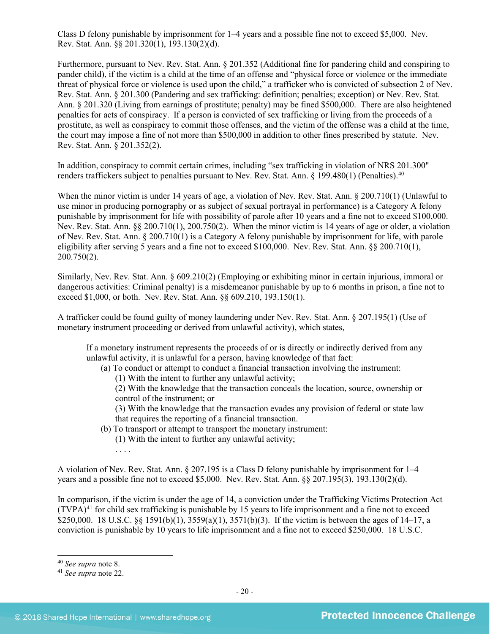Class D felony punishable by imprisonment for 1–4 years and a possible fine not to exceed \$5,000. Nev. Rev. Stat. Ann. §§ 201.320(1), 193.130(2)(d).

Furthermore, pursuant to Nev. Rev. Stat. Ann. § 201.352 (Additional fine for pandering child and conspiring to pander child), if the victim is a child at the time of an offense and "physical force or violence or the immediate threat of physical force or violence is used upon the child," a trafficker who is convicted of subsection 2 of Nev. Rev. Stat. Ann. § 201.300 (Pandering and sex trafficking: definition; penalties; exception) or Nev. Rev. Stat. Ann. § 201.320 (Living from earnings of prostitute; penalty) may be fined \$500,000. There are also heightened penalties for acts of conspiracy. If a person is convicted of sex trafficking or living from the proceeds of a prostitute, as well as conspiracy to commit those offenses, and the victim of the offense was a child at the time, the court may impose a fine of not more than \$500,000 in addition to other fines prescribed by statute. Nev. Rev. Stat. Ann. § 201.352(2).

In addition, conspiracy to commit certain crimes, including "sex trafficking in violation of NRS 201.300" renders traffickers subject to penalties pursuant to Nev. Rev. Stat. Ann. § 199.480(1) (Penalties).<sup>[40](#page-19-0)</sup>

When the minor victim is under 14 years of age, a violation of Nev. Rev. Stat. Ann. § 200.710(1) (Unlawful to use minor in producing pornography or as subject of sexual portrayal in performance) is a Category A felony punishable by imprisonment for life with possibility of parole after 10 years and a fine not to exceed \$100,000. Nev. Rev. Stat. Ann. §§ 200.710(1), 200.750(2). When the minor victim is 14 years of age or older, a violation of Nev. Rev. Stat. Ann. § 200.710(1) is a Category A felony punishable by imprisonment for life, with parole eligibility after serving 5 years and a fine not to exceed \$100,000. Nev. Rev. Stat. Ann. §§ 200.710(1), 200.750(2).

Similarly, Nev. Rev. Stat. Ann. § 609.210(2) (Employing or exhibiting minor in certain injurious, immoral or dangerous activities: Criminal penalty) is a misdemeanor punishable by up to 6 months in prison, a fine not to exceed \$1,000, or both. Nev. Rev. Stat. Ann. §§ 609.210, 193.150(1).

A trafficker could be found guilty of money laundering under Nev. Rev. Stat. Ann. § 207.195(1) (Use of monetary instrument proceeding or derived from unlawful activity), which states,

If a monetary instrument represents the proceeds of or is directly or indirectly derived from any unlawful activity, it is unlawful for a person, having knowledge of that fact:

(a) To conduct or attempt to conduct a financial transaction involving the instrument:

(1) With the intent to further any unlawful activity;

(2) With the knowledge that the transaction conceals the location, source, ownership or control of the instrument; or

(3) With the knowledge that the transaction evades any provision of federal or state law that requires the reporting of a financial transaction.

(b) To transport or attempt to transport the monetary instrument:

(1) With the intent to further any unlawful activity;

. . . .

A violation of Nev. Rev. Stat. Ann. § 207.195 is a Class D felony punishable by imprisonment for 1–4 years and a possible fine not to exceed \$5,000. Nev. Rev. Stat. Ann. §§ 207.195(3), 193.130(2)(d).

In comparison, if the victim is under the age of 14, a conviction under the Trafficking Victims Protection Act  $(TVPA)<sup>41</sup>$  $(TVPA)<sup>41</sup>$  $(TVPA)<sup>41</sup>$  for child sex trafficking is punishable by 15 years to life imprisonment and a fine not to exceed \$250,000. 18 U.S.C. §§ 1591(b)(1), 3559(a)(1), 3571(b)(3). If the victim is between the ages of 14–17, a conviction is punishable by 10 years to life imprisonment and a fine not to exceed \$250,000. 18 U.S.C.

<span id="page-19-0"></span> <sup>40</sup> *See supra* note [8.](#page-2-4)

<span id="page-19-1"></span><sup>41</sup> *See supra* note [22.](#page-10-4)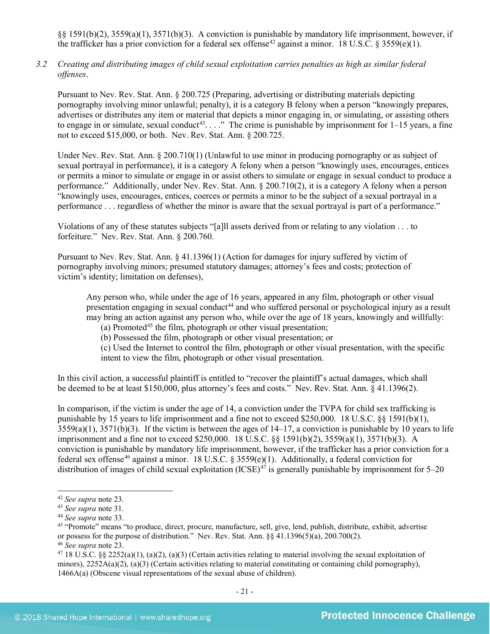§§ 1591(b)(2), 3559(a)(1), 3571(b)(3). A conviction is punishable by mandatory life imprisonment, however, if the trafficker has a prior conviction for a federal sex offense<sup>[42](#page-20-0)</sup> against a minor. 18 U.S.C. § 3559(e)(1).

*3.2 Creating and distributing images of child sexual exploitation carries penalties as high as similar federal offenses*.

Pursuant to Nev. Rev. Stat. Ann. § 200.725 (Preparing, advertising or distributing materials depicting pornography involving minor unlawful; penalty), it is a category B felony when a person "knowingly prepares, advertises or distributes any item or material that depicts a minor engaging in, or simulating, or assisting others to engage in or simulate, sexual conduct<sup>[43](#page-20-1)</sup>. . . ." The crime is punishable by imprisonment for  $1-15$  years, a fine not to exceed \$15,000, or both. Nev. Rev. Stat. Ann. § 200.725.

Under Nev. Rev. Stat. Ann. § 200.710(1) (Unlawful to use minor in producing pornography or as subject of sexual portrayal in performance), it is a category A felony when a person "knowingly uses, encourages, entices or permits a minor to simulate or engage in or assist others to simulate or engage in sexual conduct to produce a performance." Additionally, under Nev. Rev. Stat. Ann. § 200.710(2), it is a category A felony when a person "knowingly uses, encourages, entices, coerces or permits a minor to be the subject of a sexual portrayal in a performance . . . regardless of whether the minor is aware that the sexual portrayal is part of a performance."

Violations of any of these statutes subjects "[a]ll assets derived from or relating to any violation . . . to forfeiture." Nev. Rev. Stat. Ann. § 200.760.

Pursuant to Nev. Rev. Stat. Ann. § 41.1396(1) (Action for damages for injury suffered by victim of pornography involving minors; presumed statutory damages; attorney's fees and costs; protection of victim's identity; limitation on defenses),

Any person who, while under the age of 16 years, appeared in any film, photograph or other visual presentation engaging in sexual conduct<sup>[44](#page-20-2)</sup> and who suffered personal or psychological injury as a result may bring an action against any person who, while over the age of 18 years, knowingly and willfully:

<span id="page-20-6"></span>(a) Promoted<sup>[45](#page-20-3)</sup> the film, photograph or other visual presentation:

(b) Possessed the film, photograph or other visual presentation; or

(c) Used the Internet to control the film, photograph or other visual presentation, with the specific intent to view the film, photograph or other visual presentation.

In this civil action, a successful plaintiff is entitled to "recover the plaintiff's actual damages, which shall be deemed to be at least \$150,000, plus attorney's fees and costs." Nev. Rev. Stat. Ann. § 41.1396(2).

In comparison, if the victim is under the age of 14, a conviction under the TVPA for child sex trafficking is punishable by 15 years to life imprisonment and a fine not to exceed \$250,000. 18 U.S.C. §§ 1591(b)(1),  $3559(a)(1)$ ,  $3571(b)(3)$ . If the victim is between the ages of  $14-17$ , a conviction is punishable by 10 years to life imprisonment and a fine not to exceed \$250,000. 18 U.S.C. §§ 1591(b)(2), 3559(a)(1), 3571(b)(3). A conviction is punishable by mandatory life imprisonment, however, if the trafficker has a prior conviction for a federal sex offense<sup>[46](#page-20-4)</sup> against a minor. 18 U.S.C. § 3559(e)(1). Additionally, a federal conviction for distribution of images of child sexual exploitation  $(ICSE)^{47}$  $(ICSE)^{47}$  $(ICSE)^{47}$  is generally punishable by imprisonment for 5–20

<span id="page-20-0"></span> <sup>42</sup> *See supra* note [23.](#page-10-5)

<span id="page-20-1"></span><sup>43</sup> *See supra* note [31.](#page-14-3)

<span id="page-20-2"></span><sup>44</sup> *See supra* note [33.](#page-15-4)

<span id="page-20-3"></span><sup>45</sup> "Promote" means "to produce, direct, procure, manufacture, sell, give, lend, publish, distribute, exhibit, advertise or possess for the purpose of distribution." Nev. Rev. Stat. Ann. §§ 41.1396(5)(a), 200.700(2).

<span id="page-20-4"></span><sup>46</sup> *See supra* note [23.](#page-10-5)

<span id="page-20-5"></span><sup>&</sup>lt;sup>47</sup> 18 U.S.C. §§ 2252(a)(1), (a)(2), (a)(3) (Certain activities relating to material involving the sexual exploitation of minors),  $2252A(a)(2)$ ,  $(a)(3)$  (Certain activities relating to material constituting or containing child pornography), 1466A(a) (Obscene visual representations of the sexual abuse of children).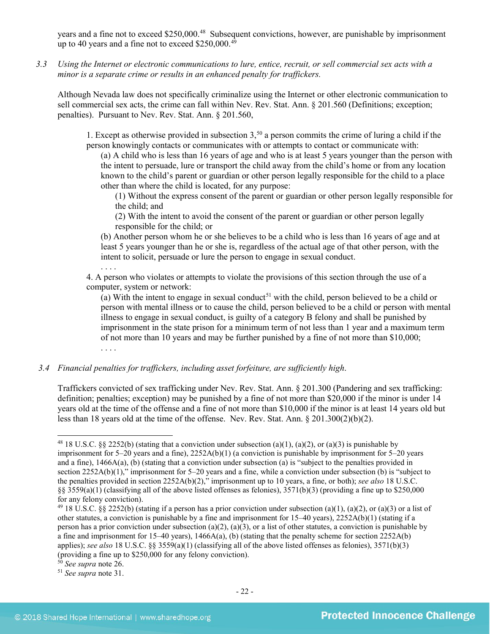years and a fine not to exceed \$250,000.<sup>48</sup> Subsequent convictions, however, are punishable by imprisonment up to 40 years and a fine not to exceed  $$250,000.<sup>49</sup>$  $$250,000.<sup>49</sup>$  $$250,000.<sup>49</sup>$ 

*3.3 Using the Internet or electronic communications to lure, entice, recruit, or sell commercial sex acts with a minor is a separate crime or results in an enhanced penalty for traffickers.*

Although Nevada law does not specifically criminalize using the Internet or other electronic communication to sell commercial sex acts, the crime can fall within Nev. Rev. Stat. Ann. § 201.560 (Definitions; exception; penalties). Pursuant to Nev. Rev. Stat. Ann. § 201.560,

1. Except as otherwise provided in subsection  $3,50$  $3,50$  a person commits the crime of luring a child if the person knowingly contacts or communicates with or attempts to contact or communicate with:

(a) A child who is less than 16 years of age and who is at least 5 years younger than the person with the intent to persuade, lure or transport the child away from the child's home or from any location known to the child's parent or guardian or other person legally responsible for the child to a place other than where the child is located, for any purpose:

(1) Without the express consent of the parent or guardian or other person legally responsible for the child; and

(2) With the intent to avoid the consent of the parent or guardian or other person legally responsible for the child; or

(b) Another person whom he or she believes to be a child who is less than 16 years of age and at least 5 years younger than he or she is, regardless of the actual age of that other person, with the intent to solicit, persuade or lure the person to engage in sexual conduct.

. . . . 4. A person who violates or attempts to violate the provisions of this section through the use of a computer, system or network:

(a) With the intent to engage in sexual conduct<sup>[51](#page-21-3)</sup> with the child, person believed to be a child or person with mental illness or to cause the child, person believed to be a child or person with mental illness to engage in sexual conduct, is guilty of a category B felony and shall be punished by imprisonment in the state prison for a minimum term of not less than 1 year and a maximum term of not more than 10 years and may be further punished by a fine of not more than \$10,000; . . . .

*3.4 Financial penalties for traffickers, including asset forfeiture, are sufficiently high*.

Traffickers convicted of sex trafficking under Nev. Rev. Stat. Ann. § 201.300 (Pandering and sex trafficking: definition; penalties; exception) may be punished by a fine of not more than \$20,000 if the minor is under 14 years old at the time of the offense and a fine of not more than \$10,000 if the minor is at least 14 years old but less than 18 years old at the time of the offense. Nev. Rev. Stat. Ann. § 201.300(2)(b)(2).

<span id="page-21-0"></span><sup>&</sup>lt;sup>48</sup> 18 U.S.C. §§ 2252(b) (stating that a conviction under subsection (a)(1), (a)(2), or (a)(3) is punishable by imprisonment for 5–20 years and a fine), 2252A(b)(1) (a conviction is punishable by imprisonment for 5–20 years and a fine), 1466A(a), (b) (stating that a conviction under subsection (a) is "subject to the penalties provided in section 2252A(b)(1)," imprisonment for 5–20 years and a fine, while a conviction under subsection (b) is "subject to the penalties provided in section 2252A(b)(2)," imprisonment up to 10 years, a fine, or both); *see also* 18 U.S.C. §§ 3559(a)(1) (classifying all of the above listed offenses as felonies), 3571(b)(3) (providing a fine up to \$250,000 for any felony conviction).

<span id="page-21-1"></span><sup>&</sup>lt;sup>49</sup> 18 U.S.C. §§ 2252(b) (stating if a person has a prior conviction under subsection (a)(1), (a)(2), or (a)(3) or a list of other statutes, a conviction is punishable by a fine and imprisonment for  $15-40$  years),  $2252A(b)(1)$  (stating if a person has a prior conviction under subsection (a)(2), (a)(3), or a list of other statutes, a conviction is punishable by a fine and imprisonment for 15–40 years),  $1466A(a)$ , (b) (stating that the penalty scheme for section 2252A(b) applies); *see also* 18 U.S.C. §§ 3559(a)(1) (classifying all of the above listed offenses as felonies), 3571(b)(3) (providing a fine up to \$250,000 for any felony conviction).

<span id="page-21-2"></span><sup>50</sup> *See supra* note [26.](#page-11-4)

<span id="page-21-3"></span><sup>51</sup> *See supra* note [31.](#page-14-3)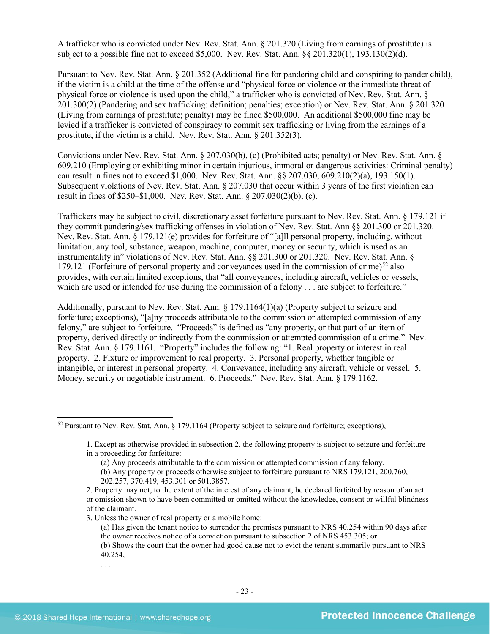A trafficker who is convicted under Nev. Rev. Stat. Ann. § 201.320 (Living from earnings of prostitute) is subject to a possible fine not to exceed \$5,000. Nev. Rev. Stat. Ann. §§ 201.320(1), 193.130(2)(d).

Pursuant to Nev. Rev. Stat. Ann. § 201.352 (Additional fine for pandering child and conspiring to pander child), if the victim is a child at the time of the offense and "physical force or violence or the immediate threat of physical force or violence is used upon the child," a trafficker who is convicted of Nev. Rev. Stat. Ann. § 201.300(2) (Pandering and sex trafficking: definition; penalties; exception) or Nev. Rev. Stat. Ann. § 201.320 (Living from earnings of prostitute; penalty) may be fined \$500,000. An additional \$500,000 fine may be levied if a trafficker is convicted of conspiracy to commit sex trafficking or living from the earnings of a prostitute, if the victim is a child. Nev. Rev. Stat. Ann. § 201.352(3).

Convictions under Nev. Rev. Stat. Ann. § 207.030(b), (c) (Prohibited acts; penalty) or Nev. Rev. Stat. Ann. § 609.210 (Employing or exhibiting minor in certain injurious, immoral or dangerous activities: Criminal penalty) can result in fines not to exceed \$1,000. Nev. Rev. Stat. Ann. §§ 207.030, 609.210(2)(a), 193.150(1). Subsequent violations of Nev. Rev. Stat. Ann. § 207.030 that occur within 3 years of the first violation can result in fines of \$250–\$1,000. Nev. Rev. Stat. Ann. § 207.030(2)(b), (c).

Traffickers may be subject to civil, discretionary asset forfeiture pursuant to Nev. Rev. Stat. Ann. § 179.121 if they commit pandering/sex trafficking offenses in violation of Nev. Rev. Stat. Ann §§ 201.300 or 201.320. Nev. Rev. Stat. Ann. § 179.121(e) provides for forfeiture of "[a]ll personal property, including, without limitation, any tool, substance, weapon, machine, computer, money or security, which is used as an instrumentality in" violations of Nev. Rev. Stat. Ann. §§ 201.300 or 201.320.Nev. Rev. Stat. Ann. § 179.121 (Forfeiture of personal property and conveyances used in the commission of crime)<sup>[52](#page-22-0)</sup> also provides, with certain limited exceptions, that "all conveyances, including aircraft, vehicles or vessels, which are used or intended for use during the commission of a felony . . . are subject to forfeiture."

Additionally, pursuant to Nev. Rev. Stat. Ann. § 179.1164(1)(a) (Property subject to seizure and forfeiture; exceptions), "[a]ny proceeds attributable to the commission or attempted commission of any felony," are subject to forfeiture. "Proceeds" is defined as "any property, or that part of an item of property, derived directly or indirectly from the commission or attempted commission of a crime." Nev. Rev. Stat. Ann. § 179.1161. "Property" includes the following: "1. Real property or interest in real property. 2. Fixture or improvement to real property. 3. Personal property, whether tangible or intangible, or interest in personal property. 4. Conveyance, including any aircraft, vehicle or vessel. 5. Money, security or negotiable instrument. 6. Proceeds." Nev. Rev. Stat. Ann. § 179.1162.

3. Unless the owner of real property or a mobile home:

. . . .

<span id="page-22-0"></span> <sup>52</sup> Pursuant to Nev. Rev. Stat. Ann. § 179.1164 (Property subject to seizure and forfeiture; exceptions),

<sup>1.</sup> Except as otherwise provided in subsection 2, the following property is subject to seizure and forfeiture in a proceeding for forfeiture:

<sup>(</sup>a) Any proceeds attributable to the commission or attempted commission of any felony.

<sup>(</sup>b) Any property or proceeds otherwise subject to forfeiture pursuant to NRS 179.121, 200.760, 202.257, 370.419, 453.301 or 501.3857.

<sup>2.</sup> Property may not, to the extent of the interest of any claimant, be declared forfeited by reason of an act or omission shown to have been committed or omitted without the knowledge, consent or willful blindness of the claimant.

<sup>(</sup>a) Has given the tenant notice to surrender the premises pursuant to NRS 40.254 within 90 days after the owner receives notice of a conviction pursuant to subsection 2 of NRS 453.305; or

<sup>(</sup>b) Shows the court that the owner had good cause not to evict the tenant summarily pursuant to NRS 40.254,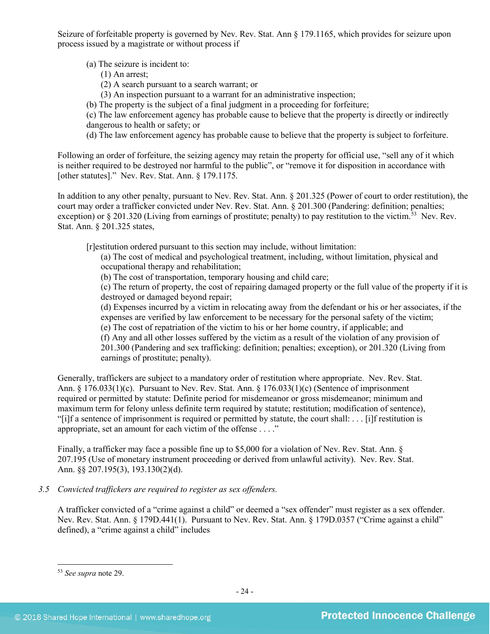Seizure of forfeitable property is governed by Nev. Rev. Stat. Ann § 179.1165, which provides for seizure upon process issued by a magistrate or without process if

(a) The seizure is incident to:

- (1) An arrest;
- (2) A search pursuant to a search warrant; or
- (3) An inspection pursuant to a warrant for an administrative inspection;
- (b) The property is the subject of a final judgment in a proceeding for forfeiture;

(c) The law enforcement agency has probable cause to believe that the property is directly or indirectly dangerous to health or safety; or

(d) The law enforcement agency has probable cause to believe that the property is subject to forfeiture.

Following an order of forfeiture, the seizing agency may retain the property for official use, "sell any of it which is neither required to be destroyed nor harmful to the public", or "remove it for disposition in accordance with [other statutes]." Nev. Rev. Stat. Ann. § 179.1175.

In addition to any other penalty, pursuant to Nev. Rev. Stat. Ann. § 201.325 (Power of court to order restitution), the court may order a trafficker convicted under Nev. Rev. Stat. Ann. § 201.300 (Pandering: definition; penalties; exception) or § 201.320 (Living from earnings of prostitute; penalty) to pay restitution to the victim.<sup>53</sup> Nev. Rev. Stat. Ann. § 201.325 states,

[r]estitution ordered pursuant to this section may include, without limitation:

(a) The cost of medical and psychological treatment, including, without limitation, physical and occupational therapy and rehabilitation;

(b) The cost of transportation, temporary housing and child care;

(c) The return of property, the cost of repairing damaged property or the full value of the property if it is destroyed or damaged beyond repair;

(d) Expenses incurred by a victim in relocating away from the defendant or his or her associates, if the expenses are verified by law enforcement to be necessary for the personal safety of the victim;

(e) The cost of repatriation of the victim to his or her home country, if applicable; and

(f) Any and all other losses suffered by the victim as a result of the violation of any provision of

201.300 (Pandering and sex trafficking: definition; penalties; exception), or 201.320 (Living from earnings of prostitute; penalty).

Generally, traffickers are subject to a mandatory order of restitution where appropriate. Nev. Rev. Stat. Ann. § 176.033(1)(c). Pursuant to Nev. Rev. Stat. Ann. § 176.033(1)(c) (Sentence of imprisonment required or permitted by statute: Definite period for misdemeanor or gross misdemeanor; minimum and maximum term for felony unless definite term required by statute; restitution; modification of sentence), "[i]f a sentence of imprisonment is required or permitted by statute, the court shall: . . . [i]f restitution is appropriate, set an amount for each victim of the offense . . . ."

Finally, a trafficker may face a possible fine up to \$5,000 for a violation of Nev. Rev. Stat. Ann. § 207.195 (Use of monetary instrument proceeding or derived from unlawful activity). Nev. Rev. Stat. Ann. §§ 207.195(3), 193.130(2)(d).

*3.5 Convicted traffickers are required to register as sex offenders.*

A trafficker convicted of a "crime against a child" or deemed a "sex offender" must register as a sex offender. Nev. Rev. Stat. Ann. § 179D.441(1). Pursuant to Nev. Rev. Stat. Ann. § 179D.0357 ("Crime against a child" defined), a "crime against a child" includes

<span id="page-23-0"></span> <sup>53</sup> *See supra* note [29.](#page-13-1)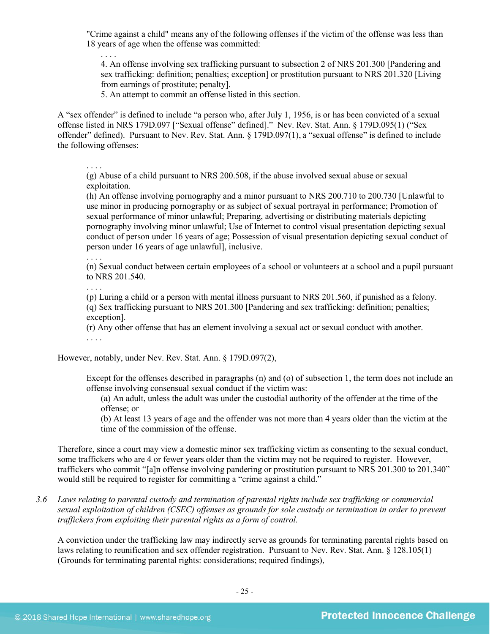"Crime against a child" means any of the following offenses if the victim of the offense was less than 18 years of age when the offense was committed:

. . . . 4. An offense involving sex trafficking pursuant to subsection 2 of NRS 201.300 [Pandering and sex trafficking: definition; penalties; exception] or prostitution pursuant to NRS 201.320 [Living from earnings of prostitute; penalty].

5. An attempt to commit an offense listed in this section.

A "sex offender" is defined to include "a person who, after July 1, 1956, is or has been convicted of a sexual offense listed in NRS 179D.097 ["Sexual offense" defined]." Nev. Rev. Stat. Ann. § 179D.095(1) ("Sex offender" defined). Pursuant to Nev. Rev. Stat. Ann. § 179D.097(1), a "sexual offense" is defined to include the following offenses:

. . . .

(g) Abuse of a child pursuant to NRS 200.508, if the abuse involved sexual abuse or sexual exploitation.

(h) An offense involving pornography and a minor pursuant to NRS 200.710 to 200.730 [Unlawful to use minor in producing pornography or as subject of sexual portrayal in performance; Promotion of sexual performance of minor unlawful; Preparing, advertising or distributing materials depicting pornography involving minor unlawful; Use of Internet to control visual presentation depicting sexual conduct of person under 16 years of age; Possession of visual presentation depicting sexual conduct of person under 16 years of age unlawful], inclusive.

. . . .

(n) Sexual conduct between certain employees of a school or volunteers at a school and a pupil pursuant to NRS [201.540.](http://www.leg.state.nv.us/NRS/NRS-201.html#NRS201Sec540)

. . . .

(p) Luring a child or a person with mental illness pursuant to NRS 201.560, if punished as a felony. (q) Sex trafficking pursuant to NRS 201.300 [Pandering and sex trafficking: definition; penalties; exception].

(r) Any other offense that has an element involving a sexual act or sexual conduct with another.

. . . .

However, notably, under Nev. Rev. Stat. Ann. § 179D.097(2),

Except for the offenses described in paragraphs (n) and (o) of subsection 1, the term does not include an offense involving consensual sexual conduct if the victim was:

(a) An adult, unless the adult was under the custodial authority of the offender at the time of the offense; or

(b) At least 13 years of age and the offender was not more than 4 years older than the victim at the time of the commission of the offense.

Therefore, since a court may view a domestic minor sex trafficking victim as consenting to the sexual conduct, some traffickers who are 4 or fewer years older than the victim may not be required to register. However, traffickers who commit "[a]n offense involving pandering or prostitution pursuant to NRS 201.300 to 201.340" would still be required to register for committing a "crime against a child."

*3.6 Laws relating to parental custody and termination of parental rights include sex trafficking or commercial sexual exploitation of children (CSEC) offenses as grounds for sole custody or termination in order to prevent traffickers from exploiting their parental rights as a form of control.* 

A conviction under the trafficking law may indirectly serve as grounds for terminating parental rights based on laws relating to reunification and sex offender registration. Pursuant to Nev. Rev. Stat. Ann. § 128.105(1) (Grounds for terminating parental rights: considerations; required findings),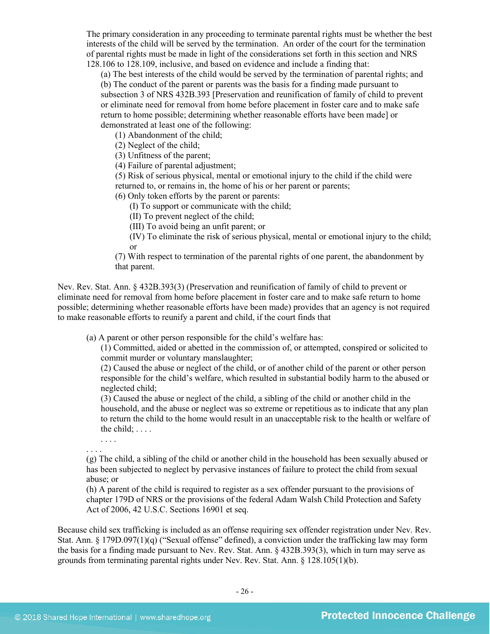The primary consideration in any proceeding to terminate parental rights must be whether the best interests of the child will be served by the termination. An order of the court for the termination of parental rights must be made in light of the considerations set forth in this section and NRS 128.106 to 128.109, inclusive, and based on evidence and include a finding that:

(a) The best interests of the child would be served by the termination of parental rights; and (b) The conduct of the parent or parents was the basis for a finding made pursuant to subsection 3 of NRS 432B.393 [Preservation and reunification of family of child to prevent or eliminate need for removal from home before placement in foster care and to make safe return to home possible; determining whether reasonable efforts have been made] or demonstrated at least one of the following:

(1) Abandonment of the child;

(2) Neglect of the child;

(3) Unfitness of the parent;

(4) Failure of parental adjustment;

(5) Risk of serious physical, mental or emotional injury to the child if the child were returned to, or remains in, the home of his or her parent or parents;

(6) Only token efforts by the parent or parents:

(I) To support or communicate with the child;

(II) To prevent neglect of the child;

(III) To avoid being an unfit parent; or

(IV) To eliminate the risk of serious physical, mental or emotional injury to the child; or

(7) With respect to termination of the parental rights of one parent, the abandonment by that parent.

Nev. Rev. Stat. Ann. § 432B.393(3) (Preservation and reunification of family of child to prevent or eliminate need for removal from home before placement in foster care and to make safe return to home possible; determining whether reasonable efforts have been made) provides that an agency is not required to make reasonable efforts to reunify a parent and child, if the court finds that

(a) A parent or other person responsible for the child's welfare has:

(1) Committed, aided or abetted in the commission of, or attempted, conspired or solicited to commit murder or voluntary manslaughter;

(2) Caused the abuse or neglect of the child, or of another child of the parent or other person responsible for the child's welfare, which resulted in substantial bodily harm to the abused or neglected child;

(3) Caused the abuse or neglect of the child, a sibling of the child or another child in the household, and the abuse or neglect was so extreme or repetitious as to indicate that any plan to return the child to the home would result in an unacceptable risk to the health or welfare of the child; . . . .

. . . .

. . . . (g) The child, a sibling of the child or another child in the household has been sexually abused or has been subjected to neglect by pervasive instances of failure to protect the child from sexual abuse; or

(h) A parent of the child is required to register as a sex offender pursuant to the provisions of chapter 179D of NRS or the provisions of the federal Adam Walsh Child Protection and Safety Act of 2006, 42 U.S.C. Sections 16901 et seq.

Because child sex trafficking is included as an offense requiring sex offender registration under Nev. Rev. Stat. Ann. § 179D.097(1)(q) ("Sexual offense" defined), a conviction under the trafficking law may form the basis for a finding made pursuant to Nev. Rev. Stat. Ann. § 432B.393(3), which in turn may serve as grounds from terminating parental rights under Nev. Rev. Stat. Ann. § 128.105(1)(b).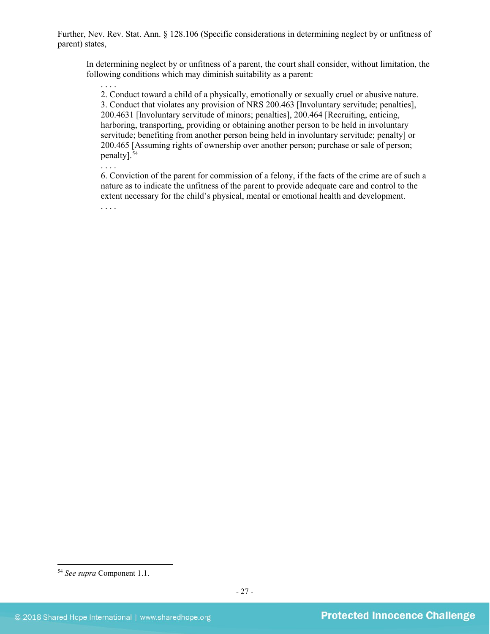Further, Nev. Rev. Stat. Ann. § 128.106 (Specific considerations in determining neglect by or unfitness of parent) states,

In determining neglect by or unfitness of a parent, the court shall consider, without limitation, the following conditions which may diminish suitability as a parent:

. . . . 2. Conduct toward a child of a physically, emotionally or sexually cruel or abusive nature. 3. Conduct that violates any provision of NRS 200.463 [Involuntary servitude; penalties], 200.4631 [Involuntary servitude of minors; penalties], 200.464 [Recruiting, enticing, harboring, transporting, providing or obtaining another person to be held in involuntary servitude; benefiting from another person being held in involuntary servitude; penalty] or 200.465 [Assuming rights of ownership over another person; purchase or sale of person; penalty]. [54](#page-26-0)

. . . .

6. Conviction of the parent for commission of a felony, if the facts of the crime are of such a nature as to indicate the unfitness of the parent to provide adequate care and control to the extent necessary for the child's physical, mental or emotional health and development. . . . .

<span id="page-26-0"></span> <sup>54</sup> *See supra* Component 1.1.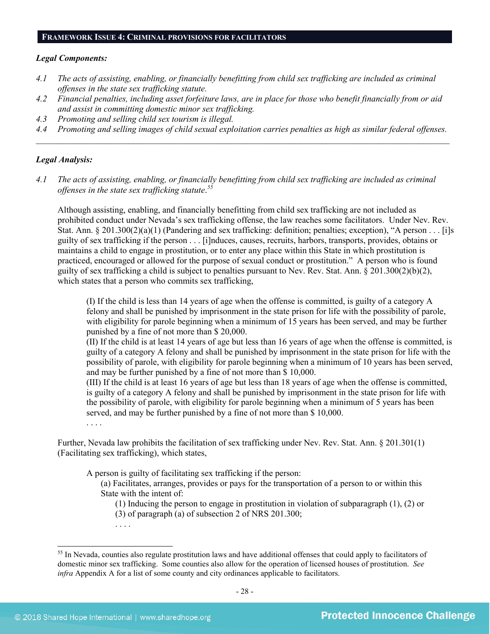#### **FRAMEWORK ISSUE 4: CRIMINAL PROVISIONS FOR FACILITATORS**

#### *Legal Components:*

- *4.1 The acts of assisting, enabling, or financially benefitting from child sex trafficking are included as criminal offenses in the state sex trafficking statute.*
- *4.2 Financial penalties, including asset forfeiture laws, are in place for those who benefit financially from or aid and assist in committing domestic minor sex trafficking.*
- *4.3 Promoting and selling child sex tourism is illegal.*
- *4.4 Promoting and selling images of child sexual exploitation carries penalties as high as similar federal offenses. \_\_\_\_\_\_\_\_\_\_\_\_\_\_\_\_\_\_\_\_\_\_\_\_\_\_\_\_\_\_\_\_\_\_\_\_\_\_\_\_\_\_\_\_\_\_\_\_\_\_\_\_\_\_\_\_\_\_\_\_\_\_\_\_\_\_\_\_\_\_\_\_\_\_\_\_\_\_\_\_\_\_\_\_\_\_\_\_\_\_\_\_\_\_*

#### *Legal Analysis:*

*4.1 The acts of assisting, enabling, or financially benefitting from child sex trafficking are included as criminal offenses in the state sex trafficking statute*. *[55](#page-27-0)*

Although assisting, enabling, and financially benefitting from child sex trafficking are not included as prohibited conduct under Nevada's sex trafficking offense, the law reaches some facilitators. Under Nev. Rev. Stat. Ann.  $\S 201.300(2)(a)(1)$  (Pandering and sex trafficking: definition; penalties; exception), "A person . . . [i]s guilty of sex trafficking if the person . . . [i]nduces, causes, recruits, harbors, transports, provides, obtains or maintains a child to engage in prostitution, or to enter any place within this State in which prostitution is practiced, encouraged or allowed for the purpose of sexual conduct or prostitution." A person who is found guilty of sex trafficking a child is subject to penalties pursuant to Nev. Rev. Stat. Ann. § 201.300(2)(b)(2), which states that a person who commits sex trafficking,

(I) If the child is less than 14 years of age when the offense is committed, is guilty of a category A felony and shall be punished by imprisonment in the state prison for life with the possibility of parole, with eligibility for parole beginning when a minimum of 15 years has been served, and may be further punished by a fine of not more than \$ 20,000.

(II) If the child is at least 14 years of age but less than 16 years of age when the offense is committed, is guilty of a category A felony and shall be punished by imprisonment in the state prison for life with the possibility of parole, with eligibility for parole beginning when a minimum of 10 years has been served, and may be further punished by a fine of not more than \$ 10,000.

(III) If the child is at least 16 years of age but less than 18 years of age when the offense is committed, is guilty of a category A felony and shall be punished by imprisonment in the state prison for life with the possibility of parole, with eligibility for parole beginning when a minimum of 5 years has been served, and may be further punished by a fine of not more than \$ 10,000.

. . . .

Further, Nevada law prohibits the facilitation of sex trafficking under Nev. Rev. Stat. Ann. § 201.301(1) (Facilitating sex trafficking), which states,

A person is guilty of facilitating sex trafficking if the person:

(a) Facilitates, arranges, provides or pays for the transportation of a person to or within this State with the intent of:

(1) Inducing the person to engage in prostitution in violation of subparagraph (1), (2) or (3) of paragraph (a) of subsection 2 of NRS 201.300;

. . . .

<span id="page-27-0"></span><sup>&</sup>lt;sup>55</sup> In Nevada, counties also regulate prostitution laws and have additional offenses that could apply to facilitators of domestic minor sex trafficking. Some counties also allow for the operation of licensed houses of prostitution. *See infra* Appendix A for a list of some county and city ordinances applicable to facilitators.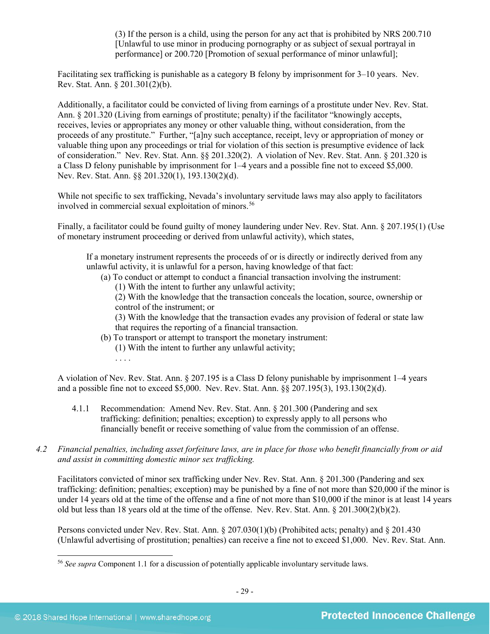(3) If the person is a child, using the person for any act that is prohibited by NRS 200.710 [Unlawful to use minor in producing pornography or as subject of sexual portrayal in performance] or 200.720 [Promotion of sexual performance of minor unlawful];

Facilitating sex trafficking is punishable as a category B felony by imprisonment for 3–10 years. Nev. Rev. Stat. Ann. § 201.301(2)(b).

Additionally, a facilitator could be convicted of living from earnings of a prostitute under Nev. Rev. Stat. Ann. § 201.320 (Living from earnings of prostitute; penalty) if the facilitator "knowingly accepts, receives, levies or appropriates any money or other valuable thing, without consideration, from the proceeds of any prostitute." Further, "[a]ny such acceptance, receipt, levy or appropriation of money or valuable thing upon any proceedings or trial for violation of this section is presumptive evidence of lack of consideration." Nev. Rev. Stat. Ann. §§ 201.320(2). A violation of Nev. Rev. Stat. Ann. § 201.320 is a Class D felony punishable by imprisonment for 1–4 years and a possible fine not to exceed \$5,000. Nev. Rev. Stat. Ann. §§ 201.320(1), 193.130(2)(d).

While not specific to sex trafficking, Nevada's involuntary servitude laws may also apply to facilitators involved in commercial sexual exploitation of minors.<sup>[56](#page-28-0)</sup>

Finally, a facilitator could be found guilty of money laundering under Nev. Rev. Stat. Ann. § 207.195(1) (Use of monetary instrument proceeding or derived from unlawful activity), which states,

If a monetary instrument represents the proceeds of or is directly or indirectly derived from any unlawful activity, it is unlawful for a person, having knowledge of that fact:

- (a) To conduct or attempt to conduct a financial transaction involving the instrument:
	- (1) With the intent to further any unlawful activity;

(2) With the knowledge that the transaction conceals the location, source, ownership or control of the instrument; or

(3) With the knowledge that the transaction evades any provision of federal or state law that requires the reporting of a financial transaction.

(b) To transport or attempt to transport the monetary instrument:

(1) With the intent to further any unlawful activity;

. . . .

A violation of Nev. Rev. Stat. Ann. § 207.195 is a Class D felony punishable by imprisonment 1–4 years and a possible fine not to exceed \$5,000. Nev. Rev. Stat. Ann. §§ 207.195(3), 193.130(2)(d).

- 4.1.1 Recommendation: Amend Nev. Rev. Stat. Ann. § 201.300 (Pandering and sex trafficking: definition; penalties; exception) to expressly apply to all persons who financially benefit or receive something of value from the commission of an offense.
- *4.2 Financial penalties, including asset forfeiture laws, are in place for those who benefit financially from or aid and assist in committing domestic minor sex trafficking.*

Facilitators convicted of minor sex trafficking under Nev. Rev. Stat. Ann. § 201.300 (Pandering and sex trafficking: definition; penalties; exception) may be punished by a fine of not more than \$20,000 if the minor is under 14 years old at the time of the offense and a fine of not more than \$10,000 if the minor is at least 14 years old but less than 18 years old at the time of the offense. Nev. Rev. Stat. Ann. § 201.300(2)(b)(2).

Persons convicted under Nev. Rev. Stat. Ann. § 207.030(1)(b) (Prohibited acts; penalty) and § 201.430 (Unlawful advertising of prostitution; penalties) can receive a fine not to exceed \$1,000. Nev. Rev. Stat. Ann.

<span id="page-28-0"></span> <sup>56</sup> *See supra* Component 1.1 for a discussion of potentially applicable involuntary servitude laws.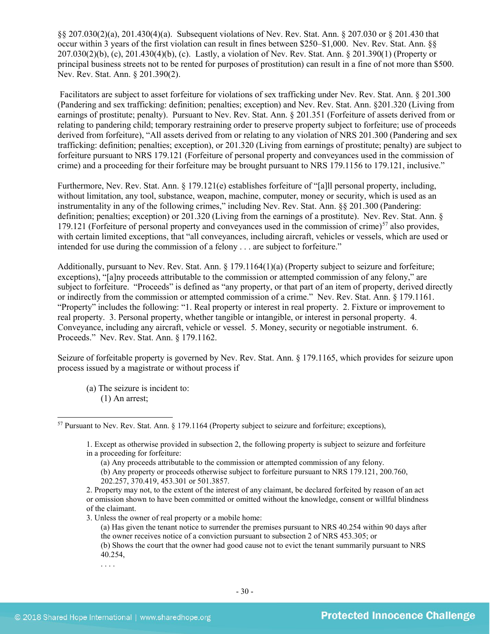§§ 207.030(2)(a), 201.430(4)(a). Subsequent violations of Nev. Rev. Stat. Ann. § 207.030 or § 201.430 that occur within 3 years of the first violation can result in fines between \$250–\$1,000. Nev. Rev. Stat. Ann. §§ 207.030(2)(b), (c), 201.430(4)(b), (c). Lastly, a violation of Nev. Rev. Stat. Ann. § 201.390(1) (Property or principal business streets not to be rented for purposes of prostitution) can result in a fine of not more than \$500. Nev. Rev. Stat. Ann. § 201.390(2).

Facilitators are subject to asset forfeiture for violations of sex trafficking under Nev. Rev. Stat. Ann. § 201.300 (Pandering and sex trafficking: definition; penalties; exception) and Nev. Rev. Stat. Ann. §201.320 (Living from earnings of prostitute; penalty). Pursuant to Nev. Rev. Stat. Ann. § 201.351 (Forfeiture of assets derived from or relating to pandering child; temporary restraining order to preserve property subject to forfeiture; use of proceeds derived from forfeiture), "All assets derived from or relating to any violation of NRS 201.300 (Pandering and sex trafficking: definition; penalties; exception), or 201.320 (Living from earnings of prostitute; penalty) are subject to forfeiture pursuant to NRS 179.121 (Forfeiture of personal property and conveyances used in the commission of crime) and a proceeding for their forfeiture may be brought pursuant to NRS 179.1156 to 179.121, inclusive."

Furthermore, Nev. Rev. Stat. Ann. § 179.121(e) establishes forfeiture of "[a]ll personal property, including, without limitation, any tool, substance, weapon, machine, computer, money or security, which is used as an instrumentality in any of the following crimes," including Nev. Rev. Stat. Ann. §§ 201.300 (Pandering: definition; penalties; exception) or 201.320 (Living from the earnings of a prostitute).Nev. Rev. Stat. Ann. § 179.121 (Forfeiture of personal property and conveyances used in the commission of crime)<sup>[57](#page-29-0)</sup> also provides, with certain limited exceptions, that "all conveyances, including aircraft, vehicles or vessels, which are used or intended for use during the commission of a felony . . . are subject to forfeiture."

Additionally, pursuant to Nev. Rev. Stat. Ann. § 179.1164(1)(a) (Property subject to seizure and forfeiture; exceptions), "[a]ny proceeds attributable to the commission or attempted commission of any felony," are subject to forfeiture. "Proceeds" is defined as "any property, or that part of an item of property, derived directly or indirectly from the commission or attempted commission of a crime." Nev. Rev. Stat. Ann. § 179.1161. "Property" includes the following: "1. Real property or interest in real property. 2. Fixture or improvement to real property. 3. Personal property, whether tangible or intangible, or interest in personal property. 4. Conveyance, including any aircraft, vehicle or vessel. 5. Money, security or negotiable instrument. 6. Proceeds." Nev. Rev. Stat. Ann. § 179.1162.

Seizure of forfeitable property is governed by Nev. Rev. Stat. Ann. § 179.1165, which provides for seizure upon process issued by a magistrate or without process if

(a) The seizure is incident to: (1) An arrest;

3. Unless the owner of real property or a mobile home:

. . . .

<span id="page-29-0"></span> <sup>57</sup> Pursuant to Nev. Rev. Stat. Ann. § 179.1164 (Property subject to seizure and forfeiture; exceptions),

<sup>1.</sup> Except as otherwise provided in subsection 2, the following property is subject to seizure and forfeiture in a proceeding for forfeiture:

<sup>(</sup>a) Any proceeds attributable to the commission or attempted commission of any felony.

<sup>(</sup>b) Any property or proceeds otherwise subject to forfeiture pursuant to NRS 179.121, 200.760, 202.257, 370.419, 453.301 or 501.3857.

<sup>2.</sup> Property may not, to the extent of the interest of any claimant, be declared forfeited by reason of an act or omission shown to have been committed or omitted without the knowledge, consent or willful blindness of the claimant.

<sup>(</sup>a) Has given the tenant notice to surrender the premises pursuant to NRS 40.254 within 90 days after the owner receives notice of a conviction pursuant to subsection 2 of NRS 453.305; or

<sup>(</sup>b) Shows the court that the owner had good cause not to evict the tenant summarily pursuant to NRS 40.254,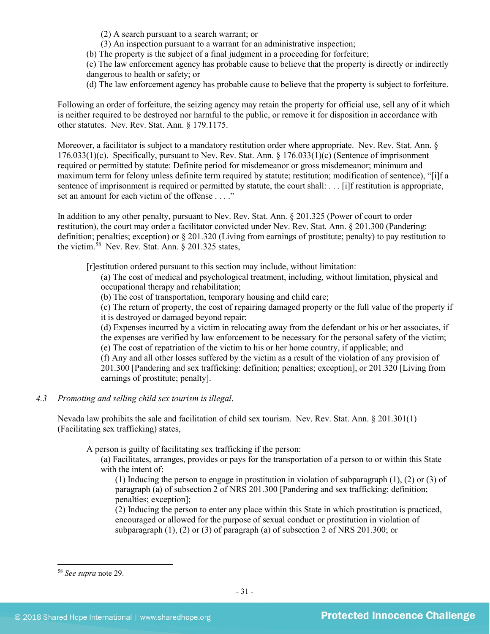(2) A search pursuant to a search warrant; or

(3) An inspection pursuant to a warrant for an administrative inspection;

(b) The property is the subject of a final judgment in a proceeding for forfeiture;

(c) The law enforcement agency has probable cause to believe that the property is directly or indirectly dangerous to health or safety; or

(d) The law enforcement agency has probable cause to believe that the property is subject to forfeiture.

Following an order of forfeiture, the seizing agency may retain the property for official use, sell any of it which is neither required to be destroyed nor harmful to the public, or remove it for disposition in accordance with other statutes. Nev. Rev. Stat. Ann. § 179.1175.

Moreover, a facilitator is subject to a mandatory restitution order where appropriate. Nev. Rev. Stat. Ann. § 176.033(1)(c). Specifically, pursuant to Nev. Rev. Stat. Ann. § 176.033(1)(c) (Sentence of imprisonment required or permitted by statute: Definite period for misdemeanor or gross misdemeanor; minimum and maximum term for felony unless definite term required by statute; restitution; modification of sentence), "[i]f a sentence of imprisonment is required or permitted by statute, the court shall: . . . [i]f restitution is appropriate, set an amount for each victim of the offense . . . ."

In addition to any other penalty, pursuant to Nev. Rev. Stat. Ann. § 201.325 (Power of court to order restitution), the court may order a facilitator convicted under Nev. Rev. Stat. Ann. § 201.300 (Pandering: definition; penalties; exception) or § 201.320 (Living from earnings of prostitute; penalty) to pay restitution to the victim.[58](#page-30-0) Nev. Rev. Stat. Ann. § 201.325 states,

[r]estitution ordered pursuant to this section may include, without limitation:

(a) The cost of medical and psychological treatment, including, without limitation, physical and occupational therapy and rehabilitation;

(b) The cost of transportation, temporary housing and child care;

(c) The return of property, the cost of repairing damaged property or the full value of the property if it is destroyed or damaged beyond repair;

(d) Expenses incurred by a victim in relocating away from the defendant or his or her associates, if the expenses are verified by law enforcement to be necessary for the personal safety of the victim;

(e) The cost of repatriation of the victim to his or her home country, if applicable; and

(f) Any and all other losses suffered by the victim as a result of the violation of any provision of 201.300 [Pandering and sex trafficking: definition; penalties; exception], or 201.320 [Living from earnings of prostitute; penalty].

## *4.3 Promoting and selling child sex tourism is illegal*.

Nevada law prohibits the sale and facilitation of child sex tourism. Nev. Rev. Stat. Ann. § 201.301(1) (Facilitating sex trafficking) states,

A person is guilty of facilitating sex trafficking if the person:

(a) Facilitates, arranges, provides or pays for the transportation of a person to or within this State with the intent of:

(1) Inducing the person to engage in prostitution in violation of subparagraph (1), (2) or (3) of paragraph (a) of subsection 2 of NRS 201.300 [Pandering and sex trafficking: definition; penalties; exception];

(2) Inducing the person to enter any place within this State in which prostitution is practiced, encouraged or allowed for the purpose of sexual conduct or prostitution in violation of subparagraph (1), (2) or (3) of paragraph (a) of subsection 2 of NRS 201.300; or

<span id="page-30-0"></span> <sup>58</sup> *See supra* note [29.](#page-13-1)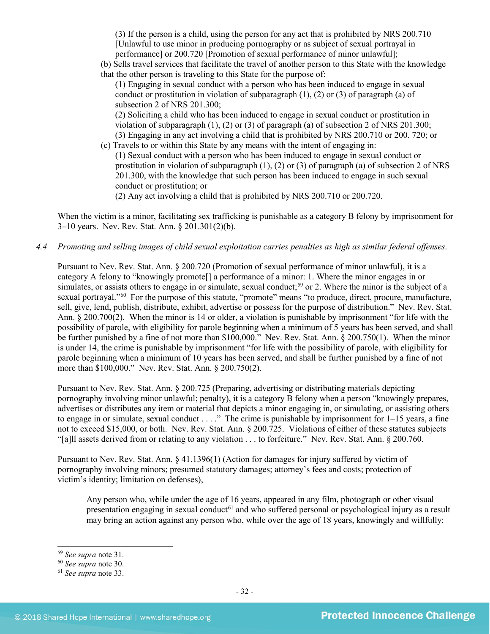(3) If the person is a child, using the person for any act that is prohibited by NRS 200.710 [Unlawful to use minor in producing pornography or as subject of sexual portrayal in performance] or 200.720 [Promotion of sexual performance of minor unlawful];

(b) Sells travel services that facilitate the travel of another person to this State with the knowledge that the other person is traveling to this State for the purpose of:

(1) Engaging in sexual conduct with a person who has been induced to engage in sexual conduct or prostitution in violation of subparagraph  $(1)$ ,  $(2)$  or  $(3)$  of paragraph  $(a)$  of subsection 2 of NRS 201.300;

(2) Soliciting a child who has been induced to engage in sexual conduct or prostitution in violation of subparagraph  $(1)$ ,  $(2)$  or  $(3)$  of paragraph  $(a)$  of subsection 2 of NRS 201.300; (3) Engaging in any act involving a child that is prohibited by NRS 200.710 or 200. 720; or

(c) Travels to or within this State by any means with the intent of engaging in: (1) Sexual conduct with a person who has been induced to engage in sexual conduct or prostitution in violation of subparagraph  $(1)$ ,  $(2)$  or  $(3)$  of paragraph  $(a)$  of subsection 2 of NRS 201.300, with the knowledge that such person has been induced to engage in such sexual conduct or prostitution; or

(2) Any act involving a child that is prohibited by NRS 200.710 or 200.720.

When the victim is a minor, facilitating sex trafficking is punishable as a category B felony by imprisonment for 3–10 years. Nev. Rev. Stat. Ann. § 201.301(2)(b).

## *4.4 Promoting and selling images of child sexual exploitation carries penalties as high as similar federal offenses*.

Pursuant to Nev. Rev. Stat. Ann. § 200.720 (Promotion of sexual performance of minor unlawful), it is a category A felony to "knowingly promote[] a performance of a minor: 1. Where the minor engages in or simulates, or assists others to engage in or simulate, sexual conduct;<sup>[59](#page-31-0)</sup> or 2. Where the minor is the subject of a sexual portrayal."<sup>60</sup> For the purpose of this statute, "promote" means "to produce, direct, procure, manufacture, sell, give, lend, publish, distribute, exhibit, advertise or possess for the purpose of distribution." Nev. Rev. Stat. Ann. § 200.700(2). When the minor is 14 or older, a violation is punishable by imprisonment "for life with the possibility of parole, with eligibility for parole beginning when a minimum of 5 years has been served, and shall be further punished by a fine of not more than \$100,000." Nev. Rev. Stat. Ann. § 200.750(1). When the minor is under 14, the crime is punishable by imprisonment "for life with the possibility of parole, with eligibility for parole beginning when a minimum of 10 years has been served, and shall be further punished by a fine of not more than \$100,000." Nev. Rev. Stat. Ann. § 200.750(2).

Pursuant to Nev. Rev. Stat. Ann. § 200.725 (Preparing, advertising or distributing materials depicting pornography involving minor unlawful; penalty), it is a category B felony when a person "knowingly prepares, advertises or distributes any item or material that depicts a minor engaging in, or simulating, or assisting others to engage in or simulate, sexual conduct . . . ." The crime is punishable by imprisonment for 1–15 years, a fine not to exceed \$15,000, or both. Nev. Rev. Stat. Ann. § 200.725. Violations of either of these statutes subjects "[a]ll assets derived from or relating to any violation . . . to forfeiture." Nev. Rev. Stat. Ann. § 200.760.

Pursuant to Nev. Rev. Stat. Ann. § 41.1396(1) (Action for damages for injury suffered by victim of pornography involving minors; presumed statutory damages; attorney's fees and costs; protection of victim's identity; limitation on defenses),

Any person who, while under the age of 16 years, appeared in any film, photograph or other visual presentation engaging in sexual conduct<sup>[61](#page-31-2)</sup> and who suffered personal or psychological injury as a result may bring an action against any person who, while over the age of 18 years, knowingly and willfully:

<span id="page-31-0"></span> <sup>59</sup> *See supra* note [31.](#page-14-3)

<span id="page-31-1"></span><sup>60</sup> *See supra* note [30.](#page-14-4)

<span id="page-31-2"></span><sup>61</sup> *See supra* note [33.](#page-15-4)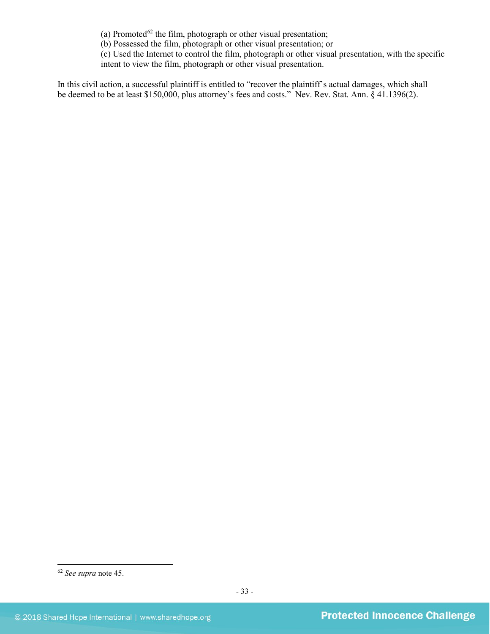(a) Promoted<sup>[62](#page-32-0)</sup> the film, photograph or other visual presentation;

(b) Possessed the film, photograph or other visual presentation; or

(c) Used the Internet to control the film, photograph or other visual presentation, with the specific intent to view the film, photograph or other visual presentation.

In this civil action, a successful plaintiff is entitled to "recover the plaintiff's actual damages, which shall be deemed to be at least \$150,000, plus attorney's fees and costs." Nev. Rev. Stat. Ann. § 41.1396(2).

<span id="page-32-0"></span> <sup>62</sup> *See supra* note [45.](#page-20-6)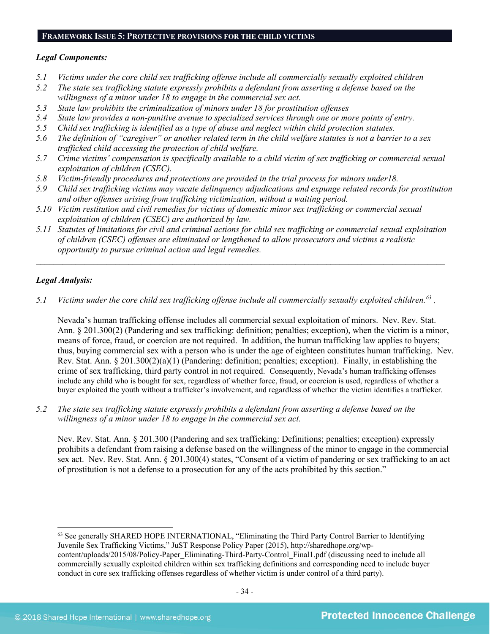#### **FRAMEWORK ISSUE 5: PROTECTIVE PROVISIONS FOR THE CHILD VICTIMS**

#### *Legal Components:*

- *5.1 Victims under the core child sex trafficking offense include all commercially sexually exploited children*
- *5.2 The state sex trafficking statute expressly prohibits a defendant from asserting a defense based on the willingness of a minor under 18 to engage in the commercial sex act.*
- *5.3 State law prohibits the criminalization of minors under 18 for prostitution offenses*
- *5.4 State law provides a non-punitive avenue to specialized services through one or more points of entry.*
- *5.5 Child sex trafficking is identified as a type of abuse and neglect within child protection statutes.*
- *5.6 The definition of "caregiver" or another related term in the child welfare statutes is not a barrier to a sex trafficked child accessing the protection of child welfare.*
- *5.7 Crime victims' compensation is specifically available to a child victim of sex trafficking or commercial sexual exploitation of children (CSEC).*
- *5.8 Victim-friendly procedures and protections are provided in the trial process for minors under18.*
- *5.9 Child sex trafficking victims may vacate delinquency adjudications and expunge related records for prostitution and other offenses arising from trafficking victimization, without a waiting period.*
- *5.10 Victim restitution and civil remedies for victims of domestic minor sex trafficking or commercial sexual exploitation of children (CSEC) are authorized by law.*
- *5.11 Statutes of limitations for civil and criminal actions for child sex trafficking or commercial sexual exploitation of children (CSEC) offenses are eliminated or lengthened to allow prosecutors and victims a realistic opportunity to pursue criminal action and legal remedies.*

*\_\_\_\_\_\_\_\_\_\_\_\_\_\_\_\_\_\_\_\_\_\_\_\_\_\_\_\_\_\_\_\_\_\_\_\_\_\_\_\_\_\_\_\_\_\_\_\_\_\_\_\_\_\_\_\_\_\_\_\_\_\_\_\_\_\_\_\_\_\_\_\_\_\_\_\_\_\_\_\_\_\_\_\_\_\_\_\_\_\_\_\_\_*

## *Legal Analysis:*

*5.1 Victims under the core child sex trafficking offense include all commercially sexually exploited children. [63](#page-33-0) .*

Nevada's human trafficking offense includes all commercial sexual exploitation of minors. Nev. Rev. Stat. Ann. § 201.300(2) (Pandering and sex trafficking: definition; penalties; exception), when the victim is a minor, means of force, fraud, or coercion are not required. In addition, the human trafficking law applies to buyers; thus, buying commercial sex with a person who is under the age of eighteen constitutes human trafficking. Nev. Rev. Stat. Ann. § 201.300(2)(a)(1) (Pandering: definition; penalties; exception). Finally, in establishing the crime of sex trafficking, third party control in not required. Consequently, Nevada's human trafficking offenses include any child who is bought for sex, regardless of whether force, fraud, or coercion is used, regardless of whether a buyer exploited the youth without a trafficker's involvement, and regardless of whether the victim identifies a trafficker.

*5.2 The state sex trafficking statute expressly prohibits a defendant from asserting a defense based on the willingness of a minor under 18 to engage in the commercial sex act.*

Nev. Rev. Stat. Ann. § 201.300 (Pandering and sex trafficking: Definitions; penalties; exception) expressly prohibits a defendant from raising a defense based on the willingness of the minor to engage in the commercial sex act. Nev. Rev. Stat. Ann. § 201.300(4) states, "Consent of a victim of pandering or sex trafficking to an act of prostitution is not a defense to a prosecution for any of the acts prohibited by this section."

<span id="page-33-0"></span> <sup>63</sup> See generally SHARED HOPE INTERNATIONAL, "Eliminating the Third Party Control Barrier to Identifying Juvenile Sex Trafficking Victims," JuST Response Policy Paper (2015), http://sharedhope.org/wpcontent/uploads/2015/08/Policy-Paper\_Eliminating-Third-Party-Control\_Final1.pdf (discussing need to include all commercially sexually exploited children within sex trafficking definitions and corresponding need to include buyer conduct in core sex trafficking offenses regardless of whether victim is under control of a third party).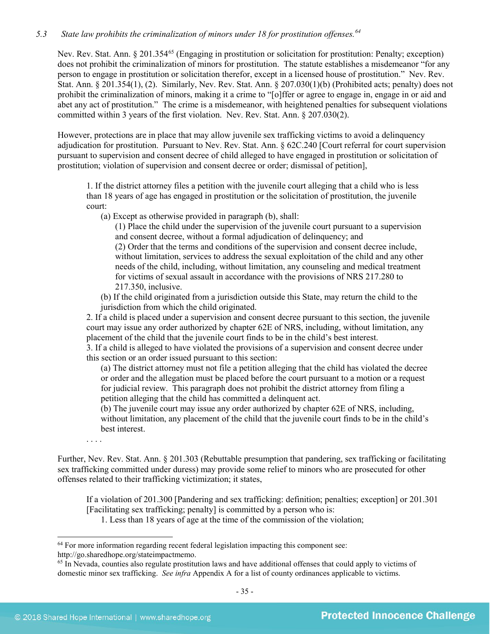## *5.3 State law prohibits the criminalization of minors under 18 for prostitution offenses. [64](#page-34-0)*

Nev. Rev. Stat. Ann. § 201.354<sup>[65](#page-34-1)</sup> (Engaging in prostitution or solicitation for prostitution: Penalty; exception) does not prohibit the criminalization of minors for prostitution. The statute establishes a misdemeanor "for any person to engage in prostitution or solicitation therefor, except in a licensed house of prostitution." Nev. Rev. Stat. Ann. § 201.354(1), (2). Similarly, Nev. Rev. Stat. Ann. § 207.030(1)(b) (Prohibited acts; penalty) does not prohibit the criminalization of minors, making it a crime to "[o]ffer or agree to engage in, engage in or aid and abet any act of prostitution." The crime is a misdemeanor, with heightened penalties for subsequent violations committed within 3 years of the first violation. Nev. Rev. Stat. Ann. § 207.030(2).

However, protections are in place that may allow juvenile sex trafficking victims to avoid a delinquency adjudication for prostitution. Pursuant to Nev. Rev. Stat. Ann. § 62C.240 [Court referral for court supervision pursuant to supervision and consent decree of child alleged to have engaged in prostitution or solicitation of prostitution; violation of supervision and consent decree or order; dismissal of petition],

1. If the district attorney files a petition with the juvenile court alleging that a child who is less than 18 years of age has engaged in prostitution or the solicitation of prostitution, the juvenile court:

(a) Except as otherwise provided in paragraph (b), shall:

(1) Place the child under the supervision of the juvenile court pursuant to a supervision and consent decree, without a formal adjudication of delinquency; and (2) Order that the terms and conditions of the supervision and consent decree include, without limitation, services to address the sexual exploitation of the child and any other needs of the child, including, without limitation, any counseling and medical treatment for victims of sexual assault in accordance with the provisions of NRS 217.280 to 217.350, inclusive.

(b) If the child originated from a jurisdiction outside this State, may return the child to the jurisdiction from which the child originated.

2. If a child is placed under a supervision and consent decree pursuant to this section, the juvenile court may issue any order authorized by chapter 62E of NRS, including, without limitation, any placement of the child that the juvenile court finds to be in the child's best interest.

3. If a child is alleged to have violated the provisions of a supervision and consent decree under this section or an order issued pursuant to this section:

(a) The district attorney must not file a petition alleging that the child has violated the decree or order and the allegation must be placed before the court pursuant to a motion or a request for judicial review. This paragraph does not prohibit the district attorney from filing a petition alleging that the child has committed a delinquent act.

(b) The juvenile court may issue any order authorized by chapter 62E of NRS, including, without limitation, any placement of the child that the juvenile court finds to be in the child's best interest.

. . . .

Further, Nev. Rev. Stat. Ann. § 201.303 (Rebuttable presumption that pandering, sex trafficking or facilitating sex trafficking committed under duress) may provide some relief to minors who are prosecuted for other offenses related to their trafficking victimization; it states,

If a violation of 201.300 [Pandering and sex trafficking: definition; penalties; exception] or 201.301 [Facilitating sex trafficking; penalty] is committed by a person who is:

1. Less than 18 years of age at the time of the commission of the violation;

<span id="page-34-0"></span><sup>&</sup>lt;sup>64</sup> For more information regarding recent federal legislation impacting this component see: http://go.sharedhope.org/stateimpactmemo.

<span id="page-34-1"></span><sup>&</sup>lt;sup>65</sup> In Nevada, counties also regulate prostitution laws and have additional offenses that could apply to victims of domestic minor sex trafficking. *See infra* Appendix A for a list of county ordinances applicable to victims.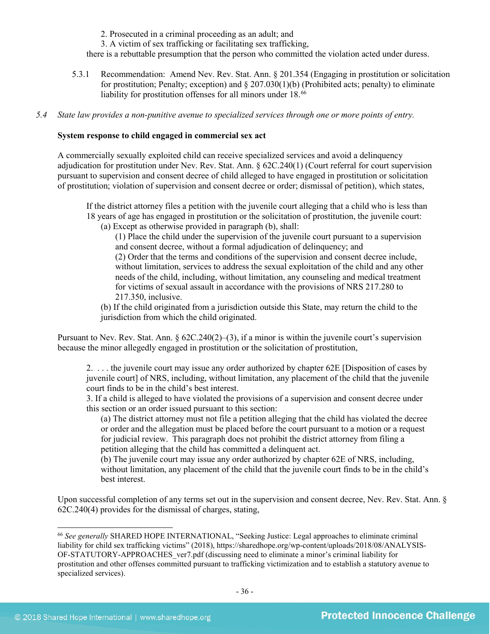2. Prosecuted in a criminal proceeding as an adult; and

3. A victim of sex trafficking or facilitating sex trafficking,

there is a rebuttable presumption that the person who committed the violation acted under duress.

- 5.3.1 Recommendation: Amend Nev. Rev. Stat. Ann. § 201.354 (Engaging in prostitution or solicitation for prostitution; Penalty; exception) and  $\S 207.030(1)(b)$  (Prohibited acts; penalty) to eliminate liability for prostitution offenses for all minors under 18.<sup>[66](#page-35-0)</sup>
- *5.4 State law provides a non-punitive avenue to specialized services through one or more points of entry.*

#### **System response to child engaged in commercial sex act**

A commercially sexually exploited child can receive specialized services and avoid a delinquency adjudication for prostitution under Nev. Rev. Stat. Ann. § 62C.240(1) (Court referral for court supervision pursuant to supervision and consent decree of child alleged to have engaged in prostitution or solicitation of prostitution; violation of supervision and consent decree or order; dismissal of petition), which states,

If the district attorney files a petition with the juvenile court alleging that a child who is less than 18 years of age has engaged in prostitution or the solicitation of prostitution, the juvenile court:

(a) Except as otherwise provided in paragraph (b), shall:

(1) Place the child under the supervision of the juvenile court pursuant to a supervision and consent decree, without a formal adjudication of delinquency; and

(2) Order that the terms and conditions of the supervision and consent decree include, without limitation, services to address the sexual exploitation of the child and any other needs of the child, including, without limitation, any counseling and medical treatment for victims of sexual assault in accordance with the provisions of NRS 217.280 to 217.350, inclusive.

(b) If the child originated from a jurisdiction outside this State, may return the child to the jurisdiction from which the child originated.

Pursuant to Nev. Rev. Stat. Ann.  $\S 62C.240(2)–(3)$ , if a minor is within the juvenile court's supervision because the minor allegedly engaged in prostitution or the solicitation of prostitution,

2. . . . the juvenile court may issue any order authorized by chapter 62E [Disposition of cases by juvenile court] of NRS, including, without limitation, any placement of the child that the juvenile court finds to be in the child's best interest.

3. If a child is alleged to have violated the provisions of a supervision and consent decree under this section or an order issued pursuant to this section:

(a) The district attorney must not file a petition alleging that the child has violated the decree or order and the allegation must be placed before the court pursuant to a motion or a request for judicial review. This paragraph does not prohibit the district attorney from filing a petition alleging that the child has committed a delinquent act.

(b) The juvenile court may issue any order authorized by chapter 62E of NRS, including, without limitation, any placement of the child that the juvenile court finds to be in the child's best interest.

Upon successful completion of any terms set out in the supervision and consent decree, Nev. Rev. Stat. Ann. § 62C.240(4) provides for the dismissal of charges, stating,

<span id="page-35-0"></span> <sup>66</sup> *See generally* SHARED HOPE INTERNATIONAL, "Seeking Justice: Legal approaches to eliminate criminal liability for child sex trafficking victims" (2018), https://sharedhope.org/wp-content/uploads/2018/08/ANALYSIS-OF-STATUTORY-APPROACHES\_ver7.pdf (discussing need to eliminate a minor's criminal liability for prostitution and other offenses committed pursuant to trafficking victimization and to establish a statutory avenue to specialized services).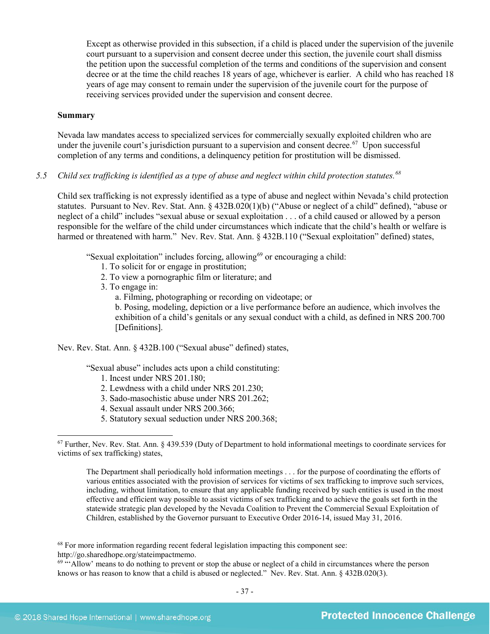Except as otherwise provided in this subsection, if a child is placed under the supervision of the juvenile court pursuant to a supervision and consent decree under this section, the juvenile court shall dismiss the petition upon the successful completion of the terms and conditions of the supervision and consent decree or at the time the child reaches 18 years of age, whichever is earlier. A child who has reached 18 years of age may consent to remain under the supervision of the juvenile court for the purpose of receiving services provided under the supervision and consent decree.

#### **Summary**

Nevada law mandates access to specialized services for commercially sexually exploited children who are under the juvenile court's jurisdiction pursuant to a supervision and consent decree.<sup>[67](#page-36-0)</sup> Upon successful completion of any terms and conditions, a delinquency petition for prostitution will be dismissed.

## *5.5 Child sex trafficking is identified as a type of abuse and neglect within child protection statutes. [68](#page-36-1)*

Child sex trafficking is not expressly identified as a type of abuse and neglect within Nevada's child protection statutes. Pursuant to Nev. Rev. Stat. Ann. § 432B.020(1)(b) ("Abuse or neglect of a child" defined), "abuse or neglect of a child" includes "sexual abuse or sexual exploitation . . . of a child caused or allowed by a person responsible for the welfare of the child under circumstances which indicate that the child's health or welfare is harmed or threatened with harm." Nev. Rev. Stat. Ann. § 432B.110 ("Sexual exploitation" defined) states,

"Sexual exploitation" includes forcing, allowing<sup>69</sup> or encouraging a child:

- 1. To solicit for or engage in prostitution;
- 2. To view a pornographic film or literature; and
- 3. To engage in:
	- a. Filming, photographing or recording on videotape; or

b. Posing, modeling, depiction or a live performance before an audience, which involves the exhibition of a child's genitals or any sexual conduct with a child, as defined in NRS 200.700 [Definitions].

Nev. Rev. Stat. Ann. § 432B.100 ("Sexual abuse" defined) states,

"Sexual abuse" includes acts upon a child constituting:

- 1. Incest under [NRS 201.180;](https://www.lexis.com/research/buttonTFLink?_m=fe0e253fef8054e6df958287d1c2023f&_xfercite=%3ccite%20cc%3d%22USA%22%3e%3c%21%5bCDATA%5bNev.%20Rev.%20Stat.%20Ann.%20%a7%20432B.100%5d%5d%3e%3c%2fcite%3e&_butType=4&_butStat=0&_butNum=7&_butInline=1&_butinfo=NVCODE%20201.180&_fmtstr=FULL&docnum=1&_startdoc=1&wchp=dGLbVzk-zSkAl&_md5=521de425ee50a2f38dc31926d7407ef4)
- 2. Lewdness with a child under [NRS 201.230;](https://www.lexis.com/research/buttonTFLink?_m=fe0e253fef8054e6df958287d1c2023f&_xfercite=%3ccite%20cc%3d%22USA%22%3e%3c%21%5bCDATA%5bNev.%20Rev.%20Stat.%20Ann.%20%a7%20432B.100%5d%5d%3e%3c%2fcite%3e&_butType=4&_butStat=0&_butNum=8&_butInline=1&_butinfo=NVCODE%20201.230&_fmtstr=FULL&docnum=1&_startdoc=1&wchp=dGLbVzk-zSkAl&_md5=b8e636b13f6ac9e4dfce2c0a4046c5db)
- 3. Sado-masochistic abuse under [NRS 201.262;](https://www.lexis.com/research/buttonTFLink?_m=fe0e253fef8054e6df958287d1c2023f&_xfercite=%3ccite%20cc%3d%22USA%22%3e%3c%21%5bCDATA%5bNev.%20Rev.%20Stat.%20Ann.%20%a7%20432B.100%5d%5d%3e%3c%2fcite%3e&_butType=4&_butStat=0&_butNum=9&_butInline=1&_butinfo=NVCODE%20201.262&_fmtstr=FULL&docnum=1&_startdoc=1&wchp=dGLbVzk-zSkAl&_md5=9bae698f6a96442b570787a5a23920e1)
- 4. Sexual assault under [NRS 200.366;](https://www.lexis.com/research/buttonTFLink?_m=fe0e253fef8054e6df958287d1c2023f&_xfercite=%3ccite%20cc%3d%22USA%22%3e%3c%21%5bCDATA%5bNev.%20Rev.%20Stat.%20Ann.%20%a7%20432B.100%5d%5d%3e%3c%2fcite%3e&_butType=4&_butStat=0&_butNum=10&_butInline=1&_butinfo=NVCODE%20200.366&_fmtstr=FULL&docnum=1&_startdoc=1&wchp=dGLbVzk-zSkAl&_md5=87e677fd2e973e9d2743de8b37355866)
- 5. Statutory sexual seduction under [NRS 200.368;](https://www.lexis.com/research/buttonTFLink?_m=fe0e253fef8054e6df958287d1c2023f&_xfercite=%3ccite%20cc%3d%22USA%22%3e%3c%21%5bCDATA%5bNev.%20Rev.%20Stat.%20Ann.%20%a7%20432B.100%5d%5d%3e%3c%2fcite%3e&_butType=4&_butStat=0&_butNum=11&_butInline=1&_butinfo=NVCODE%20200.368&_fmtstr=FULL&docnum=1&_startdoc=1&wchp=dGLbVzk-zSkAl&_md5=166fc503e7368f40e596cfbe8906bbd9)

The Department shall periodically hold information meetings . . . for the purpose of coordinating the efforts of various entities associated with the provision of services for victims of sex trafficking to improve such services, including, without limitation, to ensure that any applicable funding received by such entities is used in the most effective and efficient way possible to assist victims of sex trafficking and to achieve the goals set forth in the statewide strategic plan developed by the Nevada Coalition to Prevent the Commercial Sexual Exploitation of Children, established by the Governor pursuant to Executive Order 2016-14, issued May 31, 2016.

<span id="page-36-1"></span><sup>68</sup> For more information regarding recent federal legislation impacting this component see:

http://go.sharedhope.org/stateimpactmemo.

<span id="page-36-2"></span> $69$  "'Allow' means to do nothing to prevent or stop the abuse or neglect of a child in circumstances where the person knows or has reason to know that a child is abused or neglected." Nev. Rev. Stat. Ann. § 432B.020(3).

<span id="page-36-0"></span> $67$  Further, Nev. Rev. Stat. Ann. § 439.539 (Duty of Department to hold informational meetings to coordinate services for victims of sex trafficking) states,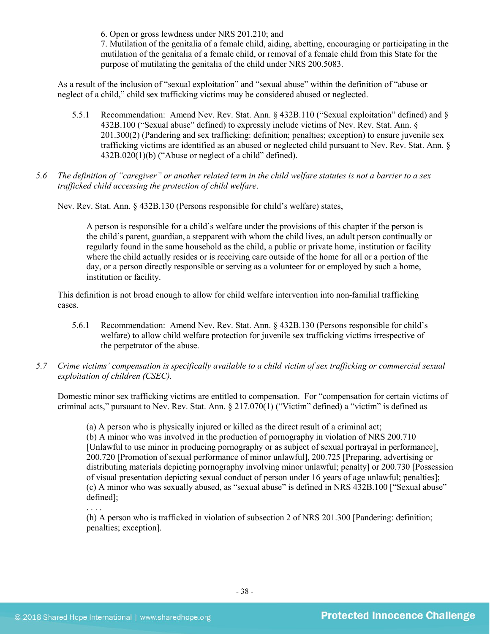6. Open or gross lewdness under [NRS 201.210;](https://www.lexis.com/research/buttonTFLink?_m=fe0e253fef8054e6df958287d1c2023f&_xfercite=%3ccite%20cc%3d%22USA%22%3e%3c%21%5bCDATA%5bNev.%20Rev.%20Stat.%20Ann.%20%a7%20432B.100%5d%5d%3e%3c%2fcite%3e&_butType=4&_butStat=0&_butNum=12&_butInline=1&_butinfo=NVCODE%20201.210&_fmtstr=FULL&docnum=1&_startdoc=1&wchp=dGLbVzk-zSkAl&_md5=f731e1cbdaa2feb2d0bfeba63eb0368b) and

7. Mutilation of the genitalia of a female child, aiding, abetting, encouraging or participating in the mutilation of the genitalia of a female child, or removal of a female child from this State for the purpose of mutilating the genitalia of the child under [NRS 200.5083.](https://www.lexis.com/research/buttonTFLink?_m=fe0e253fef8054e6df958287d1c2023f&_xfercite=%3ccite%20cc%3d%22USA%22%3e%3c%21%5bCDATA%5bNev.%20Rev.%20Stat.%20Ann.%20%a7%20432B.100%5d%5d%3e%3c%2fcite%3e&_butType=4&_butStat=0&_butNum=13&_butInline=1&_butinfo=NVCODE%20200.5083&_fmtstr=FULL&docnum=1&_startdoc=1&wchp=dGLbVzk-zSkAl&_md5=04f6301ef5e56530c30064465c75f84d)

As a result of the inclusion of "sexual exploitation" and "sexual abuse" within the definition of "abuse or neglect of a child," child sex trafficking victims may be considered abused or neglected.

- 5.5.1 Recommendation: Amend Nev. Rev. Stat. Ann. § 432B.110 ("Sexual exploitation" defined) and § 432B.100 ("Sexual abuse" defined) to expressly include victims of Nev. Rev. Stat. Ann. § 201.300(2) (Pandering and sex trafficking: definition; penalties; exception) to ensure juvenile sex trafficking victims are identified as an abused or neglected child pursuant to Nev. Rev. Stat. Ann. § 432B.020(1)(b) ("Abuse or neglect of a child" defined).
- *5.6 The definition of "caregiver" or another related term in the child welfare statutes is not a barrier to a sex trafficked child accessing the protection of child welfare*.

Nev. Rev. Stat. Ann. § 432B.130 (Persons responsible for child's welfare) states,

A person is responsible for a child's welfare under the provisions of this chapter if the person is the child's parent, guardian, a stepparent with whom the child lives, an adult person continually or regularly found in the same household as the child, a public or private home, institution or facility where the child actually resides or is receiving care outside of the home for all or a portion of the day, or a person directly responsible or serving as a volunteer for or employed by such a home, institution or facility.

This definition is not broad enough to allow for child welfare intervention into non-familial trafficking cases.

- 5.6.1 Recommendation: Amend Nev. Rev. Stat. Ann. § 432B.130 (Persons responsible for child's welfare) to allow child welfare protection for juvenile sex trafficking victims irrespective of the perpetrator of the abuse.
- *5.7 Crime victims' compensation is specifically available to a child victim of sex trafficking or commercial sexual exploitation of children (CSEC).*

Domestic minor sex trafficking victims are entitled to compensation. For "compensation for certain victims of criminal acts," pursuant to Nev. Rev. Stat. Ann. § 217.070(1) ("Victim" defined) a "victim" is defined as

(a) A person who is physically injured or killed as the direct result of a criminal act; (b) A minor who was involved in the production of pornography in violation of [NRS 200.710](https://www.lexis.com/research/buttonTFLink?_m=f5902906e94dddf97b4cb3a70ffa9d86&_xfercite=%3ccite%20cc%3d%22USA%22%3e%3c%21%5bCDATA%5bNev.%20Rev.%20Stat.%20Ann.%20%a7%20217.070%5d%5d%3e%3c%2fcite%3e&_butType=4&_butStat=0&_butNum=2&_butInline=1&_butinfo=NVCODE%20200.710&_fmtstr=FULL&docnum=1&_startdoc=1&wchp=dGLbVzz-zSkAz&_md5=047fa86c7eef0d1ca5baed8357cd932c) [Unlawful to use minor in producing pornography or as subject of sexual portrayal in performance], 200.720 [Promotion of sexual performance of minor unlawful], 200.725 [Preparing, advertising or distributing materials depicting pornography involving minor unlawful; penalty] or 200.730 [Possession of visual presentation depicting sexual conduct of person under 16 years of age unlawful; penalties]; (c) A minor who was sexually abused, as "sexual abuse" is defined in NRS 432B.100 ["Sexual abuse" defined];

(h) A person who is trafficked in violation of subsection 2 of NRS 201.300 [Pandering: definition; penalties; exception].

. . . .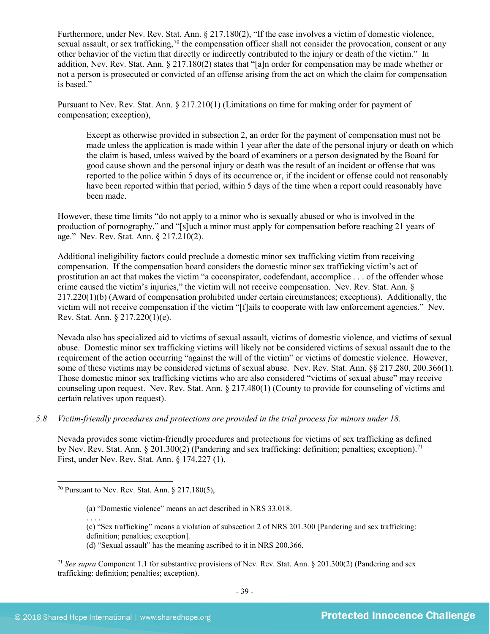Furthermore, under Nev. Rev. Stat. Ann. § 217.180(2), "If the case involves a victim of domestic violence, sexual assault, or sex trafficking,<sup>[70](#page-38-0)</sup> the compensation officer shall not consider the provocation, consent or any other behavior of the victim that directly or indirectly contributed to the injury or death of the victim." In addition, Nev. Rev. Stat. Ann. § 217.180(2) states that "[a]n order for compensation may be made whether or not a person is prosecuted or convicted of an offense arising from the act on which the claim for compensation is based."

Pursuant to Nev. Rev. Stat. Ann. § 217.210(1) (Limitations on time for making order for payment of compensation; exception),

Except as otherwise provided in subsection 2, an order for the payment of compensation must not be made unless the application is made within 1 year after the date of the personal injury or death on which the claim is based, unless waived by the board of examiners or a person designated by the Board for good cause shown and the personal injury or death was the result of an incident or offense that was reported to the police within 5 days of its occurrence or, if the incident or offense could not reasonably have been reported within that period, within 5 days of the time when a report could reasonably have been made.

However, these time limits "do not apply to a minor who is sexually abused or who is involved in the production of pornography," and "[s]uch a minor must apply for compensation before reaching 21 years of age." Nev. Rev. Stat. Ann. § 217.210(2).

Additional ineligibility factors could preclude a domestic minor sex trafficking victim from receiving compensation. If the compensation board considers the domestic minor sex trafficking victim's act of prostitution an act that makes the victim "a coconspirator, codefendant, accomplice . . . of the offender whose crime caused the victim's injuries," the victim will not receive compensation. Nev. Rev. Stat. Ann. § 217.220(1)(b) (Award of compensation prohibited under certain circumstances; exceptions). Additionally, the victim will not receive compensation if the victim "[f]ails to cooperate with law enforcement agencies." Nev. Rev. Stat. Ann. § 217.220(1)(e).

Nevada also has specialized aid to victims of sexual assault, victims of domestic violence, and victims of sexual abuse. Domestic minor sex trafficking victims will likely not be considered victims of sexual assault due to the requirement of the action occurring "against the will of the victim" or victims of domestic violence. However, some of these victims may be considered victims of sexual abuse. Nev. Rev. Stat. Ann. §§ 217.280, 200.366(1). Those domestic minor sex trafficking victims who are also considered "victims of sexual abuse" may receive counseling upon request. Nev. Rev. Stat. Ann. § 217.480(1) (County to provide for counseling of victims and certain relatives upon request).

#### *5.8 Victim-friendly procedures and protections are provided in the trial process for minors under 18.*

Nevada provides some victim-friendly procedures and protections for victims of sex trafficking as defined by Nev. Rev. Stat. Ann. § 201.300(2) (Pandering and sex trafficking: definition; penalties; exception).<sup>71</sup> First, under Nev. Rev. Stat. Ann. § 174.227 (1),

. . . . (c) "Sex trafficking" means a violation of subsection 2 of NRS 201.300 [Pandering and sex trafficking: definition; penalties; exception].

<span id="page-38-0"></span> $70$  Pursuant to Nev. Rev. Stat. Ann.  $\S 217.180(5)$ .

<sup>(</sup>a) "Domestic violence" means an act described in NRS 33.018.

<sup>(</sup>d) "Sexual assault" has the meaning ascribed to it in NRS 200.366.

<span id="page-38-1"></span><sup>71</sup> *See supra* Component 1.1 for substantive provisions of Nev. Rev. Stat. Ann. § 201.300(2) (Pandering and sex trafficking: definition; penalties; exception).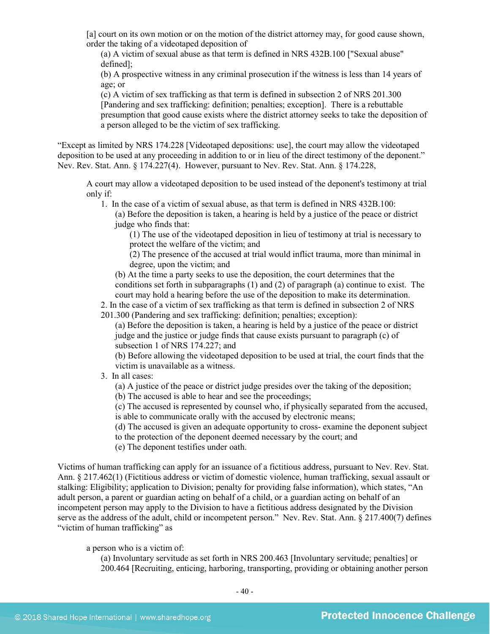[a] court on its own motion or on the motion of the district attorney may, for good cause shown, order the taking of a videotaped deposition of

(a) A victim of sexual abuse as that term is defined in NRS 432B.100 ["Sexual abuse" defined];

(b) A prospective witness in any criminal prosecution if the witness is less than 14 years of age; or

(c) A victim of sex trafficking as that term is defined in subsection 2 of NRS 201.300 [Pandering and sex trafficking: definition; penalties; exception]. There is a rebuttable presumption that good cause exists where the district attorney seeks to take the deposition of a person alleged to be the victim of sex trafficking.

"Except as limited by NRS 174.228 [Videotaped depositions: use], the court may allow the videotaped deposition to be used at any proceeding in addition to or in lieu of the direct testimony of the deponent." Nev. Rev. Stat. Ann. § 174.227(4). However, pursuant to Nev. Rev. Stat. Ann. § 174.228,

A court may allow a videotaped deposition to be used instead of the deponent's testimony at trial only if:

1. In the case of a victim of sexual abuse, as that term is defined in NRS 432B.100:

(a) Before the deposition is taken, a hearing is held by a justice of the peace or district judge who finds that:

(1) The use of the videotaped deposition in lieu of testimony at trial is necessary to protect the welfare of the victim; and

(2) The presence of the accused at trial would inflict trauma, more than minimal in degree, upon the victim; and

(b) At the time a party seeks to use the deposition, the court determines that the conditions set forth in subparagraphs (1) and (2) of paragraph (a) continue to exist. The court may hold a hearing before the use of the deposition to make its determination.

2. In the case of a victim of sex trafficking as that term is defined in subsection 2 of NRS 201.300 (Pandering and sex trafficking: definition; penalties; exception):

(a) Before the deposition is taken, a hearing is held by a justice of the peace or district judge and the justice or judge finds that cause exists pursuant to paragraph (c) of subsection 1 of NRS 174.227; and

(b) Before allowing the videotaped deposition to be used at trial, the court finds that the victim is unavailable as a witness.

3. In all cases:

(a) A justice of the peace or district judge presides over the taking of the deposition;

(b) The accused is able to hear and see the proceedings;

(c) The accused is represented by counsel who, if physically separated from the accused, is able to communicate orally with the accused by electronic means;

(d) The accused is given an adequate opportunity to cross- examine the deponent subject to the protection of the deponent deemed necessary by the court; and

(e) The deponent testifies under oath.

Victims of human trafficking can apply for an issuance of a fictitious address, pursuant to Nev. Rev. Stat. Ann. § 217.462(1) (Fictitious address or victim of domestic violence, human trafficking, sexual assault or stalking: Eligibility; application to Division; penalty for providing false information), which states, "An adult person, a parent or guardian acting on behalf of a child, or a guardian acting on behalf of an incompetent person may apply to the Division to have a fictitious address designated by the Division serve as the address of the adult, child or incompetent person." Nev. Rev. Stat. Ann. § 217.400(7) defines "victim of human trafficking" as

a person who is a victim of:

(a) Involuntary servitude as set forth in NRS 200.463 [Involuntary servitude; penalties] or 200.464 [Recruiting, enticing, harboring, transporting, providing or obtaining another person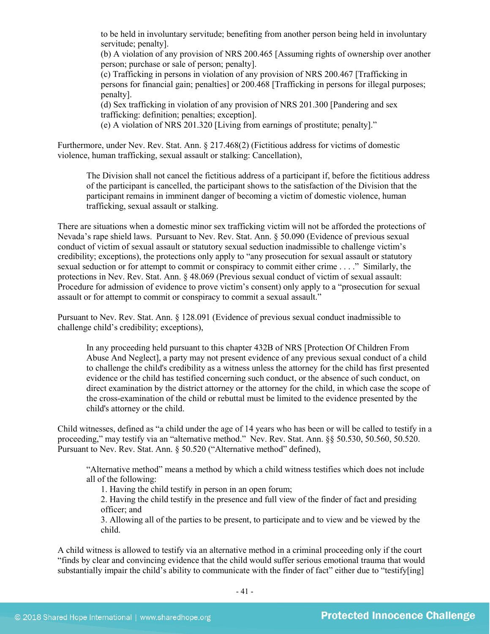to be held in involuntary servitude; benefiting from another person being held in involuntary servitude; penalty].

(b) A violation of any provision of NRS 200.465 [Assuming rights of ownership over another person; purchase or sale of person; penalty].

(c) Trafficking in persons in violation of any provision of NRS 200.467 [Trafficking in persons for financial gain; penalties] or 200.468 [Trafficking in persons for illegal purposes; penalty].

(d) Sex trafficking in violation of any provision of NRS 201.300 [Pandering and sex trafficking: definition; penalties; exception].

(e) A violation of NRS 201.320 [Living from earnings of prostitute; penalty]."

Furthermore, under Nev. Rev. Stat. Ann. § 217.468(2) (Fictitious address for victims of domestic violence, human trafficking, sexual assault or stalking: Cancellation),

The Division shall not cancel the fictitious address of a participant if, before the fictitious address of the participant is cancelled, the participant shows to the satisfaction of the Division that the participant remains in imminent danger of becoming a victim of domestic violence, human trafficking, sexual assault or stalking.

There are situations when a domestic minor sex trafficking victim will not be afforded the protections of Nevada's rape shield laws. Pursuant to Nev. Rev. Stat. Ann. § 50.090 (Evidence of previous sexual conduct of victim of sexual assault or statutory sexual seduction inadmissible to challenge victim's credibility; exceptions), the protections only apply to "any prosecution for sexual assault or statutory sexual seduction or for attempt to commit or conspiracy to commit either crime . . . ." Similarly, the protections in Nev. Rev. Stat. Ann. § 48.069 (Previous sexual conduct of victim of sexual assault: Procedure for admission of evidence to prove victim's consent) only apply to a "prosecution for sexual assault or for attempt to commit or conspiracy to commit a sexual assault."

Pursuant to Nev. Rev. Stat. Ann. § 128.091 (Evidence of previous sexual conduct inadmissible to challenge child's credibility; exceptions),

In any proceeding held pursuant to this chapter 432B of NRS [Protection Of Children From Abuse And Neglect], a party may not present evidence of any previous sexual conduct of a child to challenge the child's credibility as a witness unless the attorney for the child has first presented evidence or the child has testified concerning such conduct, or the absence of such conduct, on direct examination by the district attorney or the attorney for the child, in which case the scope of the cross-examination of the child or rebuttal must be limited to the evidence presented by the child's attorney or the child.

Child witnesses, defined as "a child under the age of 14 years who has been or will be called to testify in a proceeding," may testify via an "alternative method." Nev. Rev. Stat. Ann. §§ 50.530, 50.560, 50.520. Pursuant to Nev. Rev. Stat. Ann. § 50.520 ("Alternative method" defined),

"Alternative method" means a method by which a child witness testifies which does not include all of the following:

1. Having the child testify in person in an open forum;

2. Having the child testify in the presence and full view of the finder of fact and presiding officer; and

3. Allowing all of the parties to be present, to participate and to view and be viewed by the child.

A child witness is allowed to testify via an alternative method in a criminal proceeding only if the court "finds by clear and convincing evidence that the child would suffer serious emotional trauma that would substantially impair the child's ability to communicate with the finder of fact" either due to "testify[ing]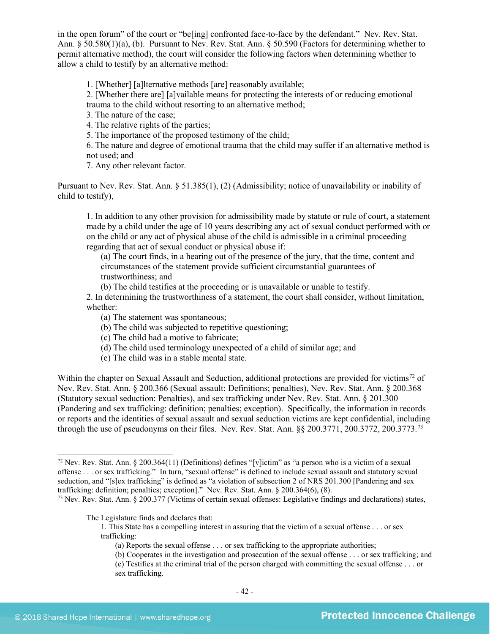in the open forum" of the court or "be[ing] confronted face-to-face by the defendant." Nev. Rev. Stat. Ann. § 50.580(1)(a), (b). Pursuant to Nev. Rev. Stat. Ann. § 50.590 (Factors for determining whether to permit alternative method), the court will consider the following factors when determining whether to allow a child to testify by an alternative method:

1. [Whether] [a]lternative methods [are] reasonably available;

2. [Whether there are] [a]vailable means for protecting the interests of or reducing emotional trauma to the child without resorting to an alternative method;

3. The nature of the case;

4. The relative rights of the parties;

5. The importance of the proposed testimony of the child;

6. The nature and degree of emotional trauma that the child may suffer if an alternative method is not used; and

7. Any other relevant factor.

Pursuant to Nev. Rev. Stat. Ann. § 51.385(1), (2) (Admissibility; notice of unavailability or inability of child to testify),

1. In addition to any other provision for admissibility made by statute or rule of court, a statement made by a child under the age of 10 years describing any act of sexual conduct performed with or on the child or any act of physical abuse of the child is admissible in a criminal proceeding regarding that act of sexual conduct or physical abuse if:

(a) The court finds, in a hearing out of the presence of the jury, that the time, content and circumstances of the statement provide sufficient circumstantial guarantees of trustworthiness; and

(b) The child testifies at the proceeding or is unavailable or unable to testify.

2. In determining the trustworthiness of a statement, the court shall consider, without limitation, whether:

(a) The statement was spontaneous;

(b) The child was subjected to repetitive questioning;

(c) The child had a motive to fabricate;

- (d) The child used terminology unexpected of a child of similar age; and
- (e) The child was in a stable mental state.

Within the chapter on Sexual Assault and Seduction, additional protections are provided for victims<sup>[72](#page-41-0)</sup> of Nev. Rev. Stat. Ann. § 200.366 (Sexual assault: Definitions; penalties), Nev. Rev. Stat. Ann. § 200.368 (Statutory sexual seduction: Penalties), and sex trafficking under Nev. Rev. Stat. Ann. § 201.300 (Pandering and sex trafficking: definition; penalties; exception). Specifically, the information in records or reports and the identities of sexual assault and sexual seduction victims are kept confidential, including through the use of pseudonyms on their files. Nev. Rev. Stat. Ann. §§ 200.3771, 200.3772, 200.37[73](#page-41-1).<sup>73</sup>

<span id="page-41-1"></span> $^{73}$  Nev. Rev. Stat. Ann. § 200.377 (Victims of certain sexual offenses: Legislative findings and declarations) states,

The Legislature finds and declares that:

1. This State has a compelling interest in assuring that the victim of a sexual offense . . . or sex trafficking:

(a) Reports the sexual offense . . . or sex trafficking to the appropriate authorities;

<span id="page-41-0"></span> <sup>72</sup> Nev. Rev. Stat. Ann. § 200.364(11) (Definitions) defines "[v]ictim" as "a person who is a victim of a sexual offense . . . or sex trafficking." In turn, "sexual offense" is defined to include sexual assault and statutory sexual seduction, and "[s]ex trafficking" is defined as "a violation of subsection 2 of NRS 201.300 [Pandering and sex trafficking: definition; penalties; exception]." Nev. Rev. Stat. Ann. § 200.364(6), (8).

<sup>(</sup>b) Cooperates in the investigation and prosecution of the sexual offense . . . or sex trafficking; and (c) Testifies at the criminal trial of the person charged with committing the sexual offense . . . or sex trafficking.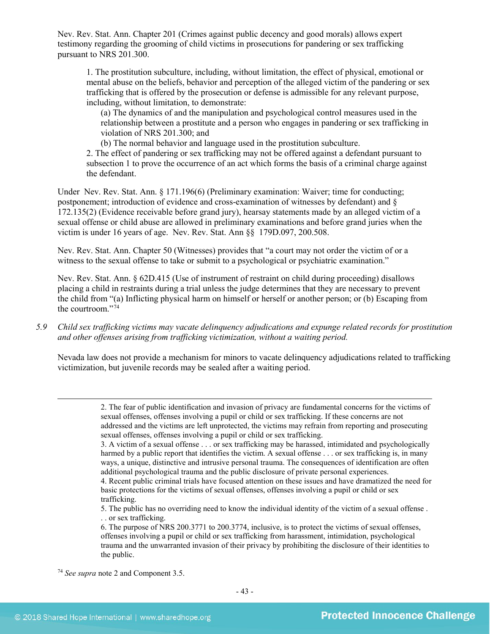Nev. Rev. Stat. Ann. Chapter 201 (Crimes against public decency and good morals) allows expert testimony regarding the grooming of child victims in prosecutions for pandering or sex trafficking pursuant to NRS 201.300.

1. The prostitution subculture, including, without limitation, the effect of physical, emotional or mental abuse on the beliefs, behavior and perception of the alleged victim of the pandering or sex trafficking that is offered by the prosecution or defense is admissible for any relevant purpose, including, without limitation, to demonstrate:

(a) The dynamics of and the manipulation and psychological control measures used in the relationship between a prostitute and a person who engages in pandering or sex trafficking in violation of NRS 201.300; and

(b) The normal behavior and language used in the prostitution subculture.

2. The effect of pandering or sex trafficking may not be offered against a defendant pursuant to subsection 1 to prove the occurrence of an act which forms the basis of a criminal charge against the defendant.

Under Nev. Rev. Stat. Ann. § [171.196\(](http://www.leg.state.nv.us/NRS/NRS-171.html#NRS171Sec196)6) (Preliminary examination: Waiver; time for conducting; postponement; introduction of evidence and cross-examination of witnesses by defendant) and § 172.135(2) (Evidence receivable before grand jury), hearsay statements made by an alleged victim of a sexual offense or child abuse are allowed in preliminary examinations and before grand juries when the victim is under 16 years of age. Nev. Rev. Stat. Ann §§ 179D.097, 200.508.

Nev. Rev. Stat. Ann. Chapter 50 (Witnesses) provides that "a court may not order the victim of or a witness to the sexual offense to take or submit to a psychological or psychiatric examination."

Nev. Rev. Stat. Ann. § 62D.415 (Use of instrument of restraint on child during proceeding) disallows placing a child in restraints during a trial unless the judge determines that they are necessary to prevent the child from "(a) Inflicting physical harm on himself or herself or another person; or (b) Escaping from the courtroom." $74$ 

*5.9 Child sex trafficking victims may vacate delinquency adjudications and expunge related records for prostitution and other offenses arising from trafficking victimization, without a waiting period.*

Nevada law does not provide a mechanism for minors to vacate delinquency adjudications related to trafficking victimization, but juvenile records may be sealed after a waiting period.

> 2. The fear of public identification and invasion of privacy are fundamental concerns for the victims of sexual offenses, offenses involving a pupil or child or sex trafficking. If these concerns are not addressed and the victims are left unprotected, the victims may refrain from reporting and prosecuting sexual offenses, offenses involving a pupil or child or sex trafficking.

 $\overline{a}$ 

<sup>3.</sup> A victim of a sexual offense . . . or sex trafficking may be harassed, intimidated and psychologically harmed by a public report that identifies the victim. A sexual offense . . . or sex trafficking is, in many ways, a unique, distinctive and intrusive personal trauma. The consequences of identification are often additional psychological trauma and the public disclosure of private personal experiences.

<sup>4.</sup> Recent public criminal trials have focused attention on these issues and have dramatized the need for basic protections for the victims of sexual offenses, offenses involving a pupil or child or sex trafficking.

<sup>5.</sup> The public has no overriding need to know the individual identity of the victim of a sexual offense . . . or sex trafficking.

<sup>6.</sup> The purpose of NRS 200.3771 to 200.3774, inclusive, is to protect the victims of sexual offenses, offenses involving a pupil or child or sex trafficking from harassment, intimidation, psychological trauma and the unwarranted invasion of their privacy by prohibiting the disclosure of their identities to the public.

<span id="page-42-0"></span><sup>74</sup> *See supra* note [2](#page-0-3) and Component 3.5.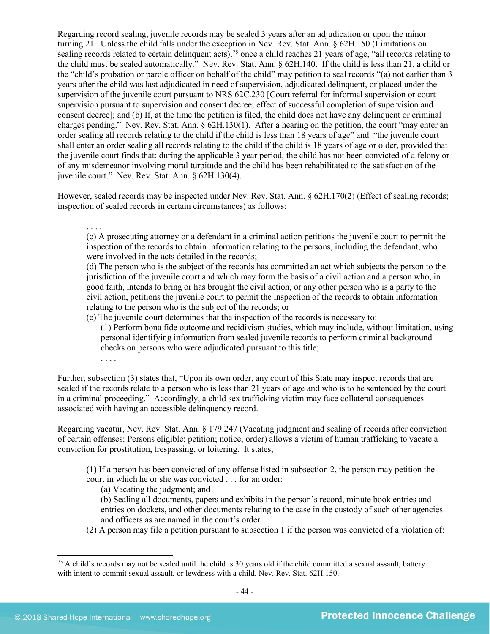Regarding record sealing, juvenile records may be sealed 3 years after an adjudication or upon the minor turning 21. Unless the child falls under the exception in Nev. Rev. Stat. Ann. § 62H.150 (Limitations on sealing records related to certain delinquent acts),<sup>[75](#page-43-0)</sup> once a child reaches 21 years of age, "all records relating to the child must be sealed automatically." Nev. Rev. Stat. Ann. § 62H.140. If the child is less than 21, a child or the "child's probation or parole officer on behalf of the child" may petition to seal records "(a) not earlier than 3 years after the child was last adjudicated in need of supervision, adjudicated delinquent, or placed under the supervision of the juvenile court pursuant to NRS 62C.230 [Court referral for informal supervision or court supervision pursuant to supervision and consent decree; effect of successful completion of supervision and consent decree]; and (b) If, at the time the petition is filed, the child does not have any delinquent or criminal charges pending." Nev. Rev. Stat. Ann. § 62H.130(1). After a hearing on the petition, the court "may enter an order sealing all records relating to the child if the child is less than 18 years of age" and "the juvenile court shall enter an order sealing all records relating to the child if the child is 18 years of age or older, provided that the juvenile court finds that: during the applicable 3 year period, the child has not been convicted of a felony or of any misdemeanor involving moral turpitude and the child has been rehabilitated to the satisfaction of the juvenile court." Nev. Rev. Stat. Ann. § 62H.130(4).

However, sealed records may be inspected under Nev. Rev. Stat. Ann. § 62H.170(2) (Effect of sealing records; inspection of sealed records in certain circumstances) as follows:

. . . . (c) A prosecuting attorney or a defendant in a criminal action petitions the juvenile court to permit the inspection of the records to obtain information relating to the persons, including the defendant, who were involved in the acts detailed in the records;

(d) The person who is the subject of the records has committed an act which subjects the person to the jurisdiction of the juvenile court and which may form the basis of a civil action and a person who, in good faith, intends to bring or has brought the civil action, or any other person who is a party to the civil action, petitions the juvenile court to permit the inspection of the records to obtain information relating to the person who is the subject of the records; or

(e) The juvenile court determines that the inspection of the records is necessary to:

(1) Perform bona fide outcome and recidivism studies, which may include, without limitation, using personal identifying information from sealed juvenile records to perform criminal background checks on persons who were adjudicated pursuant to this title;

. . . .

Further, subsection (3) states that, "Upon its own order, any court of this State may inspect records that are sealed if the records relate to a person who is less than 21 years of age and who is to be sentenced by the court in a criminal proceeding." Accordingly, a child sex trafficking victim may face collateral consequences associated with having an accessible delinquency record.

Regarding vacatur, Nev. Rev. Stat. Ann. § 179.247 (Vacating judgment and sealing of records after conviction of certain offenses: Persons eligible; petition; notice; order) allows a victim of human trafficking to vacate a conviction for prostitution, trespassing, or loitering. It states,

(1) If a person has been convicted of any offense listed in subsection 2, the person may petition the court in which he or she was convicted . . . for an order:

(a) Vacating the judgment; and

(b) Sealing all documents, papers and exhibits in the person's record, minute book entries and entries on dockets, and other documents relating to the case in the custody of such other agencies and officers as are named in the court's order.

(2) A person may file a petition pursuant to subsection 1 if the person was convicted of a violation of:

<span id="page-43-0"></span><sup>&</sup>lt;sup>75</sup> A child's records may not be sealed until the child is 30 years old if the child committed a sexual assault, battery with intent to commit sexual assault, or lewdness with a child. Nev. Rev. Stat. 62H.150.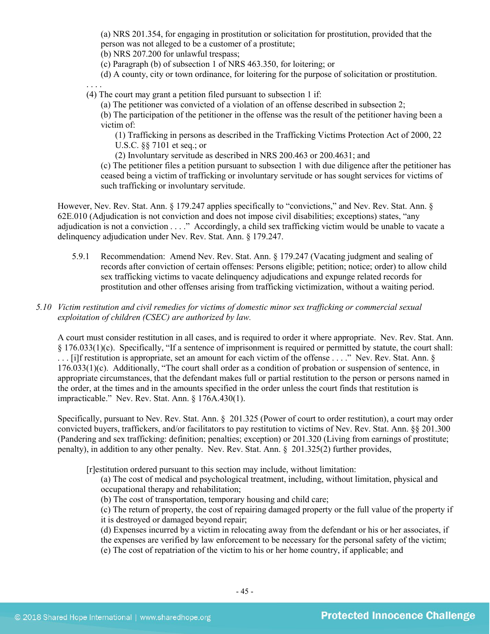(a) NRS 201.354, for engaging in prostitution or solicitation for prostitution, provided that the person was not alleged to be a customer of a prostitute;

(b) NRS 207.200 for unlawful trespass;

(c) Paragraph (b) of subsection 1 of NRS 463.350, for loitering; or

(d) A county, city or town ordinance, for loitering for the purpose of solicitation or prostitution.

. . . . (4) The court may grant a petition filed pursuant to subsection 1 if:

(a) The petitioner was convicted of a violation of an offense described in subsection 2;

(b) The participation of the petitioner in the offense was the result of the petitioner having been a victim of:

(1) Trafficking in persons as described in the Trafficking Victims Protection Act of 2000, 22 U.S.C. §§ 7101 et seq.; or

(2) Involuntary servitude as described in NRS 200.463 or 200.4631; and

(c) The petitioner files a petition pursuant to subsection 1 with due diligence after the petitioner has ceased being a victim of trafficking or involuntary servitude or has sought services for victims of such trafficking or involuntary servitude.

However, Nev. Rev. Stat. Ann. § 179.247 applies specifically to "convictions," and Nev. Rev. Stat. Ann. § 62E.010 (Adjudication is not conviction and does not impose civil disabilities; exceptions) states, "any adjudication is not a conviction . . . ." Accordingly, a child sex trafficking victim would be unable to vacate a delinquency adjudication under Nev. Rev. Stat. Ann. § 179.247.

5.9.1 Recommendation: Amend Nev. Rev. Stat. Ann. § 179.247 (Vacating judgment and sealing of records after conviction of certain offenses: Persons eligible; petition; notice; order) to allow child sex trafficking victims to vacate delinquency adjudications and expunge related records for prostitution and other offenses arising from trafficking victimization, without a waiting period.

#### *5.10 Victim restitution and civil remedies for victims of domestic minor sex trafficking or commercial sexual exploitation of children (CSEC) are authorized by law.*

A court must consider restitution in all cases, and is required to order it where appropriate. Nev. Rev. Stat. Ann. § 176.033(1)(c). Specifically, "If a sentence of imprisonment is required or permitted by statute, the court shall: . . . [i]f restitution is appropriate, set an amount for each victim of the offense . . . ." Nev. Rev. Stat. Ann. § 176.033(1)(c). Additionally, "The court shall order as a condition of probation or suspension of sentence, in appropriate circumstances, that the defendant makes full or partial restitution to the person or persons named in the order, at the times and in the amounts specified in the order unless the court finds that restitution is impracticable." Nev. Rev. Stat. Ann. § 176A.430(1).

Specifically, pursuant to Nev. Rev. Stat. Ann. § 201.325 (Power of court to order restitution), a court may order convicted buyers, traffickers, and/or facilitators to pay restitution to victims of Nev. Rev. Stat. Ann. §§ 201.300 (Pandering and sex trafficking: definition; penalties; exception) or 201.320 (Living from earnings of prostitute; penalty), in addition to any other penalty. Nev. Rev. Stat. Ann. § 201.325(2) further provides,

[r]estitution ordered pursuant to this section may include, without limitation:

(a) The cost of medical and psychological treatment, including, without limitation, physical and occupational therapy and rehabilitation;

(b) The cost of transportation, temporary housing and child care;

(c) The return of property, the cost of repairing damaged property or the full value of the property if it is destroyed or damaged beyond repair;

(d) Expenses incurred by a victim in relocating away from the defendant or his or her associates, if

- the expenses are verified by law enforcement to be necessary for the personal safety of the victim;
- (e) The cost of repatriation of the victim to his or her home country, if applicable; and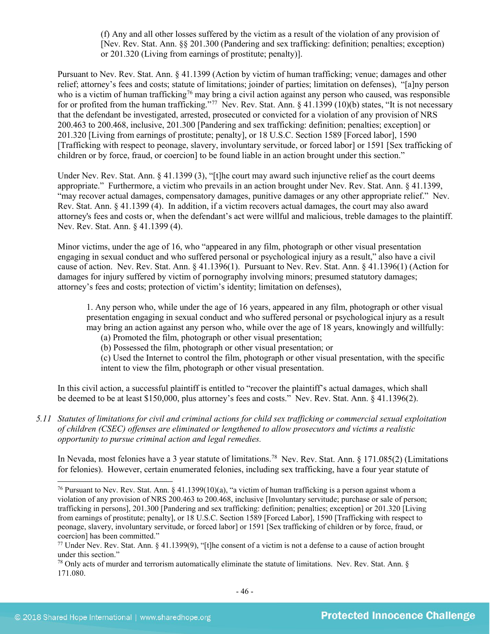(f) Any and all other losses suffered by the victim as a result of the violation of any provision of [Nev. Rev. Stat. Ann. §§ 201.300 (Pandering and sex trafficking: definition; penalties; exception) or 201.320 (Living from earnings of prostitute; penalty)].

Pursuant to Nev. Rev. Stat. Ann. § 41.1399 (Action by victim of human trafficking; venue; damages and other relief; attorney's fees and costs; statute of limitations; joinder of parties; limitation on defenses), "[a]ny person who is a victim of human trafficking<sup>[76](#page-45-0)</sup> may bring a civil action against any person who caused, was responsible for or profited from the human trafficking."<sup>[77](#page-45-1)</sup> Nev. Rev. Stat. Ann. § 41.1399 (10)(b) states, "It is not necessary that the defendant be investigated, arrested, prosecuted or convicted for a violation of any provision of NRS 200.463 to 200.468, inclusive, 201.300 [Pandering and sex trafficking: definition; penalties; exception] or 201.320 [Living from earnings of prostitute; penalty], or 18 U.S.C. Section 1589 [Forced labor], 1590 [Trafficking with respect to peonage, slavery, involuntary servitude, or forced labor] or 1591 [Sex trafficking of children or by force, fraud, or coercion] to be found liable in an action brought under this section."

Under Nev. Rev. Stat. Ann. § 41.1399 (3), "[t]he court may award such injunctive relief as the court deems appropriate." Furthermore, a victim who prevails in an action brought under Nev. Rev. Stat. Ann. § 41.1399, "may recover actual damages, compensatory damages, punitive damages or any other appropriate relief." Nev. Rev. Stat. Ann. § 41.1399 (4). In addition, if a victim recovers actual damages, the court may also award attorney's fees and costs or, when the defendant's act were willful and malicious, treble damages to the plaintiff. Nev. Rev. Stat. Ann. § 41.1399 (4).

Minor victims, under the age of 16, who "appeared in any film, photograph or other visual presentation engaging in sexual conduct and who suffered personal or psychological injury as a result," also have a civil cause of action. Nev. Rev. Stat. Ann. § 41.1396(1). Pursuant to Nev. Rev. Stat. Ann. § 41.1396(1) (Action for damages for injury suffered by victim of pornography involving minors; presumed statutory damages; attorney's fees and costs; protection of victim's identity; limitation on defenses),

1. Any person who, while under the age of 16 years, appeared in any film, photograph or other visual presentation engaging in sexual conduct and who suffered personal or psychological injury as a result may bring an action against any person who, while over the age of 18 years, knowingly and willfully:

- (a) Promoted the film, photograph or other visual presentation;
- (b) Possessed the film, photograph or other visual presentation; or

(c) Used the Internet to control the film, photograph or other visual presentation, with the specific intent to view the film, photograph or other visual presentation.

In this civil action, a successful plaintiff is entitled to "recover the plaintiff's actual damages, which shall be deemed to be at least \$150,000, plus attorney's fees and costs." Nev. Rev. Stat. Ann. § 41.1396(2).

*5.11 Statutes of limitations for civil and criminal actions for child sex trafficking or commercial sexual exploitation of children (CSEC) offenses are eliminated or lengthened to allow prosecutors and victims a realistic opportunity to pursue criminal action and legal remedies.*

In Nevada, most felonies have a 3 year statute of limitations[.78](#page-45-2) Nev. Rev. Stat. Ann. § 171.085(2) (Limitations for felonies). However, certain enumerated felonies, including sex trafficking, have a four year statute of

<span id="page-45-0"></span><sup>&</sup>lt;sup>76</sup> Pursuant to Nev. Rev. Stat. Ann. § 41.1399(10)(a), "a victim of human trafficking is a person against whom a violation of any provision of NRS 200.463 to 200.468, inclusive [Involuntary servitude; purchase or sale of person; trafficking in persons], 201.300 [Pandering and sex trafficking: definition; penalties; exception] or 201.320 [Living from earnings of prostitute; penalty], or 18 U.S.C. Section 1589 [Forced Labor], 1590 [Trafficking with respect to peonage, slavery, involuntary servitude, or forced labor] or 1591 [Sex trafficking of children or by force, fraud, or coercion] has been committed."

<span id="page-45-1"></span><sup>&</sup>lt;sup>77</sup> Under Nev. Rev. Stat. Ann. § 41.1399(9), "[t]he consent of a victim is not a defense to a cause of action brought under this section."

<span id="page-45-2"></span><sup>78</sup> Only acts of murder and terrorism automatically eliminate the statute of limitations. Nev. Rev. Stat. Ann. § 171.080.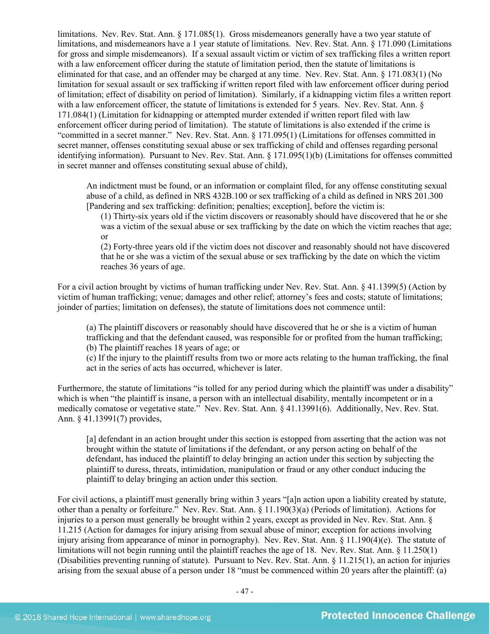limitations. Nev. Rev. Stat. Ann. § 171.085(1). Gross misdemeanors generally have a two year statute of limitations, and misdemeanors have a 1 year statute of limitations. Nev. Rev. Stat. Ann. § 171.090 (Limitations for gross and simple misdemeanors). If a sexual assault victim or victim of sex trafficking files a written report with a law enforcement officer during the statute of limitation period, then the statute of limitations is eliminated for that case, and an offender may be charged at any time. Nev. Rev. Stat. Ann. § 171.083(1) (No limitation for sexual assault or sex trafficking if written report filed with law enforcement officer during period of limitation; effect of disability on period of limitation). Similarly, if a kidnapping victim files a written report with a law enforcement officer, the statute of limitations is extended for 5 years. Nev. Rev. Stat. Ann. § 171.084(1) (Limitation for kidnapping or attempted murder extended if written report filed with law enforcement officer during period of limitation). The statute of limitations is also extended if the crime is "committed in a secret manner." Nev. Rev. Stat. Ann. § 171.095(1) (Limitations for offenses committed in secret manner, offenses constituting sexual abuse or sex trafficking of child and offenses regarding personal identifying information). Pursuant to Nev. Rev. Stat. Ann. § 171.095(1)(b) (Limitations for offenses committed in secret manner and offenses constituting sexual abuse of child),

An indictment must be found, or an information or complaint filed, for any offense constituting sexual abuse of a child, as defined in NRS 432B.100 or sex trafficking of a child as defined in NRS 201.300 [Pandering and sex trafficking: definition; penalties; exception], before the victim is:

(1) Thirty-six years old if the victim discovers or reasonably should have discovered that he or she was a victim of the sexual abuse or sex trafficking by the date on which the victim reaches that age; or

(2) Forty-three years old if the victim does not discover and reasonably should not have discovered that he or she was a victim of the sexual abuse or sex trafficking by the date on which the victim reaches 36 years of age.

For a civil action brought by victims of human trafficking under Nev. Rev. Stat. Ann. § 41.1399(5) (Action by victim of human trafficking; venue; damages and other relief; attorney's fees and costs; statute of limitations; joinder of parties; limitation on defenses), the statute of limitations does not commence until:

(a) The plaintiff discovers or reasonably should have discovered that he or she is a victim of human trafficking and that the defendant caused, was responsible for or profited from the human trafficking; (b) The plaintiff reaches 18 years of age; or

(c) If the injury to the plaintiff results from two or more acts relating to the human trafficking, the final act in the series of acts has occurred, whichever is later.

Furthermore, the statute of limitations "is tolled for any period during which the plaintiff was under a disability" which is when "the plaintiff is insane, a person with an intellectual disability, mentally incompetent or in a medically comatose or vegetative state." Nev. Rev. Stat. Ann. § 41.13991(6). Additionally, Nev. Rev. Stat. Ann. § 41.13991(7) provides,

[a] defendant in an action brought under this section is estopped from asserting that the action was not brought within the statute of limitations if the defendant, or any person acting on behalf of the defendant, has induced the plaintiff to delay bringing an action under this section by subjecting the plaintiff to duress, threats, intimidation, manipulation or fraud or any other conduct inducing the plaintiff to delay bringing an action under this section.

For civil actions, a plaintiff must generally bring within 3 years "[a]n action upon a liability created by statute, other than a penalty or forfeiture." Nev. Rev. Stat. Ann. § 11.190(3)(a) (Periods of limitation). Actions for injuries to a person must generally be brought within 2 years, except as provided in Nev. Rev. Stat. Ann. § 11.215 (Action for damages for injury arising from sexual abuse of minor; exception for actions involving injury arising from appearance of minor in pornography). Nev. Rev. Stat. Ann. § 11.190(4)(e). The statute of limitations will not begin running until the plaintiff reaches the age of 18. Nev. Rev. Stat. Ann. § 11.250(1) (Disabilities preventing running of statute). Pursuant to Nev. Rev. Stat. Ann. § 11.215(1), an action for injuries arising from the sexual abuse of a person under 18 "must be commenced within 20 years after the plaintiff: (a)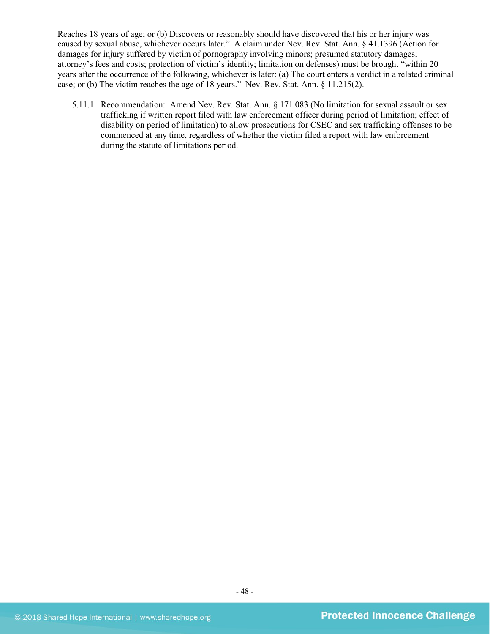Reaches 18 years of age; or (b) Discovers or reasonably should have discovered that his or her injury was caused by sexual abuse, whichever occurs later." A claim under Nev. Rev. Stat. Ann. § 41.1396 (Action for damages for injury suffered by victim of pornography involving minors; presumed statutory damages; attorney's fees and costs; protection of victim's identity; limitation on defenses) must be brought "within 20 years after the occurrence of the following, whichever is later: (a) The court enters a verdict in a related criminal case; or (b) The victim reaches the age of 18 years." Nev. Rev. Stat. Ann. § 11.215(2).

5.11.1 Recommendation: Amend Nev. Rev. Stat. Ann. § 171.083 (No limitation for sexual assault or sex trafficking if written report filed with law enforcement officer during period of limitation; effect of disability on period of limitation) to allow prosecutions for CSEC and sex trafficking offenses to be commenced at any time, regardless of whether the victim filed a report with law enforcement during the statute of limitations period.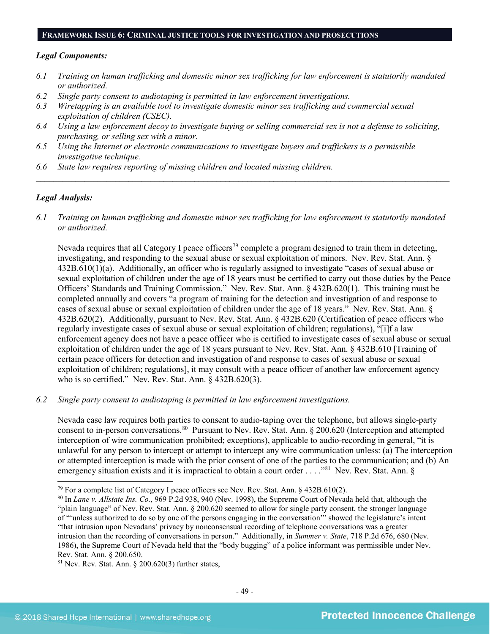#### **FRAMEWORK ISSUE 6: CRIMINAL JUSTICE TOOLS FOR INVESTIGATION AND PROSECUTIONS**

#### *Legal Components:*

- *6.1 Training on human trafficking and domestic minor sex trafficking for law enforcement is statutorily mandated or authorized.*
- *6.2 Single party consent to audiotaping is permitted in law enforcement investigations.*
- *6.3 Wiretapping is an available tool to investigate domestic minor sex trafficking and commercial sexual exploitation of children (CSEC).*
- *6.4 Using a law enforcement decoy to investigate buying or selling commercial sex is not a defense to soliciting, purchasing, or selling sex with a minor.*
- *6.5 Using the Internet or electronic communications to investigate buyers and traffickers is a permissible investigative technique.*
- *6.6 State law requires reporting of missing children and located missing children.*

## *Legal Analysis:*

*6.1 Training on human trafficking and domestic minor sex trafficking for law enforcement is statutorily mandated or authorized.*

*\_\_\_\_\_\_\_\_\_\_\_\_\_\_\_\_\_\_\_\_\_\_\_\_\_\_\_\_\_\_\_\_\_\_\_\_\_\_\_\_\_\_\_\_\_\_\_\_\_\_\_\_\_\_\_\_\_\_\_\_\_\_\_\_\_\_\_\_\_\_\_\_\_\_\_\_\_\_\_\_\_\_\_\_\_\_\_\_\_\_\_\_\_\_*

Nevada requires that all Category I peace officers<sup>[79](#page-48-0)</sup> complete a program designed to train them in detecting, investigating, and responding to the sexual abuse or sexual exploitation of minors. Nev. Rev. Stat. Ann. § 432B.610(1)(a). Additionally, an officer who is regularly assigned to investigate "cases of sexual abuse or sexual exploitation of children under the age of 18 years must be certified to carry out those duties by the Peace Officers' Standards and Training Commission." Nev. Rev. Stat. Ann. § 432B.620(1). This training must be completed annually and covers "a program of training for the detection and investigation of and response to cases of sexual abuse or sexual exploitation of children under the age of 18 years." Nev. Rev. Stat. Ann. § 432B.620(2). Additionally, pursuant to Nev. Rev. Stat. Ann. § 432B.620 (Certification of peace officers who regularly investigate cases of sexual abuse or sexual exploitation of children; regulations), "[i]f a law enforcement agency does not have a peace officer who is certified to investigate cases of sexual abuse or sexual exploitation of children under the age of 18 years pursuant to Nev. Rev. Stat. Ann. § 432B.610 [Training of certain peace officers for detection and investigation of and response to cases of sexual abuse or sexual exploitation of children; regulations], it may consult with a peace officer of another law enforcement agency who is so certified." Nev. Rev. Stat. Ann. § 432B.620(3).

*6.2 Single party consent to audiotaping is permitted in law enforcement investigations.*

Nevada case law requires both parties to consent to audio-taping over the telephone, but allows single-party consent to in-person conversations.<sup>80</sup> Pursuant to Nev. Rev. Stat. Ann. § 200.620 (Interception and attempted interception of wire communication prohibited; exceptions), applicable to audio-recording in general, "it is unlawful for any person to intercept or attempt to intercept any wire communication unless: (a) The interception or attempted interception is made with the prior consent of one of the parties to the communication; and (b) An emergency situation exists and it is impractical to obtain a court order . . . . "<sup>[81](#page-48-2)</sup> Nev. Rev. Stat. Ann. §

<span id="page-48-0"></span> $79$  For a complete list of Category I peace officers see Nev. Rev. Stat. Ann. § 432B.610(2).

<span id="page-48-1"></span><sup>80</sup> In *Lane v. Allstate Ins. Co.*, 969 P.2d 938, 940 (Nev. 1998), the Supreme Court of Nevada held that, although the "plain language" of Nev. Rev. Stat. Ann. § 200.620 seemed to allow for single party consent, the stronger language of "'unless authorized to do so by one of the persons engaging in the conversation'" showed the legislature's intent "that intrusion upon Nevadans' privacy by nonconsensual recording of telephone conversations was a greater intrusion than the recording of conversations in person." Additionally, in *Summer v. State*, 718 P.2d 676, 680 (Nev. 1986), the Supreme Court of Nevada held that the "body bugging" of a police informant was permissible under Nev. Rev. Stat. Ann. § 200.650.

<span id="page-48-2"></span><sup>81</sup> Nev. Rev. Stat. Ann. § 200.620(3) further states,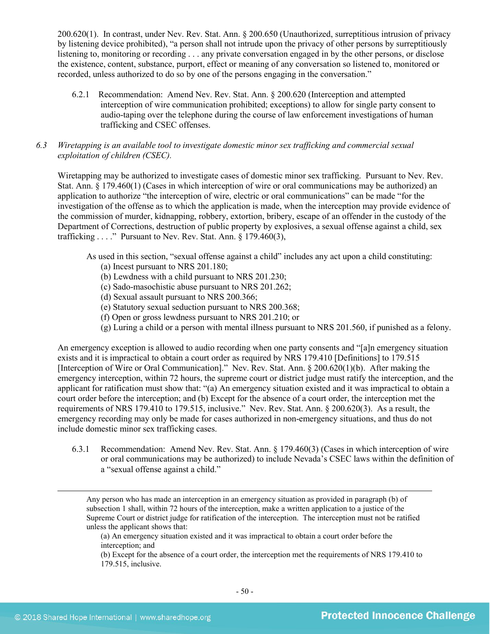200.620(1). In contrast, under Nev. Rev. Stat. Ann. § 200.650 (Unauthorized, surreptitious intrusion of privacy by listening device prohibited), "a person shall not intrude upon the privacy of other persons by surreptitiously listening to, monitoring or recording . . . any private conversation engaged in by the other persons, or disclose the existence, content, substance, purport, effect or meaning of any conversation so listened to, monitored or recorded, unless authorized to do so by one of the persons engaging in the conversation."

6.2.1 Recommendation: Amend Nev. Rev. Stat. Ann. § 200.620 (Interception and attempted interception of wire communication prohibited; exceptions) to allow for single party consent to audio-taping over the telephone during the course of law enforcement investigations of human trafficking and CSEC offenses.

## *6.3 Wiretapping is an available tool to investigate domestic minor sex trafficking and commercial sexual exploitation of children (CSEC).*

Wiretapping may be authorized to investigate cases of domestic minor sex trafficking. Pursuant to Nev. Rev. Stat. Ann. § 179.460(1) (Cases in which interception of wire or oral communications may be authorized) an application to authorize "the interception of wire, electric or oral communications" can be made "for the investigation of the offense as to which the application is made, when the interception may provide evidence of the commission of murder, kidnapping, robbery, extortion, bribery, escape of an offender in the custody of the Department of Corrections, destruction of public property by explosives, a sexual offense against a child, sex trafficking  $\ldots$ ." Pursuant to Nev. Rev. Stat. Ann. § 179.460(3),

As used in this section, "sexual offense against a child" includes any act upon a child constituting:

- (a) Incest pursuant to NRS 201.180;
- (b) Lewdness with a child pursuant to NRS 201.230;
- (c) Sado-masochistic abuse pursuant to NRS 201.262;
- (d) Sexual assault pursuant to NRS 200.366;
- (e) Statutory sexual seduction pursuant to NRS 200.368;
- (f) Open or gross lewdness pursuant to NRS 201.210; or
- (g) Luring a child or a person with mental illness pursuant to NRS 201.560, if punished as a felony.

An emergency exception is allowed to audio recording when one party consents and "[a]n emergency situation exists and it is impractical to obtain a court order as required by NRS 179.410 [Definitions] to 179.515 [Interception of Wire or Oral Communication]." Nev. Rev. Stat. Ann. § 200.620(1)(b). After making the emergency interception, within 72 hours, the supreme court or district judge must ratify the interception, and the applicant for ratification must show that: "(a) An emergency situation existed and it was impractical to obtain a court order before the interception; and (b) Except for the absence of a court order, the interception met the requirements of NRS 179.410 to 179.515, inclusive." Nev. Rev. Stat. Ann. § 200.620(3). As a result, the emergency recording may only be made for cases authorized in non-emergency situations, and thus do not include domestic minor sex trafficking cases.

6.3.1 Recommendation: Amend Nev. Rev. Stat. Ann. § 179.460(3) (Cases in which interception of wire or oral communications may be authorized) to include Nevada's CSEC laws within the definition of a "sexual offense against a child."

Any person who has made an interception in an emergency situation as provided in paragraph (b) of subsection 1 shall, within 72 hours of the interception, make a written application to a justice of the Supreme Court or district judge for ratification of the interception. The interception must not be ratified unless the applicant shows that:

(a) An emergency situation existed and it was impractical to obtain a court order before the interception; and

(b) Except for the absence of a court order, the interception met the requirements of NRS 179.410 to 179.515, inclusive.

 $\overline{a}$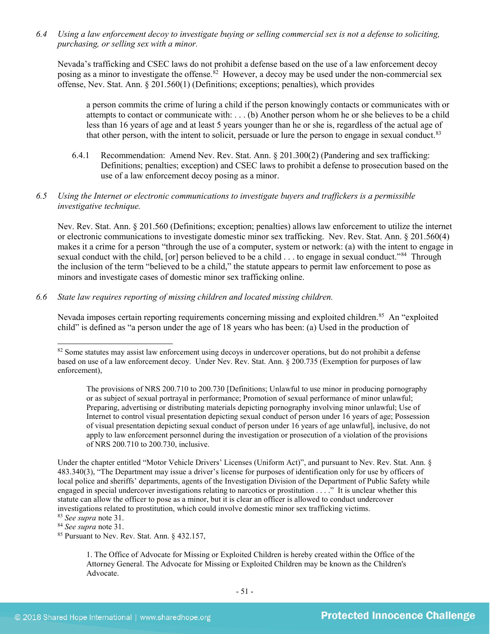*6.4 Using a law enforcement decoy to investigate buying or selling commercial sex is not a defense to soliciting, purchasing, or selling sex with a minor.*

Nevada's trafficking and CSEC laws do not prohibit a defense based on the use of a law enforcement decoy posing as a minor to investigate the offense.<sup>[82](#page-50-0)</sup> However, a decoy may be used under the non-commercial sex offense, Nev. Stat. Ann. § 201.560(1) (Definitions; exceptions; penalties), which provides

a person commits the crime of luring a child if the person knowingly contacts or communicates with or attempts to contact or communicate with: . . . (b) Another person whom he or she believes to be a child less than 16 years of age and at least 5 years younger than he or she is, regardless of the actual age of that other person, with the intent to solicit, persuade or lure the person to engage in sexual conduct.<sup>83</sup>

6.4.1 Recommendation: Amend Nev. Rev. Stat. Ann. § 201.300(2) (Pandering and sex trafficking: Definitions; penalties; exception) and CSEC laws to prohibit a defense to prosecution based on the use of a law enforcement decoy posing as a minor.

#### *6.5 Using the Internet or electronic communications to investigate buyers and traffickers is a permissible investigative technique.*

Nev. Rev. Stat. Ann. § 201.560 (Definitions; exception; penalties) allows law enforcement to utilize the internet or electronic communications to investigate domestic minor sex trafficking. Nev. Rev. Stat. Ann. § 201.560(4) makes it a crime for a person "through the use of a computer, system or network: (a) with the intent to engage in sexual conduct with the child, [or] person believed to be a child . . . to engage in sexual conduct."[84](#page-50-2) Through the inclusion of the term "believed to be a child," the statute appears to permit law enforcement to pose as minors and investigate cases of domestic minor sex trafficking online.

#### *6.6 State law requires reporting of missing children and located missing children.*

Nevada imposes certain reporting requirements concerning missing and exploited children.<sup>[85](#page-50-3)</sup> An "exploited" child" is defined as "a person under the age of 18 years who has been: (a) Used in the production of

The provisions of NRS 200.710 to 200.730 [Definitions; Unlawful to use minor in producing pornography or as subject of sexual portrayal in performance; Promotion of sexual performance of minor unlawful; Preparing, advertising or distributing materials depicting pornography involving minor unlawful; Use of Internet to control visual presentation depicting sexual conduct of person under 16 years of age; Possession of visual presentation depicting sexual conduct of person under 16 years of age unlawful], inclusive, do not apply to law enforcement personnel during the investigation or prosecution of a violation of the provisions of NRS 200.710 to 200.730, inclusive.

Under the chapter entitled "Motor Vehicle Drivers' Licenses (Uniform Act)", and pursuant to Nev. Rev. Stat. Ann. § 483.340(3), "The Department may issue a driver's license for purposes of identification only for use by officers of local police and sheriffs' departments, agents of the Investigation Division of the Department of Public Safety while engaged in special undercover investigations relating to narcotics or prostitution . . . ." It is unclear whether this statute can allow the officer to pose as a minor, but it is clear an officer is allowed to conduct undercover investigations related to prostitution, which could involve domestic minor sex trafficking victims. 83 *See supra* note [31.](#page-14-3)

<span id="page-50-2"></span><span id="page-50-1"></span><sup>84</sup> *See supra* note [31.](#page-14-3)

<span id="page-50-3"></span><sup>85</sup> Pursuant to Nev. Rev. Stat. Ann. § 432.157,

1. The Office of Advocate for Missing or Exploited Children is hereby created within the Office of the Attorney General. The Advocate for Missing or Exploited Children may be known as the Children's Advocate.

<span id="page-50-0"></span><sup>&</sup>lt;sup>82</sup> Some statutes may assist law enforcement using decoys in undercover operations, but do not prohibit a defense based on use of a law enforcement decoy. Under Nev. Rev. Stat. Ann. § 200.735 (Exemption for purposes of law enforcement),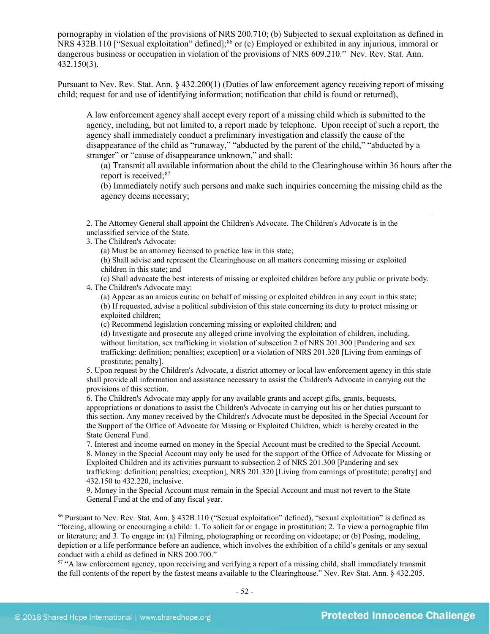pornography in violation of the provisions of NRS 200.710; (b) Subjected to sexual exploitation as defined in NRS 432B.110 ["Sexual exploitation" defined];<sup>[86](#page-51-0)</sup> or (c) Employed or exhibited in any injurious, immoral or dangerous business or occupation in violation of the provisions of NRS 609.210." Nev. Rev. Stat. Ann. 432.150(3).

Pursuant to Nev. Rev. Stat. Ann. § 432.200(1) (Duties of law enforcement agency receiving report of missing child; request for and use of identifying information; notification that child is found or returned),

A law enforcement agency shall accept every report of a missing child which is submitted to the agency, including, but not limited to, a report made by telephone. Upon receipt of such a report, the agency shall immediately conduct a preliminary investigation and classify the cause of the disappearance of the child as "runaway," "abducted by the parent of the child," "abducted by a stranger" or "cause of disappearance unknown," and shall:

(a) Transmit all available information about the child to the Clearinghouse within 36 hours after the report is received;<sup>[87](#page-51-1)</sup>

(b) Immediately notify such persons and make such inquiries concerning the missing child as the agency deems necessary;

2. The Attorney General shall appoint the Children's Advocate. The Children's Advocate is in the unclassified service of the State.

3. The Children's Advocate:

 $\overline{a}$ 

(a) Must be an attorney licensed to practice law in this state;

(b) Shall advise and represent the Clearinghouse on all matters concerning missing or exploited children in this state; and

(c) Shall advocate the best interests of missing or exploited children before any public or private body. 4. The Children's Advocate may:

(a) Appear as an amicus curiae on behalf of missing or exploited children in any court in this state; (b) If requested, advise a political subdivision of this state concerning its duty to protect missing or exploited children;

(c) Recommend legislation concerning missing or exploited children; and

(d) Investigate and prosecute any alleged crime involving the exploitation of children, including, without limitation, sex trafficking in violation of subsection 2 of NRS 201.300 [Pandering and sex trafficking: definition; penalties; exception] or a violation of NRS 201.320 [Living from earnings of prostitute; penalty].

5. Upon request by the Children's Advocate, a district attorney or local law enforcement agency in this state shall provide all information and assistance necessary to assist the Children's Advocate in carrying out the provisions of this section.

6. The Children's Advocate may apply for any available grants and accept gifts, grants, bequests, appropriations or donations to assist the Children's Advocate in carrying out his or her duties pursuant to this section. Any money received by the Children's Advocate must be deposited in the Special Account for the Support of the Office of Advocate for Missing or Exploited Children, which is hereby created in the State General Fund.

7. Interest and income earned on money in the Special Account must be credited to the Special Account. 8. Money in the Special Account may only be used for the support of the Office of Advocate for Missing or Exploited Children and its activities pursuant to subsection 2 of NRS 201.300 [Pandering and sex trafficking: definition; penalties; exception], NRS 201.320 [Living from earnings of prostitute; penalty] and 432.150 to 432.220, inclusive.

9. Money in the Special Account must remain in the Special Account and must not revert to the State General Fund at the end of any fiscal year.

<span id="page-51-0"></span><sup>86</sup> Pursuant to Nev. Rev. Stat. Ann. § 432B.110 ("Sexual exploitation" defined), "sexual exploitation" is defined as "forcing, allowing or encouraging a child: 1. To solicit for or engage in prostitution; 2. To view a pornographic film or literature; and 3. To engage in: (a) Filming, photographing or recording on videotape; or (b) Posing, modeling, depiction or a life performance before an audience, which involves the exhibition of a child's genitals or any sexual conduct with a child as defined in NRS 200.700."

<span id="page-51-1"></span><sup>87</sup> "A law enforcement agency, upon receiving and verifying a report of a missing child, shall immediately transmit the full contents of the report by the fastest means available to the Clearinghouse." Nev. Rev Stat. Ann. § [432.205.](http://www.leg.state.nv.us/NRS/NRS-432.html#NRS432Sec205)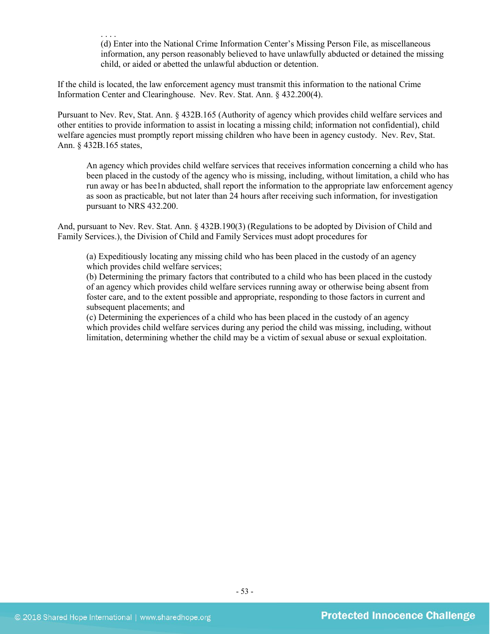. . . . (d) Enter into the National Crime Information Center's Missing Person File, as miscellaneous information, any person reasonably believed to have unlawfully abducted or detained the missing child, or aided or abetted the unlawful abduction or detention.

If the child is located, the law enforcement agency must transmit this information to the national Crime Information Center and Clearinghouse. Nev. Rev. Stat. Ann. § 432.200(4).

Pursuant to Nev. Rev, Stat. Ann. § 432B.165 (Authority of agency which provides child welfare services and other entities to provide information to assist in locating a missing child; information not confidential), child welfare agencies must promptly report missing children who have been in agency custody. Nev. Rev, Stat. Ann. § 432B.165 states,

An agency which provides child welfare services that receives information concerning a child who has been placed in the custody of the agency who is missing, including, without limitation, a child who has run away or has bee1n abducted, shall report the information to the appropriate law enforcement agency as soon as practicable, but not later than 24 hours after receiving such information, for investigation pursuant to NRS [432.200.](http://www.leg.state.nv.us/NRS/NRS-432.html#NRS432Sec200)

And, pursuant to Nev. Rev. Stat. Ann. § 432B.190(3) (Regulations to be adopted by Division of Child and Family Services.), the Division of Child and Family Services must adopt procedures for

(a) Expeditiously locating any missing child who has been placed in the custody of an agency which provides child welfare services;

(b) Determining the primary factors that contributed to a child who has been placed in the custody of an agency which provides child welfare services running away or otherwise being absent from foster care, and to the extent possible and appropriate, responding to those factors in current and subsequent placements; and

(c) Determining the experiences of a child who has been placed in the custody of an agency which provides child welfare services during any period the child was missing, including, without limitation, determining whether the child may be a victim of sexual abuse or sexual exploitation.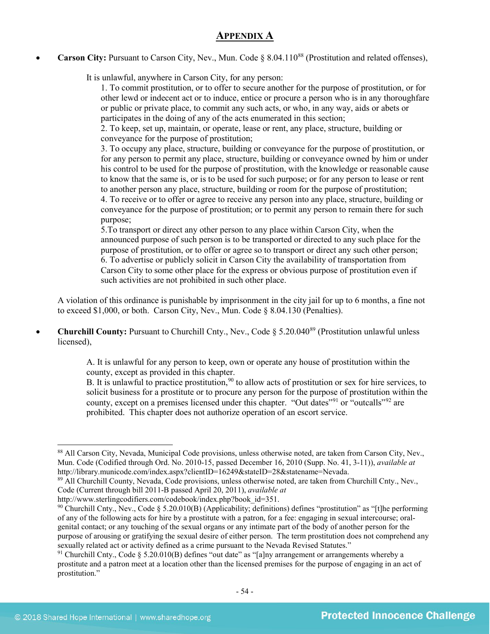## **APPENDIX A**

**Carson City:** Pursuant to Carson City, Nev., Mun. Code § 8.04.110<sup>[88](#page-53-0)</sup> (Prostitution and related offenses),

It is unlawful, anywhere in Carson City, for any person:

1. To commit prostitution, or to offer to secure another for the purpose of prostitution, or for other lewd or indecent act or to induce, entice or procure a person who is in any thoroughfare or public or private place, to commit any such acts, or who, in any way, aids or abets or participates in the doing of any of the acts enumerated in this section;

2. To keep, set up, maintain, or operate, lease or rent, any place, structure, building or conveyance for the purpose of prostitution;

3. To occupy any place, structure, building or conveyance for the purpose of prostitution, or for any person to permit any place, structure, building or conveyance owned by him or under his control to be used for the purpose of prostitution, with the knowledge or reasonable cause to know that the same is, or is to be used for such purpose; or for any person to lease or rent to another person any place, structure, building or room for the purpose of prostitution;

4. To receive or to offer or agree to receive any person into any place, structure, building or conveyance for the purpose of prostitution; or to permit any person to remain there for such purpose;

5.To transport or direct any other person to any place within Carson City, when the announced purpose of such person is to be transported or directed to any such place for the purpose of prostitution, or to offer or agree so to transport or direct any such other person; 6. To advertise or publicly solicit in Carson City the availability of transportation from Carson City to some other place for the express or obvious purpose of prostitution even if such activities are not prohibited in such other place.

A violation of this ordinance is punishable by imprisonment in the city jail for up to 6 months, a fine not to exceed \$1,000, or both. Carson City, Nev., Mun. Code § 8.04.130 (Penalties).

• **Churchill County:** Pursuant to Churchill Cnty., Nev., Code § 5.20.04[089](#page-53-1) (Prostitution unlawful unless licensed),

> A. It is unlawful for any person to keep, own or operate any house of prostitution within the county, except as provided in this chapter.

B. It is unlawful to practice prostitution,  $90$  to allow acts of prostitution or sex for hire services, to solicit business for a prostitute or to procure any person for the purpose of prostitution within the county, except on a premises licensed under this chapter. "Out dates"[91](#page-53-3) or "outcalls"[92](#page-53-0) are prohibited. This chapter does not authorize operation of an escort service.

<span id="page-53-0"></span><sup>88</sup> All Carson City, Nevada, Municipal Code provisions, unless otherwise noted, are taken from Carson City, Nev., Mun. Code (Codified through Ord. No. 2010-15, passed December 16, 2010 (Supp. No. 41, 3-11)), *available at* http://library.municode.com/index.aspx?clientID=16249&stateID=28&statename=Nevada.

<span id="page-53-1"></span><sup>89</sup> All Churchill County, Nevada, Code provisions, unless otherwise noted, are taken from Churchill Cnty., Nev., Code (Current through bill 2011-B passed April 20, 2011), *available at*

http://www.sterlingcodifiers.com/codebook/index.php?book\_id=351.

<span id="page-53-2"></span><sup>&</sup>lt;sup>90</sup> Churchill Cnty., Nev., Code § 5.20.010(B) (Applicability; definitions) defines "prostitution" as "[t]he performing of any of the following acts for hire by a prostitute with a patron, for a fee: engaging in sexual intercourse; oralgenital contact; or any touching of the sexual organs or any intimate part of the body of another person for the purpose of arousing or gratifying the sexual desire of either person. The term prostitution does not comprehend any sexually related act or activity defined as a crime pursuant to the Nevada Revised Statutes."

<span id="page-53-3"></span><sup>&</sup>lt;sup>91</sup> Churchill Cnty., Code § 5.20.010(B) defines "out date" as "[a]ny arrangement or arrangements whereby a prostitute and a patron meet at a location other than the licensed premises for the purpose of engaging in an act of prostitution."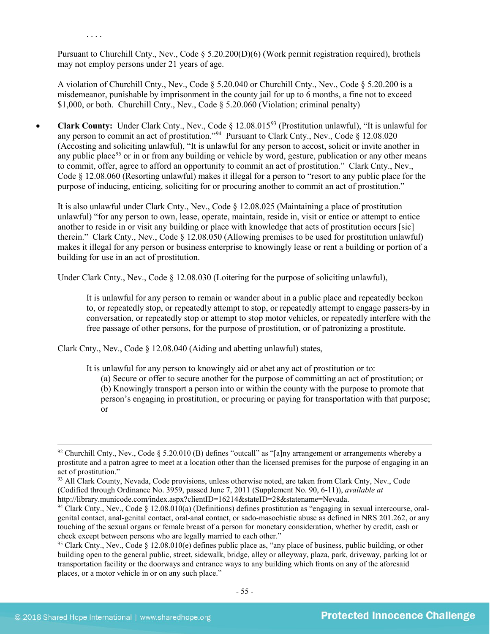Pursuant to Churchill Cnty., Nev., Code  $\S 5.20.200(D)(6)$  (Work permit registration required), brothels may not employ persons under 21 years of age.

A violation of Churchill Cnty., Nev., Code § 5.20.040 or Churchill Cnty., Nev., Code § 5.20.200 is a misdemeanor, punishable by imprisonment in the county jail for up to 6 months, a fine not to exceed \$1,000, or both. Churchill Cnty., Nev., Code § 5.20.060 (Violation; criminal penalty)

• **Clark County:** Under Clark Cnty., Nev., Code § 12.08.015<sup>[93](#page-54-0)</sup> (Prostitution unlawful), "It is unlawful for any person to commit an act of prostitution."[94](#page-54-1) Pursuant to Clark Cnty., Nev., Code § 12.08.020 (Accosting and soliciting unlawful), "It is unlawful for any person to accost, solicit or invite another in any public place<sup>[95](#page-54-2)</sup> or in or from any building or vehicle by word, gesture, publication or any other means to commit, offer, agree to afford an opportunity to commit an act of prostitution." Clark Cnty., Nev., Code § 12.08.060 (Resorting unlawful) makes it illegal for a person to "resort to any public place for the purpose of inducing, enticing, soliciting for or procuring another to commit an act of prostitution."

It is also unlawful under Clark Cnty., Nev., Code § 12.08.025 (Maintaining a place of prostitution unlawful) "for any person to own, lease, operate, maintain, reside in, visit or entice or attempt to entice another to reside in or visit any building or place with knowledge that acts of prostitution occurs [sic] therein." Clark Cnty., Nev., Code § 12.08.050 (Allowing premises to be used for prostitution unlawful) makes it illegal for any person or business enterprise to knowingly lease or rent a building or portion of a building for use in an act of prostitution.

Under Clark Cnty., Nev., Code § 12.08.030 (Loitering for the purpose of soliciting unlawful),

It is unlawful for any person to remain or wander about in a public place and repeatedly beckon to, or repeatedly stop, or repeatedly attempt to stop, or repeatedly attempt to engage passers-by in conversation, or repeatedly stop or attempt to stop motor vehicles, or repeatedly interfere with the free passage of other persons, for the purpose of prostitution, or of patronizing a prostitute.

Clark Cnty., Nev., Code § 12.08.040 (Aiding and abetting unlawful) states,

It is unlawful for any person to knowingly aid or abet any act of prostitution or to:

(a) Secure or offer to secure another for the purpose of committing an act of prostitution; or (b) Knowingly transport a person into or within the county with the purpose to promote that person's engaging in prostitution, or procuring or paying for transportation with that purpose; or

. . . .

 $92$  Churchill Cnty., Nev., Code § 5.20.010 (B) defines "outcall" as "[a]ny arrangement or arrangements whereby a prostitute and a patron agree to meet at a location other than the licensed premises for the purpose of engaging in an act of prostitution."

<span id="page-54-0"></span><sup>&</sup>lt;sup>93</sup> All Clark County, Nevada, Code provisions, unless otherwise noted, are taken from Clark Cnty, Nev., Code (Codified through Ordinance No. 3959, passed June 7, 2011 (Supplement No. 90, 6-11)), *available at*  http://library.municode.com/index.aspx?clientID=16214&stateID=28&statename=Nevada.

<span id="page-54-1"></span><sup>&</sup>lt;sup>94</sup> Clark Cnty., Nev., Code § 12.08.010(a) (Definitions) defines prostitution as "engaging in sexual intercourse, oralgenital contact, anal-genital contact, oral-anal contact, or sado-masochistic abuse as defined in NRS 201.262, or any touching of the sexual organs or female breast of a person for monetary consideration, whether by credit, cash or check except between persons who are legally married to each other."

<span id="page-54-2"></span><sup>&</sup>lt;sup>95</sup> Clark Cnty., Nev., Code § 12.08.010(e) defines public place as, "any place of business, public building, or other building open to the general public, street, sidewalk, bridge, alley or alleyway, plaza, park, driveway, parking lot or transportation facility or the doorways and entrance ways to any building which fronts on any of the aforesaid places, or a motor vehicle in or on any such place."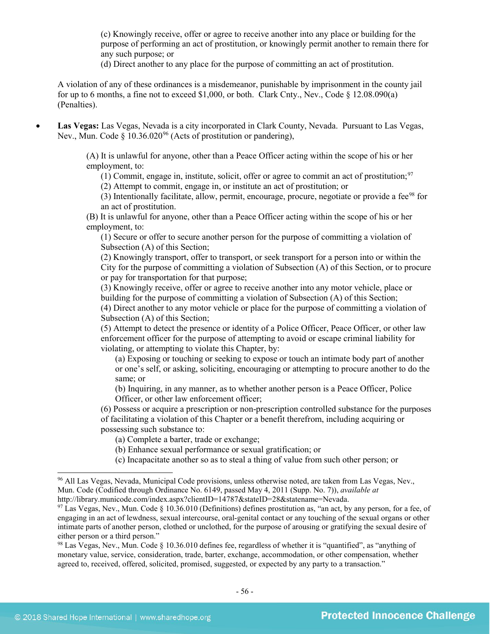(c) Knowingly receive, offer or agree to receive another into any place or building for the purpose of performing an act of prostitution, or knowingly permit another to remain there for any such purpose; or

(d) Direct another to any place for the purpose of committing an act of prostitution.

A violation of any of these ordinances is a misdemeanor, punishable by imprisonment in the county jail for up to 6 months, a fine not to exceed \$1,000, or both. Clark Cnty., Nev., Code § 12.08.090(a) (Penalties).

• **Las Vegas:** Las Vegas, Nevada is a city incorporated in Clark County, Nevada. Pursuant to Las Vegas, Nev., Mun. Code § 10.36.020<sup>[96](#page-55-0)</sup> (Acts of prostitution or pandering),

> (A) It is unlawful for anyone, other than a Peace Officer acting within the scope of his or her employment, to:

(1) Commit, engage in, institute, solicit, offer or agree to commit an act of prostitution;<sup>[97](#page-55-1)</sup>

(2) Attempt to commit, engage in, or institute an act of prostitution; or

(3) Intentionally facilitate, allow, permit, encourage, procure, negotiate or provide a fee[98](#page-55-2) for an act of prostitution.

(B) It is unlawful for anyone, other than a Peace Officer acting within the scope of his or her employment, to:

(1) Secure or offer to secure another person for the purpose of committing a violation of Subsection (A) of this Section;

(2) Knowingly transport, offer to transport, or seek transport for a person into or within the City for the purpose of committing a violation of Subsection (A) of this Section, or to procure or pay for transportation for that purpose;

(3) Knowingly receive, offer or agree to receive another into any motor vehicle, place or building for the purpose of committing a violation of Subsection (A) of this Section;

(4) Direct another to any motor vehicle or place for the purpose of committing a violation of Subsection (A) of this Section;

(5) Attempt to detect the presence or identity of a Police Officer, Peace Officer, or other law enforcement officer for the purpose of attempting to avoid or escape criminal liability for violating, or attempting to violate this Chapter, by:

(a) Exposing or touching or seeking to expose or touch an intimate body part of another or one's self, or asking, soliciting, encouraging or attempting to procure another to do the same; or

(b) Inquiring, in any manner, as to whether another person is a Peace Officer, Police Officer, or other law enforcement officer;

(6) Possess or acquire a prescription or non-prescription controlled substance for the purposes of facilitating a violation of this Chapter or a benefit therefrom, including acquiring or possessing such substance to:

(a) Complete a barter, trade or exchange;

(b) Enhance sexual performance or sexual gratification; or

(c) Incapacitate another so as to steal a thing of value from such other person; or

<span id="page-55-0"></span> <sup>96</sup> All Las Vegas, Nevada, Municipal Code provisions, unless otherwise noted, are taken from Las Vegas, Nev., Mun. Code (Codified through Ordinance No. 6149, passed May 4, 2011 (Supp. No. 7)), *available at*  http://library.municode.com/index.aspx?clientID=14787&stateID=28&statename=Nevada.

<span id="page-55-1"></span> $97$  Las Vegas, Nev., Mun. Code § 10.36.010 (Definitions) defines prostitution as, "an act, by any person, for a fee, of engaging in an act of lewdness, sexual intercourse, oral-genital contact or any touching of the sexual organs or other intimate parts of another person, clothed or unclothed, for the purpose of arousing or gratifying the sexual desire of either person or a third person."

<span id="page-55-2"></span><sup>&</sup>lt;sup>98</sup> Las Vegas, Nev., Mun. Code  $\S$  10.36.010 defines fee, regardless of whether it is "quantified", as "anything of monetary value, service, consideration, trade, barter, exchange, accommodation, or other compensation, whether agreed to, received, offered, solicited, promised, suggested, or expected by any party to a transaction."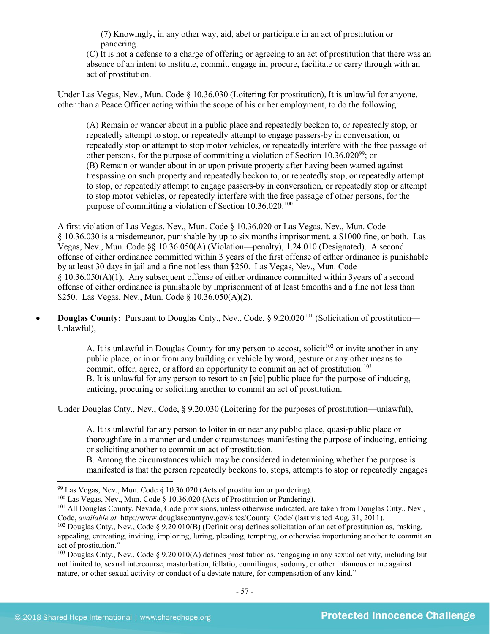(7) Knowingly, in any other way, aid, abet or participate in an act of prostitution or pandering.

(C) It is not a defense to a charge of offering or agreeing to an act of prostitution that there was an absence of an intent to institute, commit, engage in, procure, facilitate or carry through with an act of prostitution.

Under Las Vegas, Nev., Mun. Code § 10.36.030 (Loitering for prostitution), It is unlawful for anyone, other than a Peace Officer acting within the scope of his or her employment, to do the following:

(A) Remain or wander about in a public place and repeatedly beckon to, or repeatedly stop, or repeatedly attempt to stop, or repeatedly attempt to engage passers-by in conversation, or repeatedly stop or attempt to stop motor vehicles, or repeatedly interfere with the free passage of other persons, for the purpose of committing a violation of Section 10.36.020[99;](#page-56-0) or (B) Remain or wander about in or upon private property after having been warned against trespassing on such property and repeatedly beckon to, or repeatedly stop, or repeatedly attempt to stop, or repeatedly attempt to engage passers-by in conversation, or repeatedly stop or attempt to stop motor vehicles, or repeatedly interfere with the free passage of other persons, for the purpose of committing a violation of Section  $10.36.020$ <sup>[100](#page-56-1)</sup>

A first violation of Las Vegas, Nev., Mun. Code § 10.36.020 or Las Vegas, Nev., Mun. Code § 10.36.030 is a misdemeanor, punishable by up to six months imprisonment, a \$1000 fine, or both. Las Vegas, Nev., Mun. Code §§ 10.36.050(A) (Violation—penalty), 1.24.010 (Designated). A second offense of either ordinance committed within 3 years of the first offense of either ordinance is punishable by at least 30 days in jail and a fine not less than \$250. Las Vegas, Nev., Mun. Code § 10.36.050(A)(1). Any subsequent offense of either ordinance committed within 3years of a second offense of either ordinance is punishable by imprisonment of at least 6months and a fine not less than \$250. Las Vegas, Nev., Mun. Code § 10.36.050(A)(2).

• **Douglas County:** Pursuant to Douglas Cnty., Nev., Code, § 9.20.020<sup>[101](#page-56-2)</sup> (Solicitation of prostitution— Unlawful),

> A. It is unlawful in Douglas County for any person to accost, solicit<sup>[102](#page-56-3)</sup> or invite another in any public place, or in or from any building or vehicle by word, gesture or any other means to commit, offer, agree, or afford an opportunity to commit an act of prostitution.<sup>[103](#page-56-4)</sup> B. It is unlawful for any person to resort to an [sic] public place for the purpose of inducing, enticing, procuring or soliciting another to commit an act of prostitution.

Under Douglas Cnty., Nev., Code, § 9.20.030 (Loitering for the purposes of prostitution—unlawful),

A. It is unlawful for any person to loiter in or near any public place, quasi-public place or thoroughfare in a manner and under circumstances manifesting the purpose of inducing, enticing or soliciting another to commit an act of prostitution.

B. Among the circumstances which may be considered in determining whether the purpose is manifested is that the person repeatedly beckons to, stops, attempts to stop or repeatedly engages

<span id="page-56-1"></span>

<span id="page-56-0"></span><sup>&</sup>lt;sup>99</sup> Las Vegas, Nev., Mun. Code § 10.36.020 (Acts of prostitution or pandering).<br><sup>100</sup> Las Vegas, Nev., Mun. Code § 10.36.020 (Acts of Prostitution or Pandering).

<span id="page-56-2"></span><sup>&</sup>lt;sup>101</sup> All Douglas County, Nevada, Code provisions, unless otherwise indicated, are taken from Douglas Cnty., Nev., Code, *available at* http://www.douglascountynv.gov/sites/County\_Code/ (last visited Aug. 31, 2011).

<span id="page-56-3"></span> $102$  Douglas Cnty., Nev., Code § 9.20.010(B) (Definitions) defines solicitation of an act of prostitution as, "asking, appealing, entreating, inviting, imploring, luring, pleading, tempting, or otherwise importuning another to commit an act of prostitution."

<span id="page-56-4"></span><sup>&</sup>lt;sup>103</sup> Douglas Cnty., Nev., Code § 9.20.010(A) defines prostitution as, "engaging in any sexual activity, including but not limited to, sexual intercourse, masturbation, fellatio, cunnilingus, sodomy, or other infamous crime against nature, or other sexual activity or conduct of a deviate nature, for compensation of any kind."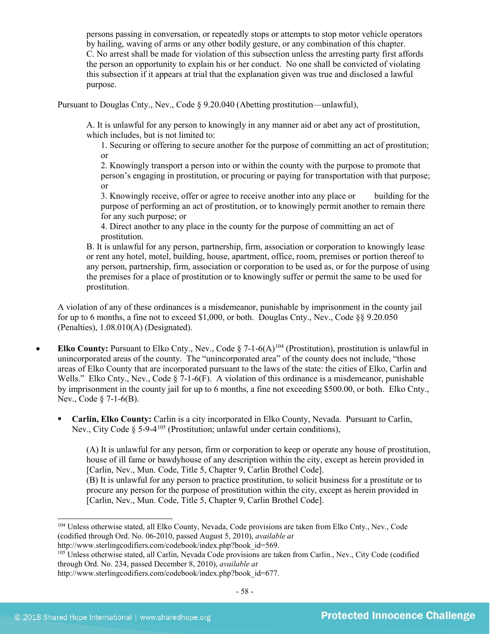persons passing in conversation, or repeatedly stops or attempts to stop motor vehicle operators by hailing, waving of arms or any other bodily gesture, or any combination of this chapter. C. No arrest shall be made for violation of this subsection unless the arresting party first affords the person an opportunity to explain his or her conduct. No one shall be convicted of violating this subsection if it appears at trial that the explanation given was true and disclosed a lawful purpose.

Pursuant to Douglas Cnty., Nev., Code § 9.20.040 (Abetting prostitution—unlawful),

A. It is unlawful for any person to knowingly in any manner aid or abet any act of prostitution, which includes, but is not limited to:

1. Securing or offering to secure another for the purpose of committing an act of prostitution; or

2. Knowingly transport a person into or within the county with the purpose to promote that person's engaging in prostitution, or procuring or paying for transportation with that purpose; or

3. Knowingly receive, offer or agree to receive another into any place or building for the purpose of performing an act of prostitution, or to knowingly permit another to remain there for any such purpose; or

4. Direct another to any place in the county for the purpose of committing an act of prostitution.

B. It is unlawful for any person, partnership, firm, association or corporation to knowingly lease or rent any hotel, motel, building, house, apartment, office, room, premises or portion thereof to any person, partnership, firm, association or corporation to be used as, or for the purpose of using the premises for a place of prostitution or to knowingly suffer or permit the same to be used for prostitution.

A violation of any of these ordinances is a misdemeanor, punishable by imprisonment in the county jail for up to 6 months, a fine not to exceed \$1,000, or both. Douglas Cnty., Nev., Code §§ 9.20.050 (Penalties), 1.08.010(A) (Designated).

- **Elko County:** Pursuant to Elko Cnty., Nev., Code  $\S$  7-1-6(A)<sup>[104](#page-57-0)</sup> (Prostitution), prostitution is unlawful in unincorporated areas of the county. The "unincorporated area" of the county does not include, "those areas of Elko County that are incorporated pursuant to the laws of the state: the cities of Elko, Carlin and Wells." Elko Cnty., Nev., Code § 7-1-6(F). A violation of this ordinance is a misdemeanor, punishable by imprisonment in the county jail for up to 6 months, a fine not exceeding \$500.00, or both. Elko Cnty., Nev., Code § 7-1-6(B).
	- **Carlin, Elko County:** Carlin is a city incorporated in Elko County, Nevada. Pursuant to Carlin, Nev., City Code  $\delta$  5-9-4<sup>[105](#page-57-1)</sup> (Prostitution; unlawful under certain conditions).

(A) It is unlawful for any person, firm or corporation to keep or operate any house of prostitution, house of ill fame or bawdyhouse of any description within the city, except as herein provided in [Carlin, Nev., Mun. Code, Title 5, Chapter 9, Carlin Brothel Code]. (B) It is unlawful for any person to practice prostitution, to solicit business for a prostitute or to procure any person for the purpose of prostitution within the city, except as herein provided in

[Carlin, Nev., Mun. Code, Title 5, Chapter 9, Carlin Brothel Code].

http://www.sterlingcodifiers.com/codebook/index.php?book\_id=569.

<span id="page-57-0"></span> <sup>104</sup> Unless otherwise stated, all Elko County, Nevada, Code provisions are taken from Elko Cnty., Nev., Code (codified through Ord. No. 06-2010, passed August 5, 2010), *available at* 

<span id="page-57-1"></span><sup>&</sup>lt;sup>105</sup> Unless otherwise stated, all Carlin, Nevada Code provisions are taken from Carlin., Nev., City Code (codified through Ord. No. 234, passed December 8, 2010), *available at*  http://www.sterlingcodifiers.com/codebook/index.php?book\_id=677.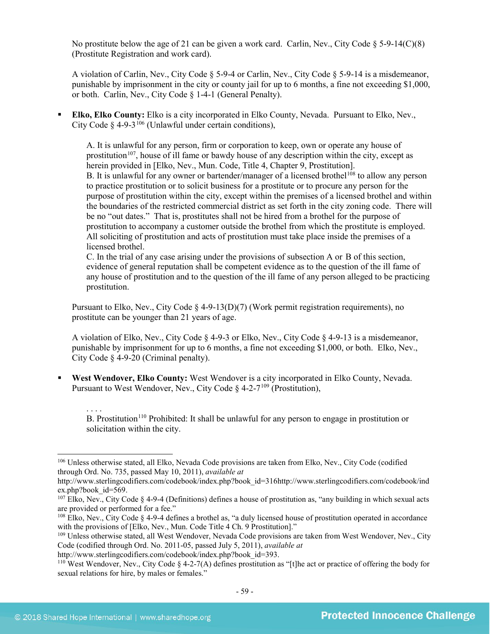No prostitute below the age of 21 can be given a work card. Carlin, Nev., City Code  $\S 5-9-14(C)(8)$ (Prostitute Registration and work card).

A violation of Carlin, Nev., City Code § 5-9-4 or Carlin, Nev., City Code § 5-9-14 is a misdemeanor, punishable by imprisonment in the city or county jail for up to 6 months, a fine not exceeding \$1,000, or both. Carlin, Nev., City Code § 1-4-1 (General Penalty).

 **Elko, Elko County:** Elko is a city incorporated in Elko County, Nevada. Pursuant to Elko, Nev., City Code  $\delta$  4-9-3<sup>[106](#page-58-0)</sup> (Unlawful under certain conditions).

A. It is unlawful for any person, firm or corporation to keep, own or operate any house of prostitution<sup>107</sup>, house of ill fame or bawdy house of any description within the city, except as herein provided in [Elko, Nev., Mun. Code, Title 4, Chapter 9, Prostitution]. B. It is unlawful for any owner or bartender/manager of a licensed brothel<sup>[108](#page-58-2)</sup> to allow any person to practice prostitution or to solicit business for a prostitute or to procure any person for the purpose of prostitution within the city, except within the premises of a licensed brothel and within the boundaries of the restricted commercial district as set forth in the city zoning code. There will be no "out dates." That is, prostitutes shall not be hired from a brothel for the purpose of prostitution to accompany a customer outside the brothel from which the prostitute is employed. All soliciting of prostitution and acts of prostitution must take place inside the premises of a licensed brothel.

C. In the trial of any case arising under the provisions of subsection A or B of this section, evidence of general reputation shall be competent evidence as to the question of the ill fame of any house of prostitution and to the question of the ill fame of any person alleged to be practicing prostitution.

Pursuant to Elko, Nev., City Code § 4-9-13(D)(7) (Work permit registration requirements), no prostitute can be younger than 21 years of age.

A violation of Elko, Nev., City Code § 4-9-3 or Elko, Nev., City Code § 4-9-13 is a misdemeanor, punishable by imprisonment for up to 6 months, a fine not exceeding \$1,000, or both. Elko, Nev., City Code § 4-9-20 (Criminal penalty).

 **West Wendover, Elko County:** West Wendover is a city incorporated in Elko County, Nevada. Pursuant to West Wendover, Nev., City Code  $\delta$  4-2-7<sup>[109](#page-58-3)</sup> (Prostitution),

. . . . B. Prostitution<sup>[110](#page-58-4)</sup> Prohibited: It shall be unlawful for any person to engage in prostitution or solicitation within the city.

<span id="page-58-0"></span> <sup>106</sup> Unless otherwise stated, all Elko, Nevada Code provisions are taken from Elko, Nev., City Code (codified through Ord. No. 735, passed May 10, 2011), *available at* 

http://www.sterlingcodifiers.com/codebook/index.php?book\_id=316http://www.sterlingcodifiers.com/codebook/ind ex.php?book\_id=569.

<span id="page-58-1"></span> $107$  Elko, Nev., City Code § 4-9-4 (Definitions) defines a house of prostitution as, "any building in which sexual acts are provided or performed for a fee."

<span id="page-58-2"></span> $108$  Elko, Nev., City Code  $\S$  4-9-4 defines a brothel as, "a duly licensed house of prostitution operated in accordance with the provisions of [Elko, Nev., Mun. Code Title 4 Ch. 9 Prostitution]."

<span id="page-58-3"></span><sup>&</sup>lt;sup>109</sup> Unless otherwise stated, all West Wendover, Nevada Code provisions are taken from West Wendover, Nev., City Code (codified through Ord. No. 2011-05, passed July 5, 2011), *available at* 

http://www.sterlingcodifiers.com/codebook/index.php?book\_id=393.

<span id="page-58-4"></span><sup>&</sup>lt;sup>110</sup> West Wendover, Nev., City Code § 4-2-7(A) defines prostitution as "[t]he act or practice of offering the body for sexual relations for hire, by males or females."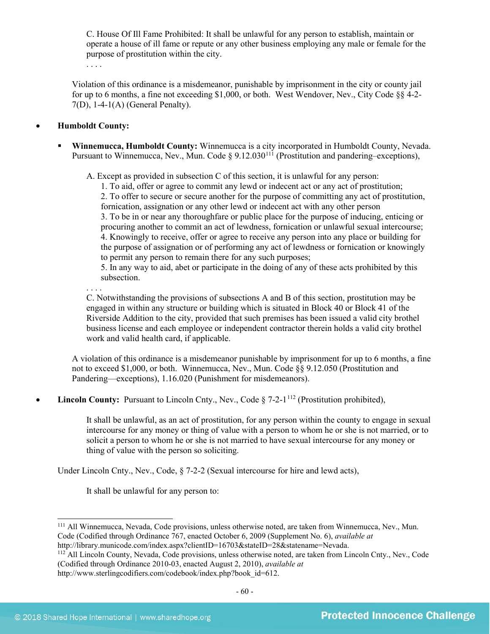C. House Of Ill Fame Prohibited: It shall be unlawful for any person to establish, maintain or operate a house of ill fame or repute or any other business employing any male or female for the purpose of prostitution within the city.

. . . .

Violation of this ordinance is a misdemeanor, punishable by imprisonment in the city or county jail for up to 6 months, a fine not exceeding \$1,000, or both. West Wendover, Nev., City Code §§ 4-2- 7(D), 1-4-1(A) (General Penalty).

#### • **Humboldt County:**

 **Winnemucca, Humboldt County:** Winnemucca is a city incorporated in Humboldt County, Nevada. Pursuant to Winnemucca, Nev., Mun. Code § 9.12.030<sup>[111](#page-59-0)</sup> (Prostitution and pandering–exceptions),

A. Except as provided in subsection C of this section, it is unlawful for any person:

1. To aid, offer or agree to commit any lewd or indecent act or any act of prostitution; 2. To offer to secure or secure another for the purpose of committing any act of prostitution, fornication, assignation or any other lewd or indecent act with any other person

3. To be in or near any thoroughfare or public place for the purpose of inducing, enticing or procuring another to commit an act of lewdness, fornication or unlawful sexual intercourse; 4. Knowingly to receive, offer or agree to receive any person into any place or building for the purpose of assignation or of performing any act of lewdness or fornication or knowingly to permit any person to remain there for any such purposes;

5. In any way to aid, abet or participate in the doing of any of these acts prohibited by this subsection.

. . . . C. Notwithstanding the provisions of subsections A and B of this section, prostitution may be engaged in within any structure or building which is situated in Block 40 or Block 41 of the Riverside Addition to the city, provided that such premises has been issued a valid city brothel business license and each employee or independent contractor therein holds a valid city brothel work and valid health card, if applicable.

A violation of this ordinance is a misdemeanor punishable by imprisonment for up to 6 months, a fine not to exceed \$1,000, or both. Winnemucca, Nev., Mun. Code §§ 9.12.050 (Prostitution and Pandering—exceptions), 1.16.020 (Punishment for misdemeanors).

**Lincoln County:** Pursuant to Lincoln Cnty., Nev., Code § 7-2-1<sup>[112](#page-59-1)</sup> (Prostitution prohibited),

It shall be unlawful, as an act of prostitution, for any person within the county to engage in sexual intercourse for any money or thing of value with a person to whom he or she is not married, or to solicit a person to whom he or she is not married to have sexual intercourse for any money or thing of value with the person so soliciting.

Under Lincoln Cnty., Nev., Code, § 7-2-2 (Sexual intercourse for hire and lewd acts),

It shall be unlawful for any person to:

```
http://library.municode.com/index.aspx?clientID=16703&stateID=28&statename=Nevada.
```
<span id="page-59-0"></span> <sup>111</sup> All Winnemucca, Nevada, Code provisions, unless otherwise noted, are taken from Winnemucca, Nev., Mun. Code (Codified through Ordinance 767, enacted October 6, 2009 (Supplement No. 6), *available at* 

<span id="page-59-1"></span><sup>&</sup>lt;sup>112</sup> All Lincoln County, Nevada, Code provisions, unless otherwise noted, are taken from Lincoln Cnty., Nev., Code (Codified through Ordinance 2010-03, enacted August 2, 2010), *available at*  http://www.sterlingcodifiers.com/codebook/index.php?book\_id=612.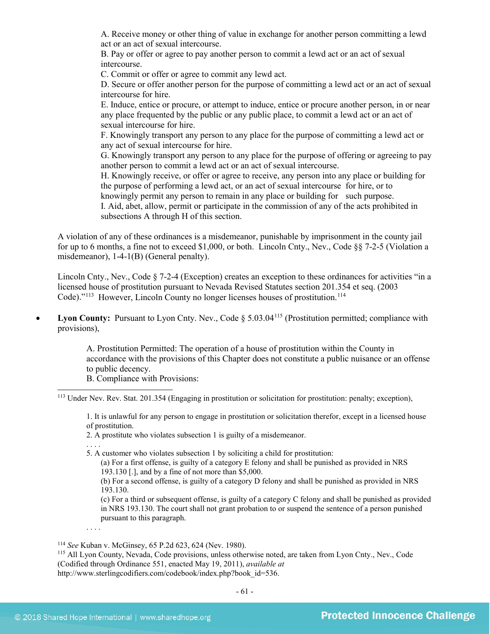A. Receive money or other thing of value in exchange for another person committing a lewd act or an act of sexual intercourse.

B. Pay or offer or agree to pay another person to commit a lewd act or an act of sexual intercourse.

C. Commit or offer or agree to commit any lewd act.

D. Secure or offer another person for the purpose of committing a lewd act or an act of sexual intercourse for hire.

E. Induce, entice or procure, or attempt to induce, entice or procure another person, in or near any place frequented by the public or any public place, to commit a lewd act or an act of sexual intercourse for hire.

F. Knowingly transport any person to any place for the purpose of committing a lewd act or any act of sexual intercourse for hire.

G. Knowingly transport any person to any place for the purpose of offering or agreeing to pay another person to commit a lewd act or an act of sexual intercourse.

H. Knowingly receive, or offer or agree to receive, any person into any place or building for the purpose of performing a lewd act, or an act of sexual intercourse for hire, or to knowingly permit any person to remain in any place or building for such purpose. I. Aid, abet, allow, permit or participate in the commission of any of the acts prohibited in subsections A through H of this section.

A violation of any of these ordinances is a misdemeanor, punishable by imprisonment in the county jail for up to 6 months, a fine not to exceed \$1,000, or both. Lincoln Cnty., Nev., Code §§ 7-2-5 (Violation a misdemeanor), 1-4-1(B) (General penalty).

Lincoln Cnty., Nev., Code § 7-2-4 (Exception) creates an exception to these ordinances for activities "in a licensed house of prostitution pursuant to Nevada Revised Statutes section 201.354 et seq. (2003 Code)."<sup>[113](#page-60-0)</sup> However, Lincoln County no longer licenses houses of prostitution.<sup>[114](#page-60-1)</sup>

• Lyon County: Pursuant to Lyon Cnty. Nev., Code § 5.03.04<sup>[115](#page-60-2)</sup> (Prostitution permitted; compliance with provisions),

> A. Prostitution Permitted: The operation of a house of prostitution within the County in accordance with the provisions of this Chapter does not constitute a public nuisance or an offense to public decency.

B. Compliance with Provisions:

<span id="page-60-0"></span>113 Under Nev. Rev. Stat. 201.354 (Engaging in prostitution or solicitation for prostitution: penalty; exception),

1. It is unlawful for any person to engage in prostitution or solicitation therefor, except in a licensed house of prostitution.

2. A prostitute who violates subsection 1 is guilty of a misdemeanor.

. . . .

. . . .

5. A customer who violates subsection 1 by soliciting a child for prostitution:

(a) For a first offense, is guilty of a category E felony and shall be punished as provided in NRS 193.130 [.], and by a fine of not more than \$5,000.

(b) For a second offense, is guilty of a category D felony and shall be punished as provided in NRS 193.130.

(c) For a third or subsequent offense, is guilty of a category C felony and shall be punished as provided in NRS 193.130. The court shall not grant probation to or suspend the sentence of a person punished pursuant to this paragraph.

<sup>114</sup> *See* Kuban v. McGinsey, 65 P.2d 623, 624 (Nev. 1980).

<span id="page-60-2"></span><span id="page-60-1"></span><sup>115</sup> All Lyon County, Nevada, Code provisions, unless otherwise noted, are taken from Lyon Cnty., Nev., Code (Codified through Ordinance 551, enacted May 19, 2011), *available at*  http://www.sterlingcodifiers.com/codebook/index.php?book\_id=536.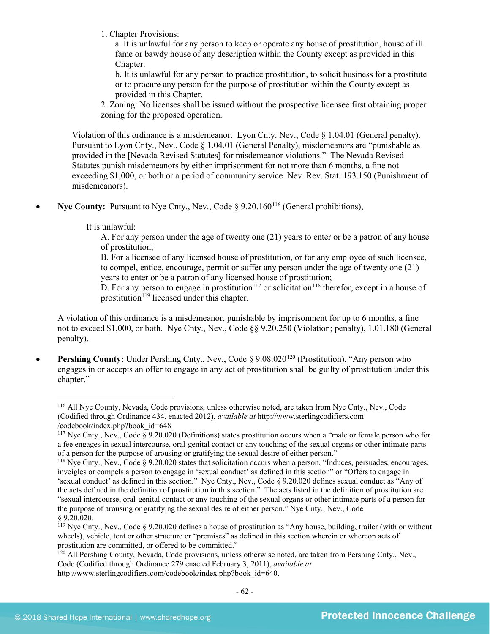1. Chapter Provisions:

a. It is unlawful for any person to keep or operate any house of prostitution, house of ill fame or bawdy house of any description within the County except as provided in this Chapter.

b. It is unlawful for any person to practice prostitution, to solicit business for a prostitute or to procure any person for the purpose of prostitution within the County except as provided in this Chapter.

2. Zoning: No licenses shall be issued without the prospective licensee first obtaining proper zoning for the proposed operation.

Violation of this ordinance is a misdemeanor. Lyon Cnty. Nev., Code § 1.04.01 (General penalty). Pursuant to Lyon Cnty., Nev., Code § 1.04.01 (General Penalty), misdemeanors are "punishable as provided in the [Nevada Revised Statutes] for misdemeanor violations." The Nevada Revised Statutes punish misdemeanors by either imprisonment for not more than 6 months, a fine not exceeding \$1,000, or both or a period of community service. Nev. Rev. Stat. 193.150 (Punishment of misdemeanors).

**Nye County:** Pursuant to Nye Cnty., Nev., Code § 9.20.160<sup>[116](#page-61-0)</sup> (General prohibitions),

It is unlawful:

A. For any person under the age of twenty one (21) years to enter or be a patron of any house of prostitution;

B. For a licensee of any licensed house of prostitution, or for any employee of such licensee, to compel, entice, encourage, permit or suffer any person under the age of twenty one (21) years to enter or be a patron of any licensed house of prostitution;

D. For any person to engage in prostitution<sup>[117](#page-61-1)</sup> or solicitation<sup>118</sup> therefor, except in a house of prostitution<sup>[119](#page-61-3)</sup> licensed under this chapter.

A violation of this ordinance is a misdemeanor, punishable by imprisonment for up to 6 months, a fine not to exceed \$1,000, or both. Nye Cnty., Nev., Code §§ 9.20.250 (Violation; penalty), 1.01.180 (General penalty).

**Pershing County:** Under Pershing Cnty., Nev., Code § 9.08.020<sup>[120](#page-61-4)</sup> (Prostitution), "Any person who engages in or accepts an offer to engage in any act of prostitution shall be guilty of prostitution under this chapter."

<span id="page-61-0"></span> <sup>116</sup> All Nye County, Nevada, Code provisions, unless otherwise noted, are taken from Nye Cnty., Nev., Code (Codified through Ordinance 434, enacted 2012), *available at* http://www.sterlingcodifiers.com /codebook/index.php?book\_id=648

<span id="page-61-1"></span><sup>117</sup> Nye Cnty., Nev., Code § 9.20.020 (Definitions) states prostitution occurs when a "male or female person who for a fee engages in sexual intercourse, oral-genital contact or any touching of the sexual organs or other intimate parts of a person for the purpose of arousing or gratifying the sexual desire of either person."

<span id="page-61-2"></span><sup>&</sup>lt;sup>118</sup> Nve Cntv., Nev., Code § 9.20.020 states that solicitation occurs when a person, "Induces, persuades, encourages, inveigles or compels a person to engage in 'sexual conduct' as defined in this section" or "Offers to engage in 'sexual conduct' as defined in this section." Nye Cnty., Nev., Code § 9.20.020 defines sexual conduct as "Any of the acts defined in the definition of prostitution in this section." The acts listed in the definition of prostitution are "sexual intercourse, oral-genital contact or any touching of the sexual organs or other intimate parts of a person for the purpose of arousing or gratifying the sexual desire of either person." Nye Cnty., Nev., Code § 9.20.020.

<span id="page-61-3"></span><sup>&</sup>lt;sup>119</sup> Nye Cnty., Nev., Code § 9.20.020 defines a house of prostitution as "Any house, building, trailer (with or without wheels), vehicle, tent or other structure or "premises" as defined in this section wherein or whereon acts of prostitution are committed, or offered to be committed."

<span id="page-61-4"></span><sup>&</sup>lt;sup>120</sup> All Pershing County, Nevada, Code provisions, unless otherwise noted, are taken from Pershing Cnty., Nev., Code (Codified through Ordinance 279 enacted February 3, 2011), *available at* http://www.sterlingcodifiers.com/codebook/index.php?book\_id=640.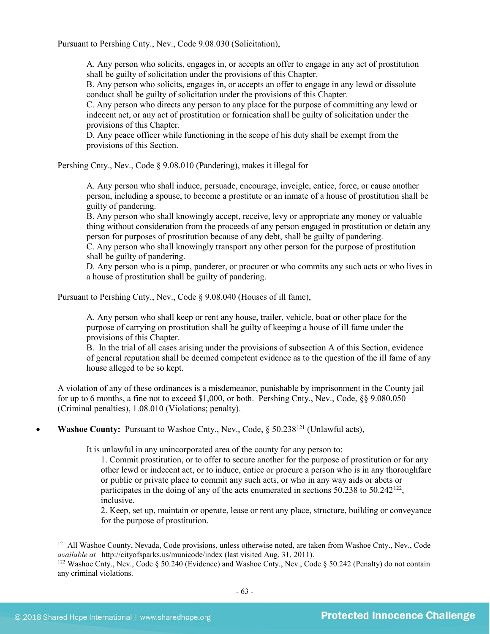Pursuant to Pershing Cnty., Nev., Code 9.08.030 (Solicitation),

A. Any person who solicits, engages in, or accepts an offer to engage in any act of prostitution shall be guilty of solicitation under the provisions of this Chapter.

B. Any person who solicits, engages in, or accepts an offer to engage in any lewd or dissolute conduct shall be guilty of solicitation under the provisions of this Chapter.

C. Any person who directs any person to any place for the purpose of committing any lewd or indecent act, or any act of prostitution or fornication shall be guilty of solicitation under the provisions of this Chapter.

D. Any peace officer while functioning in the scope of his duty shall be exempt from the provisions of this Section.

Pershing Cnty., Nev., Code § 9.08.010 (Pandering), makes it illegal for

A. Any person who shall induce, persuade, encourage, inveigle, entice, force, or cause another person, including a spouse, to become a prostitute or an inmate of a house of prostitution shall be guilty of pandering.

B. Any person who shall knowingly accept, receive, levy or appropriate any money or valuable thing without consideration from the proceeds of any person engaged in prostitution or detain any person for purposes of prostitution because of any debt, shall be guilty of pandering.

C. Any person who shall knowingly transport any other person for the purpose of prostitution shall be guilty of pandering.

D. Any person who is a pimp, panderer, or procurer or who commits any such acts or who lives in a house of prostitution shall be guilty of pandering.

Pursuant to Pershing Cnty., Nev., Code § 9.08.040 (Houses of ill fame),

A. Any person who shall keep or rent any house, trailer, vehicle, boat or other place for the purpose of carrying on prostitution shall be guilty of keeping a house of ill fame under the provisions of this Chapter.

B. In the trial of all cases arising under the provisions of subsection A of this Section, evidence of general reputation shall be deemed competent evidence as to the question of the ill fame of any house alleged to be so kept.

A violation of any of these ordinances is a misdemeanor, punishable by imprisonment in the County jail for up to 6 months, a fine not to exceed \$1,000, or both. Pershing Cnty., Nev., Code, §§ 9.080.050 (Criminal penalties), 1.08.010 (Violations; penalty).

**Washoe County:** Pursuant to Washoe Cnty., Nev., Code, § 50.238<sup>[121](#page-62-0)</sup> (Unlawful acts),

It is unlawful in any unincorporated area of the county for any person to:

1. Commit prostitution, or to offer to secure another for the purpose of prostitution or for any other lewd or indecent act, or to induce, entice or procure a person who is in any thoroughfare or public or private place to commit any such acts, or who in any way aids or abets or participates in the doing of any of the acts enumerated in sections  $50.238$  to  $50.242^{122}$  $50.242^{122}$  $50.242^{122}$ , inclusive.

2. Keep, set up, maintain or operate, lease or rent any place, structure, building or conveyance for the purpose of prostitution.

<span id="page-62-0"></span><sup>&</sup>lt;sup>121</sup> All Washoe County, Nevada, Code provisions, unless otherwise noted, are taken from Washoe Cnty., Nev., Code *available at* http://cityofsparks.us/municode/index (last visited Aug. 31, 2011).

<span id="page-62-1"></span><sup>&</sup>lt;sup>122</sup> Washoe Cnty., Nev., Code § 50.240 (Evidence) and Washoe Cnty., Nev., Code § 50.242 (Penalty) do not contain any criminal violations.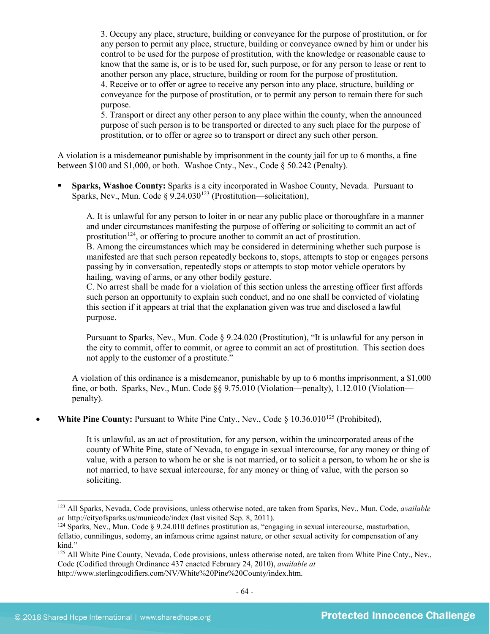3. Occupy any place, structure, building or conveyance for the purpose of prostitution, or for any person to permit any place, structure, building or conveyance owned by him or under his control to be used for the purpose of prostitution, with the knowledge or reasonable cause to know that the same is, or is to be used for, such purpose, or for any person to lease or rent to another person any place, structure, building or room for the purpose of prostitution.

4. Receive or to offer or agree to receive any person into any place, structure, building or conveyance for the purpose of prostitution, or to permit any person to remain there for such purpose.

5. Transport or direct any other person to any place within the county, when the announced purpose of such person is to be transported or directed to any such place for the purpose of prostitution, or to offer or agree so to transport or direct any such other person.

A violation is a misdemeanor punishable by imprisonment in the county jail for up to 6 months, a fine between \$100 and \$1,000, or both. Washoe Cnty., Nev., Code § 50.242 (Penalty).

 **Sparks, Washoe County:** Sparks is a city incorporated in Washoe County, Nevada. Pursuant to Sparks, Nev., Mun. Code  $\S 9.24.030^{123}$  $\S 9.24.030^{123}$  $\S 9.24.030^{123}$  (Prostitution—solicitation),

A. It is unlawful for any person to loiter in or near any public place or thoroughfare in a manner and under circumstances manifesting the purpose of offering or soliciting to commit an act of prostitution<sup>124</sup>, or offering to procure another to commit an act of prostitution.

B. Among the circumstances which may be considered in determining whether such purpose is manifested are that such person repeatedly beckons to, stops, attempts to stop or engages persons passing by in conversation, repeatedly stops or attempts to stop motor vehicle operators by hailing, waving of arms, or any other bodily gesture.

C. No arrest shall be made for a violation of this section unless the arresting officer first affords such person an opportunity to explain such conduct, and no one shall be convicted of violating this section if it appears at trial that the explanation given was true and disclosed a lawful purpose.

Pursuant to Sparks, Nev., Mun. Code § 9.24.020 (Prostitution), "It is unlawful for any person in the city to commit, offer to commit, or agree to commit an act of prostitution. This section does not apply to the customer of a prostitute."

A violation of this ordinance is a misdemeanor, punishable by up to 6 months imprisonment, a \$1,000 fine, or both. Sparks, Nev., Mun. Code §§ 9.75.010 (Violation—penalty), 1.12.010 (Violation penalty).

**White Pine County:** Pursuant to White Pine Cnty., Nev., Code § 10.36.010<sup>[125](#page-63-2)</sup> (Prohibited),

It is unlawful, as an act of prostitution, for any person, within the unincorporated areas of the county of White Pine, state of Nevada, to engage in sexual intercourse, for any money or thing of value, with a person to whom he or she is not married, or to solicit a person, to whom he or she is not married, to have sexual intercourse, for any money or thing of value, with the person so soliciting.

<span id="page-63-0"></span> <sup>123</sup> All Sparks, Nevada, Code provisions, unless otherwise noted, are taken from Sparks, Nev., Mun. Code, *available* 

<span id="page-63-1"></span> $124$  Sparks, Nev., Mun. Code § 9.24.010 defines prostitution as, "engaging in sexual intercourse, masturbation, fellatio, cunnilingus, sodomy, an infamous crime against nature, or other sexual activity for compensation of any kind."

<span id="page-63-2"></span><sup>&</sup>lt;sup>125</sup> All White Pine County, Nevada, Code provisions, unless otherwise noted, are taken from White Pine Cnty., Nev., Code (Codified through Ordinance 437 enacted February 24, 2010), *available at* http://www.sterlingcodifiers.com/NV/White%20Pine%20County/index.htm.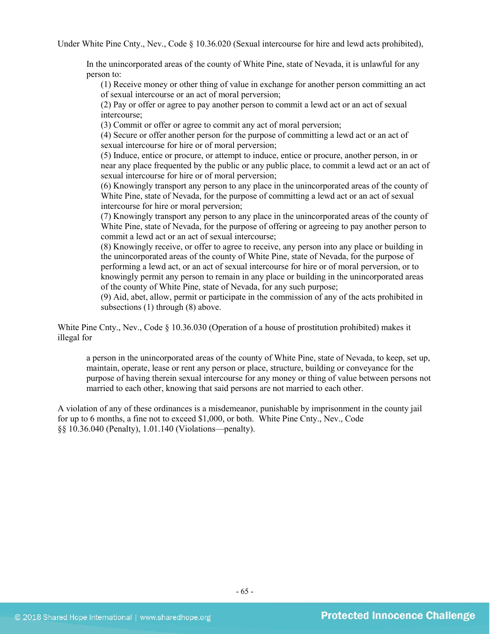Under White Pine Cnty., Nev., Code § 10.36.020 (Sexual intercourse for hire and lewd acts prohibited),

In the unincorporated areas of the county of White Pine, state of Nevada, it is unlawful for any person to:

(1) Receive money or other thing of value in exchange for another person committing an act of sexual intercourse or an act of moral perversion;

(2) Pay or offer or agree to pay another person to commit a lewd act or an act of sexual intercourse;

(3) Commit or offer or agree to commit any act of moral perversion;

(4) Secure or offer another person for the purpose of committing a lewd act or an act of sexual intercourse for hire or of moral perversion;

(5) Induce, entice or procure, or attempt to induce, entice or procure, another person, in or near any place frequented by the public or any public place, to commit a lewd act or an act of sexual intercourse for hire or of moral perversion;

(6) Knowingly transport any person to any place in the unincorporated areas of the county of White Pine, state of Nevada, for the purpose of committing a lewd act or an act of sexual intercourse for hire or moral perversion;

(7) Knowingly transport any person to any place in the unincorporated areas of the county of White Pine, state of Nevada, for the purpose of offering or agreeing to pay another person to commit a lewd act or an act of sexual intercourse;

(8) Knowingly receive, or offer to agree to receive, any person into any place or building in the unincorporated areas of the county of White Pine, state of Nevada, for the purpose of performing a lewd act, or an act of sexual intercourse for hire or of moral perversion, or to knowingly permit any person to remain in any place or building in the unincorporated areas of the county of White Pine, state of Nevada, for any such purpose;

(9) Aid, abet, allow, permit or participate in the commission of any of the acts prohibited in subsections (1) through (8) above.

White Pine Cnty., Nev., Code  $\S 10.36.030$  (Operation of a house of prostitution prohibited) makes it illegal for

a person in the unincorporated areas of the county of White Pine, state of Nevada, to keep, set up, maintain, operate, lease or rent any person or place, structure, building or conveyance for the purpose of having therein sexual intercourse for any money or thing of value between persons not married to each other, knowing that said persons are not married to each other.

A violation of any of these ordinances is a misdemeanor, punishable by imprisonment in the county jail for up to 6 months, a fine not to exceed \$1,000, or both. White Pine Cnty., Nev., Code §§ 10.36.040 (Penalty), 1.01.140 (Violations—penalty).